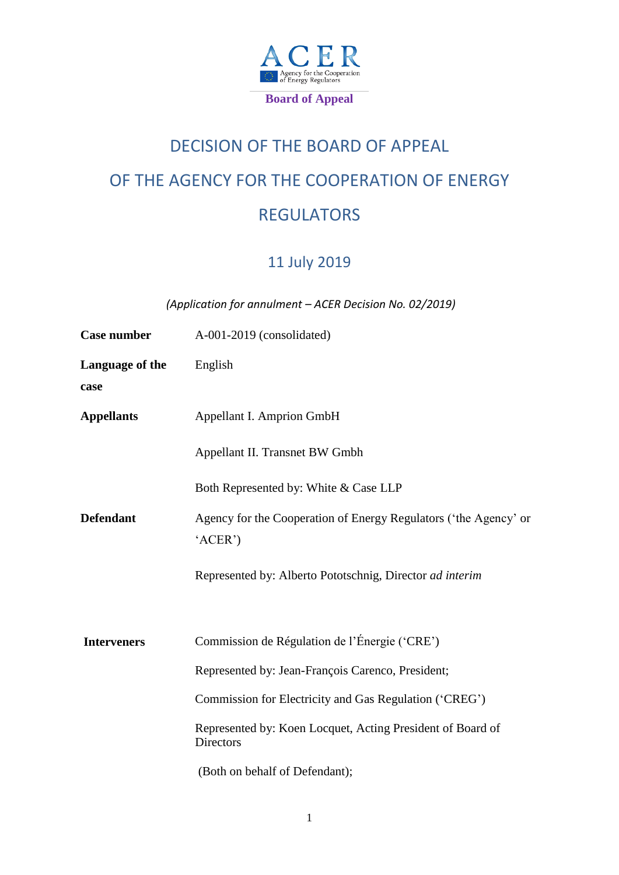

# DECISION OF THE BOARD OF APPEAL OF THE AGENCY FOR THE COOPERATION OF ENERGY REGULATORS

# 11 July 2019

*(Application for annulment – ACER Decision No. 02/2019)*

| Case number             | A-001-2019 (consolidated)                                                      |
|-------------------------|--------------------------------------------------------------------------------|
| Language of the<br>case | English                                                                        |
| <b>Appellants</b>       | Appellant I. Amprion GmbH                                                      |
|                         | Appellant II. Transnet BW Gmbh                                                 |
|                         | Both Represented by: White & Case LLP                                          |
| <b>Defendant</b>        | Agency for the Cooperation of Energy Regulators ('the Agency' or<br>'ACER')    |
|                         | Represented by: Alberto Pototschnig, Director ad interim                       |
| <b>Interveners</b>      | Commission de Régulation de l'Énergie ('CRE')                                  |
|                         | Represented by: Jean-François Carenco, President;                              |
|                         | Commission for Electricity and Gas Regulation ('CREG')                         |
|                         | Represented by: Koen Locquet, Acting President of Board of<br><b>Directors</b> |
|                         | (Both on behalf of Defendant);                                                 |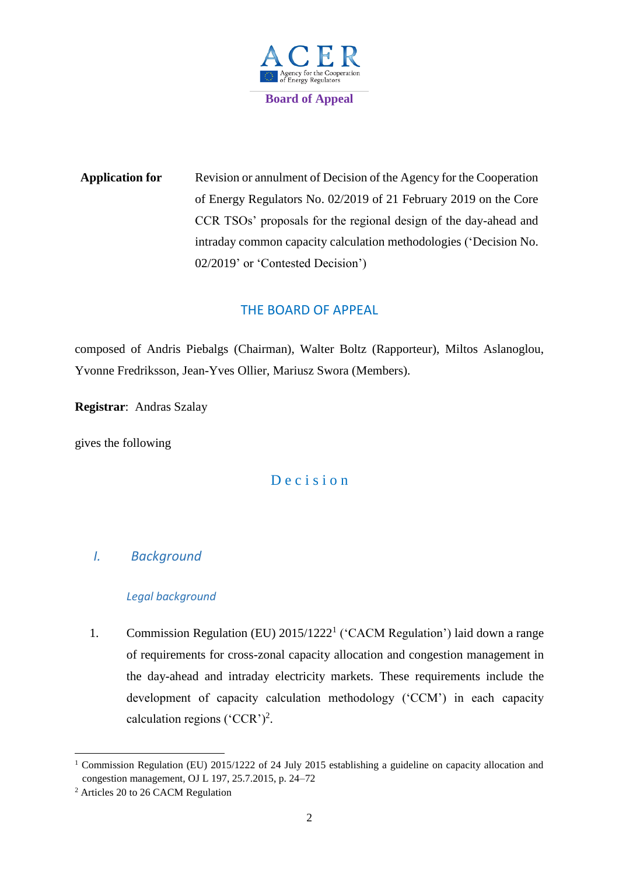

**Application for** Revision or annulment of Decision of the Agency for the Cooperation of Energy Regulators No. 02/2019 of 21 February 2019 on the Core CCR TSOs' proposals for the regional design of the day-ahead and intraday common capacity calculation methodologies ('Decision No. 02/2019' or 'Contested Decision')

## THE BOARD OF APPEAL

composed of Andris Piebalgs (Chairman), Walter Boltz (Rapporteur), Miltos Aslanoglou, Yvonne Fredriksson, Jean-Yves Ollier, Mariusz Swora (Members).

**Registrar**: Andras Szalay

gives the following

## D e c i s i o n

## *I. Background*

#### *Legal background*

1. Commission Regulation (EU) 2015/1222<sup>1</sup> ('CACM Regulation') laid down a range of requirements for cross-zonal capacity allocation and congestion management in the day-ahead and intraday electricity markets. These requirements include the development of capacity calculation methodology ('CCM') in each capacity calculation regions ('CCR')<sup>2</sup>.

<sup>&</sup>lt;sup>1</sup> Commission Regulation (EU) 2015/1222 of 24 July 2015 establishing a guideline on capacity allocation and congestion management*,* OJ L 197, 25.7.2015, p. 24–72

<sup>2</sup> Articles 20 to 26 CACM Regulation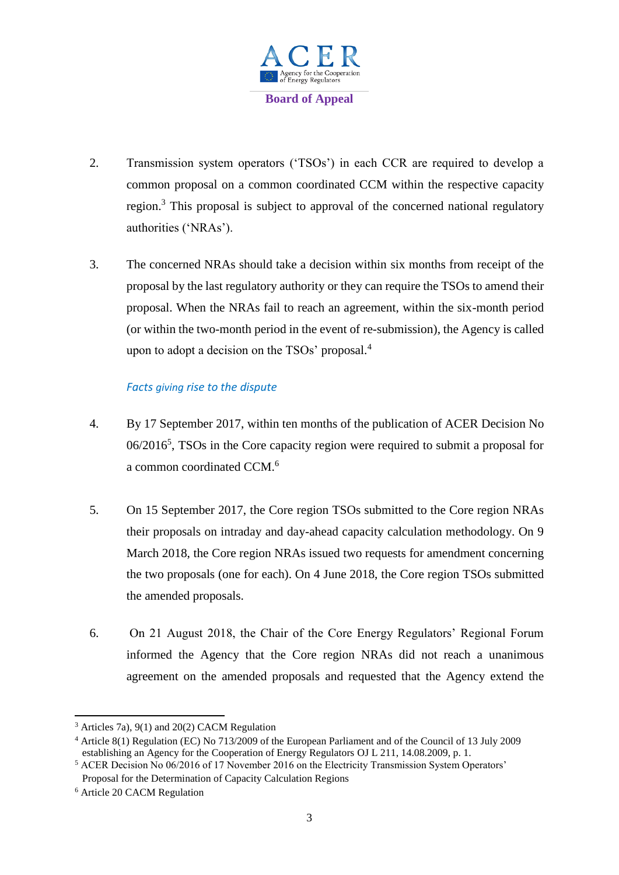

- 2. Transmission system operators ('TSOs') in each CCR are required to develop a common proposal on a common coordinated CCM within the respective capacity region.<sup>3</sup> This proposal is subject to approval of the concerned national regulatory authorities ('NRAs').
- 3. The concerned NRAs should take a decision within six months from receipt of the proposal by the last regulatory authority or they can require the TSOs to amend their proposal. When the NRAs fail to reach an agreement, within the six-month period (or within the two-month period in the event of re-submission), the Agency is called upon to adopt a decision on the TSOs' proposal.<sup>4</sup>

#### *Facts giving rise to the dispute*

- 4. By 17 September 2017, within ten months of the publication of ACER Decision No 06/2016<sup>5</sup>, TSOs in the Core capacity region were required to submit a proposal for a common coordinated CCM.<sup>6</sup>
- 5. On 15 September 2017, the Core region TSOs submitted to the Core region NRAs their proposals on intraday and day-ahead capacity calculation methodology. On 9 March 2018, the Core region NRAs issued two requests for amendment concerning the two proposals (one for each). On 4 June 2018, the Core region TSOs submitted the amended proposals.
- 6. On 21 August 2018, the Chair of the Core Energy Regulators' Regional Forum informed the Agency that the Core region NRAs did not reach a unanimous agreement on the amended proposals and requested that the Agency extend the

**<sup>.</sup>** <sup>3</sup> Articles 7a), 9(1) and 20(2) CACM Regulation

<sup>4</sup> Article 8(1) Regulation (EC) No 713/2009 of the European Parliament and of the Council of 13 July 2009 establishing an Agency for the Cooperation of Energy Regulators OJ L 211, 14.08.2009, p. 1.

<sup>&</sup>lt;sup>5</sup> ACER Decision No 06/2016 of 17 November 2016 on the Electricity Transmission System Operators' Proposal for the Determination of Capacity Calculation Regions

<sup>6</sup> Article 20 CACM Regulation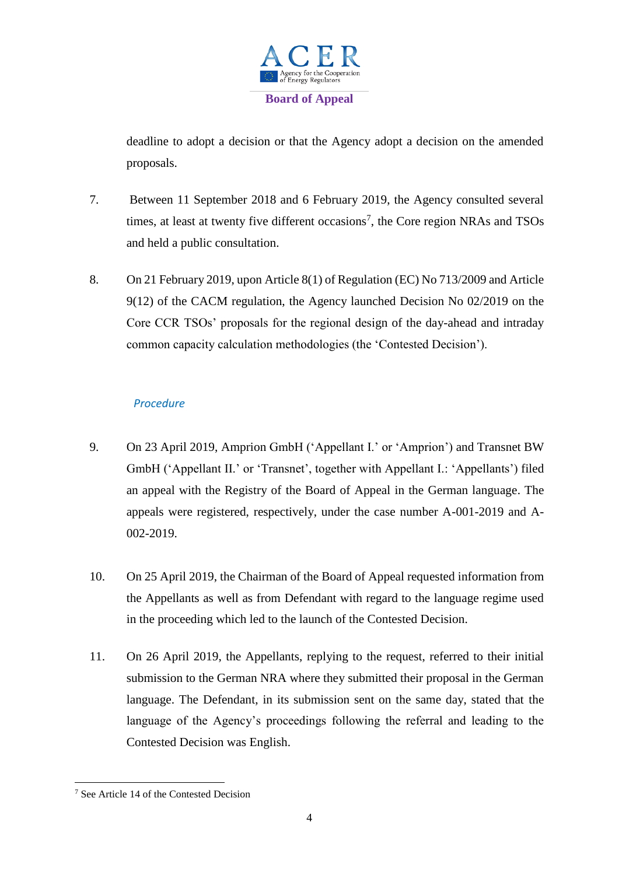

deadline to adopt a decision or that the Agency adopt a decision on the amended proposals.

- 7. Between 11 September 2018 and 6 February 2019, the Agency consulted several times, at least at twenty five different occasions<sup>7</sup>, the Core region NRAs and TSOs and held a public consultation.
- 8. On 21 February 2019, upon Article 8(1) of Regulation (EC) No 713/2009 and Article 9(12) of the CACM regulation, the Agency launched Decision No 02/2019 on the Core CCR TSOs' proposals for the regional design of the day-ahead and intraday common capacity calculation methodologies (the 'Contested Decision').

#### *Procedure*

- 9. On 23 April 2019, Amprion GmbH ('Appellant I.' or 'Amprion') and Transnet BW GmbH ('Appellant II.' or 'Transnet', together with Appellant I.: 'Appellants') filed an appeal with the Registry of the Board of Appeal in the German language. The appeals were registered, respectively, under the case number A-001-2019 and A-002-2019.
- 10. On 25 April 2019, the Chairman of the Board of Appeal requested information from the Appellants as well as from Defendant with regard to the language regime used in the proceeding which led to the launch of the Contested Decision.
- 11. On 26 April 2019, the Appellants, replying to the request, referred to their initial submission to the German NRA where they submitted their proposal in the German language. The Defendant, in its submission sent on the same day, stated that the language of the Agency's proceedings following the referral and leading to the Contested Decision was English.

**<sup>.</sup>** <sup>7</sup> See Article 14 of the Contested Decision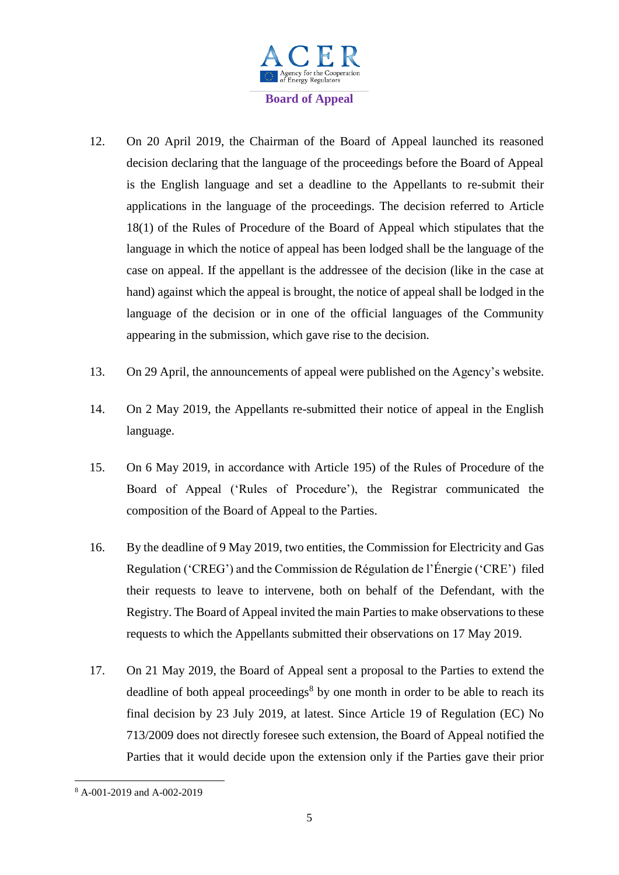

- 12. On 20 April 2019, the Chairman of the Board of Appeal launched its reasoned decision declaring that the language of the proceedings before the Board of Appeal is the English language and set a deadline to the Appellants to re-submit their applications in the language of the proceedings. The decision referred to Article 18(1) of the Rules of Procedure of the Board of Appeal which stipulates that the language in which the notice of appeal has been lodged shall be the language of the case on appeal. If the appellant is the addressee of the decision (like in the case at hand) against which the appeal is brought, the notice of appeal shall be lodged in the language of the decision or in one of the official languages of the Community appearing in the submission, which gave rise to the decision.
- 13. On 29 April, the announcements of appeal were published on the Agency's website.
- 14. On 2 May 2019, the Appellants re-submitted their notice of appeal in the English language.
- 15. On 6 May 2019, in accordance with Article 195) of the Rules of Procedure of the Board of Appeal ('Rules of Procedure'), the Registrar communicated the composition of the Board of Appeal to the Parties.
- 16. By the deadline of 9 May 2019, two entities, the Commission for Electricity and Gas Regulation ('CREG') and the Commission de Régulation de l'Énergie ('CRE') filed their requests to leave to intervene, both on behalf of the Defendant, with the Registry. The Board of Appeal invited the main Parties to make observations to these requests to which the Appellants submitted their observations on 17 May 2019.
- 17. On 21 May 2019, the Board of Appeal sent a proposal to the Parties to extend the deadline of both appeal proceedings<sup>8</sup> by one month in order to be able to reach its final decision by 23 July 2019, at latest. Since Article 19 of Regulation (EC) No 713/2009 does not directly foresee such extension, the Board of Appeal notified the Parties that it would decide upon the extension only if the Parties gave their prior

 $\overline{\phantom{a}}$ <sup>8</sup> A-001-2019 and A-002-2019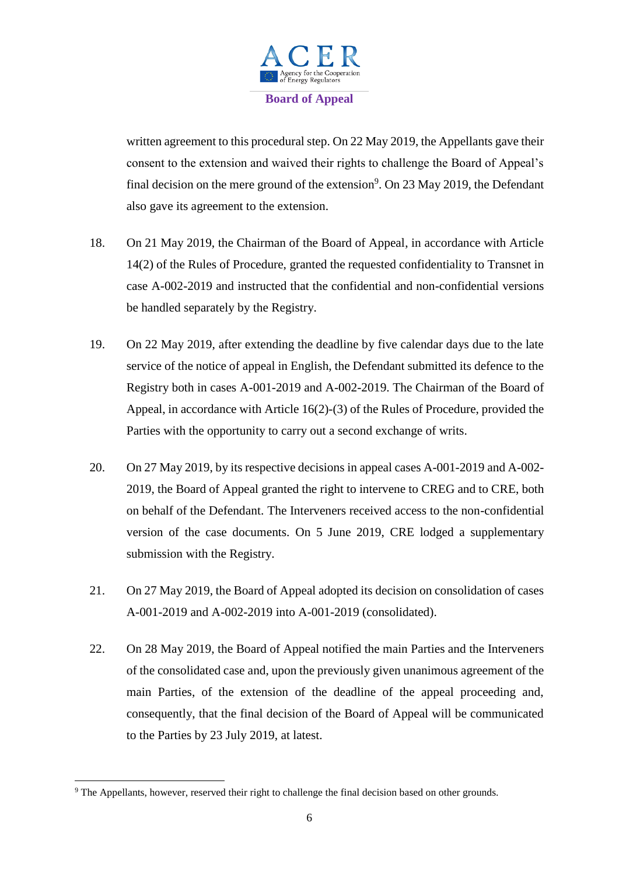

written agreement to this procedural step. On 22 May 2019, the Appellants gave their consent to the extension and waived their rights to challenge the Board of Appeal's final decision on the mere ground of the extension<sup>9</sup>. On 23 May 2019, the Defendant also gave its agreement to the extension.

- 18. On 21 May 2019, the Chairman of the Board of Appeal, in accordance with Article 14(2) of the Rules of Procedure, granted the requested confidentiality to Transnet in case A-002-2019 and instructed that the confidential and non-confidential versions be handled separately by the Registry.
- 19. On 22 May 2019, after extending the deadline by five calendar days due to the late service of the notice of appeal in English, the Defendant submitted its defence to the Registry both in cases A-001-2019 and A-002-2019. The Chairman of the Board of Appeal, in accordance with Article 16(2)-(3) of the Rules of Procedure, provided the Parties with the opportunity to carry out a second exchange of writs.
- 20. On 27 May 2019, by its respective decisions in appeal cases A-001-2019 and A-002- 2019, the Board of Appeal granted the right to intervene to CREG and to CRE, both on behalf of the Defendant. The Interveners received access to the non-confidential version of the case documents. On 5 June 2019, CRE lodged a supplementary submission with the Registry.
- 21. On 27 May 2019, the Board of Appeal adopted its decision on consolidation of cases A-001-2019 and A-002-2019 into A-001-2019 (consolidated).
- 22. On 28 May 2019, the Board of Appeal notified the main Parties and the Interveners of the consolidated case and, upon the previously given unanimous agreement of the main Parties, of the extension of the deadline of the appeal proceeding and, consequently, that the final decision of the Board of Appeal will be communicated to the Parties by 23 July 2019, at latest.

 $\overline{\phantom{a}}$ 

<sup>9</sup> The Appellants, however, reserved their right to challenge the final decision based on other grounds.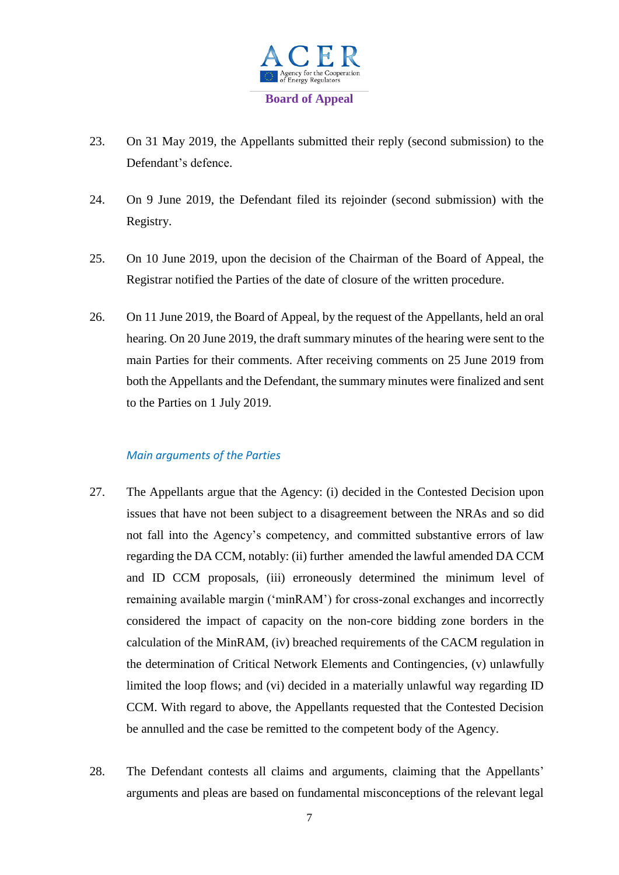

- 23. On 31 May 2019, the Appellants submitted their reply (second submission) to the Defendant's defence.
- 24. On 9 June 2019, the Defendant filed its rejoinder (second submission) with the Registry.
- 25. On 10 June 2019, upon the decision of the Chairman of the Board of Appeal, the Registrar notified the Parties of the date of closure of the written procedure.
- 26. On 11 June 2019, the Board of Appeal, by the request of the Appellants, held an oral hearing. On 20 June 2019, the draft summary minutes of the hearing were sent to the main Parties for their comments. After receiving comments on 25 June 2019 from both the Appellants and the Defendant, the summary minutes were finalized and sent to the Parties on 1 July 2019.

#### *Main arguments of the Parties*

- 27. The Appellants argue that the Agency: (i) decided in the Contested Decision upon issues that have not been subject to a disagreement between the NRAs and so did not fall into the Agency's competency, and committed substantive errors of law regarding the DA CCM, notably: (ii) further amended the lawful amended DA CCM and ID CCM proposals, (iii) erroneously determined the minimum level of remaining available margin ('minRAM') for cross-zonal exchanges and incorrectly considered the impact of capacity on the non-core bidding zone borders in the calculation of the MinRAM, (iv) breached requirements of the CACM regulation in the determination of Critical Network Elements and Contingencies, (v) unlawfully limited the loop flows; and (vi) decided in a materially unlawful way regarding ID CCM. With regard to above, the Appellants requested that the Contested Decision be annulled and the case be remitted to the competent body of the Agency.
- 28. The Defendant contests all claims and arguments, claiming that the Appellants' arguments and pleas are based on fundamental misconceptions of the relevant legal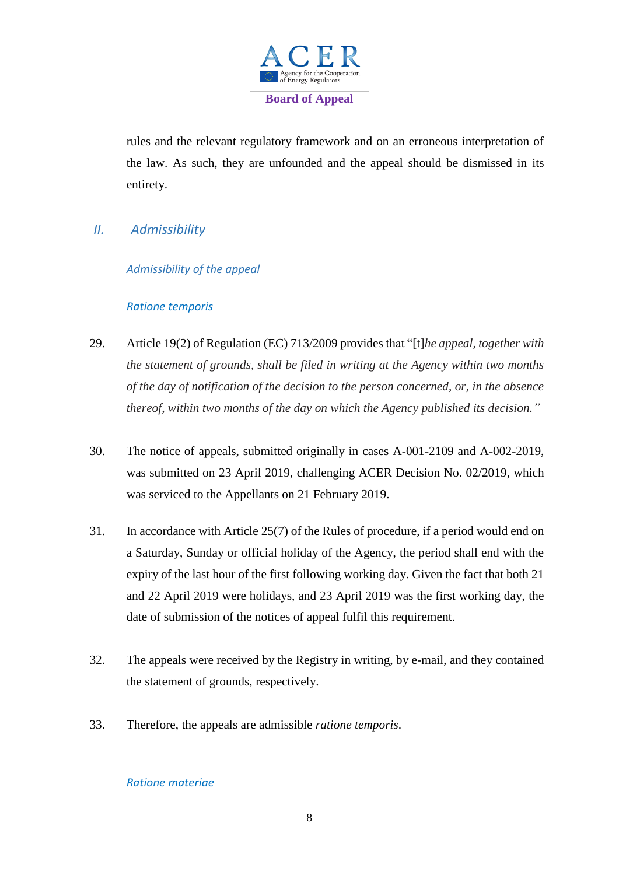

rules and the relevant regulatory framework and on an erroneous interpretation of the law. As such, they are unfounded and the appeal should be dismissed in its entirety.

*II. Admissibility*

#### *Admissibility of the appeal*

#### *Ratione temporis*

- 29. Article 19(2) of Regulation (EC) 713/2009 provides that "[t]*he appeal, together with the statement of grounds, shall be filed in writing at the Agency within two months of the day of notification of the decision to the person concerned, or, in the absence thereof, within two months of the day on which the Agency published its decision."*
- 30. The notice of appeals, submitted originally in cases A-001-2109 and A-002-2019, was submitted on 23 April 2019, challenging ACER Decision No. 02/2019, which was serviced to the Appellants on 21 February 2019.
- 31. In accordance with Article 25(7) of the Rules of procedure, if a period would end on a Saturday, Sunday or official holiday of the Agency, the period shall end with the expiry of the last hour of the first following working day. Given the fact that both 21 and 22 April 2019 were holidays, and 23 April 2019 was the first working day, the date of submission of the notices of appeal fulfil this requirement.
- 32. The appeals were received by the Registry in writing, by e-mail, and they contained the statement of grounds, respectively.
- 33. Therefore, the appeals are admissible *ratione temporis*.

#### *Ratione materiae*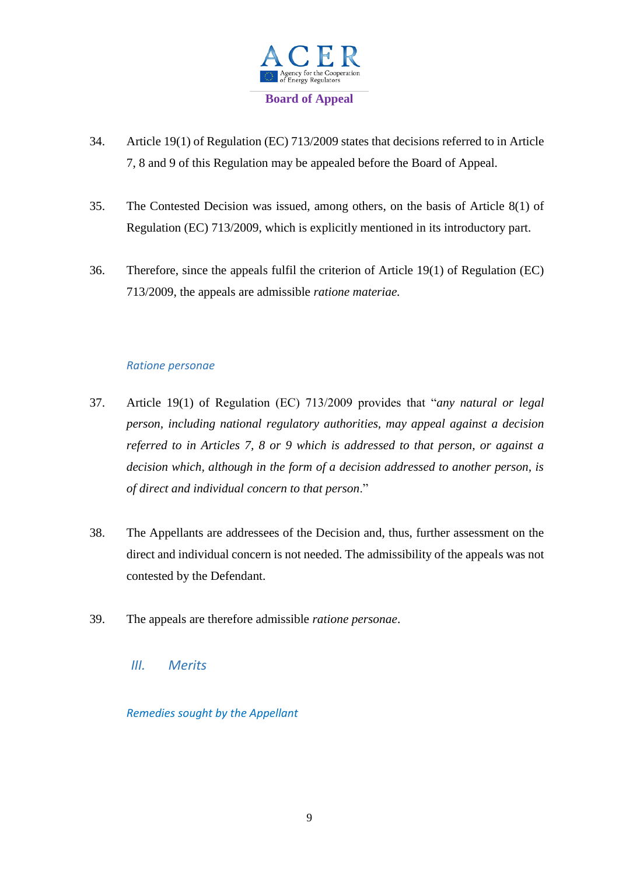

- 34. Article 19(1) of Regulation (EC) 713/2009 states that decisions referred to in Article 7, 8 and 9 of this Regulation may be appealed before the Board of Appeal.
- 35. The Contested Decision was issued, among others, on the basis of Article 8(1) of Regulation (EC) 713/2009, which is explicitly mentioned in its introductory part.
- 36. Therefore, since the appeals fulfil the criterion of Article 19(1) of Regulation (EC) 713/2009, the appeals are admissible *ratione materiae.*

#### *Ratione personae*

- 37. Article 19(1) of Regulation (EC) 713/2009 provides that "*any natural or legal person, including national regulatory authorities, may appeal against a decision referred to in Articles 7, 8 or 9 which is addressed to that person, or against a decision which, although in the form of a decision addressed to another person, is of direct and individual concern to that person*."
- 38. The Appellants are addressees of the Decision and, thus, further assessment on the direct and individual concern is not needed. The admissibility of the appeals was not contested by the Defendant.
- 39. The appeals are therefore admissible *ratione personae*.
	- *III. Merits*

*Remedies sought by the Appellant*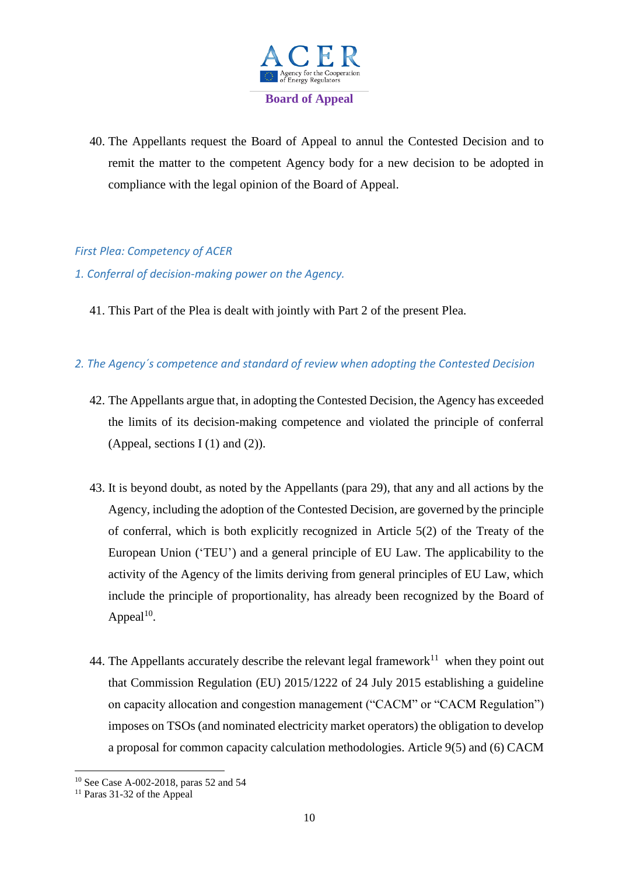

40. The Appellants request the Board of Appeal to annul the Contested Decision and to remit the matter to the competent Agency body for a new decision to be adopted in compliance with the legal opinion of the Board of Appeal.

#### *First Plea: Competency of ACER*

- *1. Conferral of decision-making power on the Agency.*
	- 41. This Part of the Plea is dealt with jointly with Part 2 of the present Plea.

#### *2. The Agency´s competence and standard of review when adopting the Contested Decision*

- 42. The Appellants argue that, in adopting the Contested Decision, the Agency has exceeded the limits of its decision-making competence and violated the principle of conferral (Appeal, sections I  $(1)$  and  $(2)$ ).
- 43. It is beyond doubt, as noted by the Appellants (para 29), that any and all actions by the Agency, including the adoption of the Contested Decision, are governed by the principle of conferral, which is both explicitly recognized in Article 5(2) of the Treaty of the European Union ('TEU') and a general principle of EU Law. The applicability to the activity of the Agency of the limits deriving from general principles of EU Law, which include the principle of proportionality, has already been recognized by the Board of Appeal $10$ .
- 44. The Appellants accurately describe the relevant legal framework<sup>11</sup> when they point out that Commission Regulation (EU) 2015/1222 of 24 July 2015 establishing a guideline on capacity allocation and congestion management ("CACM" or "CACM Regulation") imposes on TSOs (and nominated electricity market operators) the obligation to develop a proposal for common capacity calculation methodologies. Article 9(5) and (6) CACM

<sup>10</sup> See Case A-002-2018, paras 52 and 54

 $11$  Paras 31-32 of the Appeal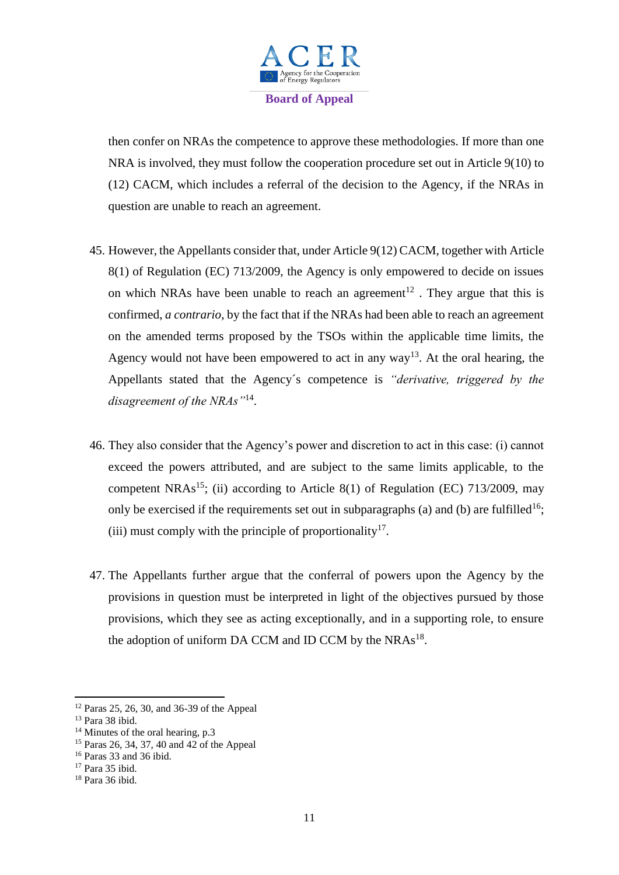

then confer on NRAs the competence to approve these methodologies. If more than one NRA is involved, they must follow the cooperation procedure set out in Article 9(10) to (12) CACM, which includes a referral of the decision to the Agency, if the NRAs in question are unable to reach an agreement.

- 45. However, the Appellants consider that, under Article 9(12) CACM, together with Article 8(1) of Regulation (EC) 713/2009, the Agency is only empowered to decide on issues on which NRAs have been unable to reach an agreement<sup>12</sup>. They argue that this is confirmed, *a contrario*, by the fact that if the NRAs had been able to reach an agreement on the amended terms proposed by the TSOs within the applicable time limits, the Agency would not have been empowered to act in any way<sup>13</sup>. At the oral hearing, the Appellants stated that the Agency´s competence is *"derivative, triggered by the disagreement of the NRAs"*<sup>14</sup> .
- 46. They also consider that the Agency's power and discretion to act in this case: (i) cannot exceed the powers attributed, and are subject to the same limits applicable, to the competent NRAs<sup>15</sup>; (ii) according to Article 8(1) of Regulation (EC) 713/2009, may only be exercised if the requirements set out in subparagraphs (a) and (b) are fulfilled<sup>16</sup>; (iii) must comply with the principle of proportionality<sup>17</sup>.
- 47. The Appellants further argue that the conferral of powers upon the Agency by the provisions in question must be interpreted in light of the objectives pursued by those provisions, which they see as acting exceptionally, and in a supporting role, to ensure the adoption of uniform DA CCM and ID CCM by the NRAs<sup>18</sup>.

<sup>12</sup> Paras 25, 26, 30, and 36-39 of the Appeal

<sup>13</sup> Para 38 ibid.

<sup>&</sup>lt;sup>14</sup> Minutes of the oral hearing, p.3

<sup>15</sup> Paras 26, 34, 37, 40 and 42 of the Appeal

<sup>16</sup> Paras 33 and 36 ibid.

<sup>17</sup> Para 35 ibid.

<sup>18</sup> Para 36 ibid.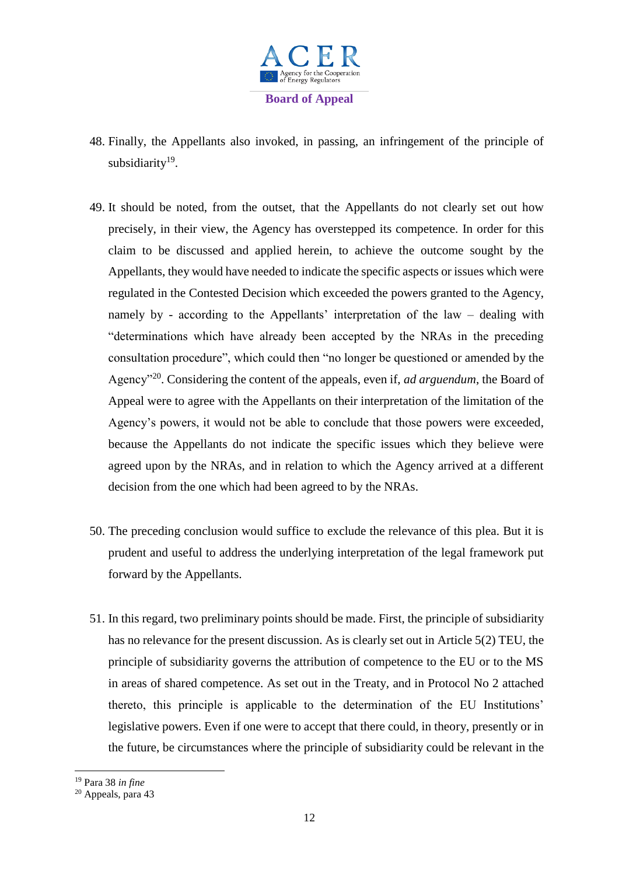

- <span id="page-11-0"></span>48. Finally, the Appellants also invoked, in passing, an infringement of the principle of subsidiarity<sup>19</sup>.
- 49. It should be noted, from the outset, that the Appellants do not clearly set out how precisely, in their view, the Agency has overstepped its competence. In order for this claim to be discussed and applied herein, to achieve the outcome sought by the Appellants, they would have needed to indicate the specific aspects or issues which were regulated in the Contested Decision which exceeded the powers granted to the Agency, namely by - according to the Appellants' interpretation of the law – dealing with "determinations which have already been accepted by the NRAs in the preceding consultation procedure", which could then "no longer be questioned or amended by the Agency"<sup>20</sup>. Considering the content of the appeals, even if, *ad arguendum*, the Board of Appeal were to agree with the Appellants on their interpretation of the limitation of the Agency's powers, it would not be able to conclude that those powers were exceeded, because the Appellants do not indicate the specific issues which they believe were agreed upon by the NRAs, and in relation to which the Agency arrived at a different decision from the one which had been agreed to by the NRAs.
- 50. The preceding conclusion would suffice to exclude the relevance of this plea. But it is prudent and useful to address the underlying interpretation of the legal framework put forward by the Appellants.
- 51. In this regard, two preliminary points should be made. First, the principle of subsidiarity has no relevance for the present discussion. As is clearly set out in Article 5(2) TEU, the principle of subsidiarity governs the attribution of competence to the EU or to the MS in areas of shared competence. As set out in the Treaty, and in Protocol No 2 attached thereto, this principle is applicable to the determination of the EU Institutions' legislative powers. Even if one were to accept that there could, in theory, presently or in the future, be circumstances where the principle of subsidiarity could be relevant in the

<sup>19</sup> Para 38 *in fine*

<sup>20</sup> Appeals, para 43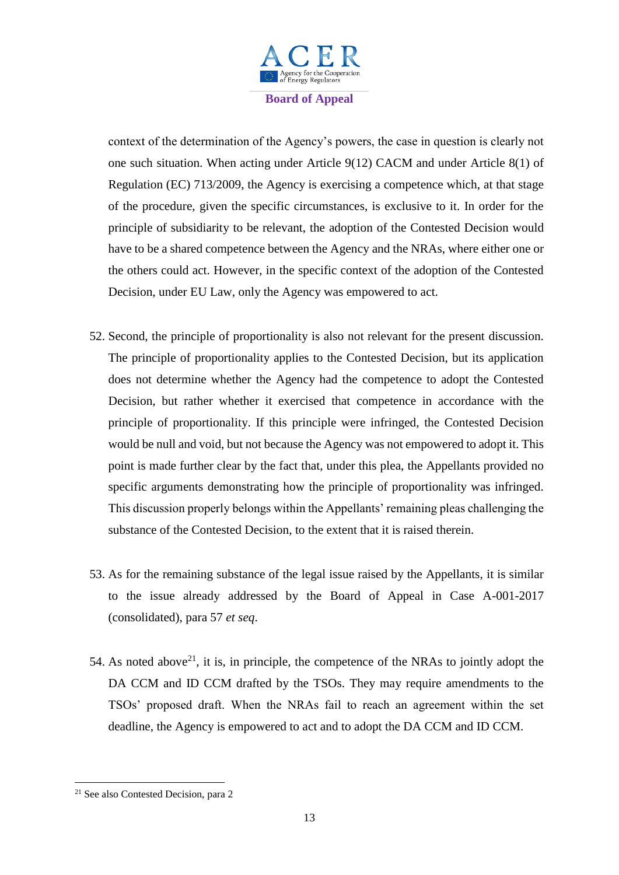

context of the determination of the Agency's powers, the case in question is clearly not one such situation. When acting under Article 9(12) CACM and under Article 8(1) of Regulation (EC) 713/2009, the Agency is exercising a competence which, at that stage of the procedure, given the specific circumstances, is exclusive to it. In order for the principle of subsidiarity to be relevant, the adoption of the Contested Decision would have to be a shared competence between the Agency and the NRAs, where either one or the others could act. However, in the specific context of the adoption of the Contested Decision, under EU Law, only the Agency was empowered to act.

- 52. Second, the principle of proportionality is also not relevant for the present discussion. The principle of proportionality applies to the Contested Decision, but its application does not determine whether the Agency had the competence to adopt the Contested Decision, but rather whether it exercised that competence in accordance with the principle of proportionality. If this principle were infringed, the Contested Decision would be null and void, but not because the Agency was not empowered to adopt it. This point is made further clear by the fact that, under this plea, the Appellants provided no specific arguments demonstrating how the principle of proportionality was infringed. This discussion properly belongs within the Appellants' remaining pleas challenging the substance of the Contested Decision, to the extent that it is raised therein.
- 53. As for the remaining substance of the legal issue raised by the Appellants, it is similar to the issue already addressed by the Board of Appeal in Case A-001-2017 (consolidated), para 57 *et seq*.
- 54. As noted above<sup>21</sup>, it is, in principle, the competence of the NRAs to jointly adopt the DA CCM and ID CCM drafted by the TSOs. They may require amendments to the TSOs' proposed draft. When the NRAs fail to reach an agreement within the set deadline, the Agency is empowered to act and to adopt the DA CCM and ID CCM.

<sup>&</sup>lt;sup>21</sup> See also Contested Decision, para 2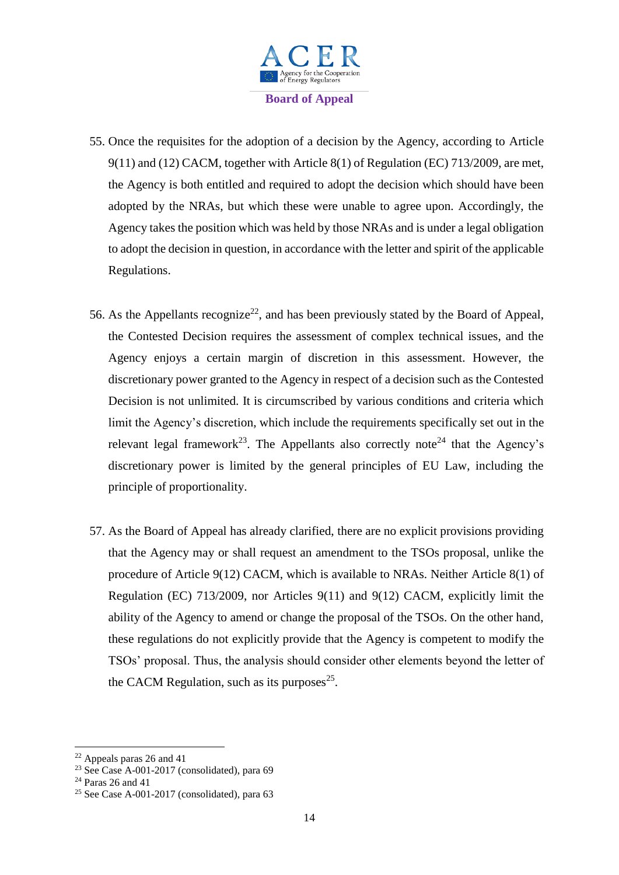

- 55. Once the requisites for the adoption of a decision by the Agency, according to Article 9(11) and (12) CACM, together with Article 8(1) of Regulation (EC) 713/2009, are met, the Agency is both entitled and required to adopt the decision which should have been adopted by the NRAs, but which these were unable to agree upon. Accordingly, the Agency takes the position which was held by those NRAs and is under a legal obligation to adopt the decision in question, in accordance with the letter and spirit of the applicable Regulations.
- 56. As the Appellants recognize<sup>22</sup>, and has been previously stated by the Board of Appeal, the Contested Decision requires the assessment of complex technical issues, and the Agency enjoys a certain margin of discretion in this assessment. However, the discretionary power granted to the Agency in respect of a decision such as the Contested Decision is not unlimited. It is circumscribed by various conditions and criteria which limit the Agency's discretion, which include the requirements specifically set out in the relevant legal framework<sup>23</sup>. The Appellants also correctly note<sup>24</sup> that the Agency's discretionary power is limited by the general principles of EU Law, including the principle of proportionality.
- 57. As the Board of Appeal has already clarified, there are no explicit provisions providing that the Agency may or shall request an amendment to the TSOs proposal, unlike the procedure of Article 9(12) CACM, which is available to NRAs. Neither Article 8(1) of Regulation (EC) 713/2009, nor Articles 9(11) and 9(12) CACM, explicitly limit the ability of the Agency to amend or change the proposal of the TSOs. On the other hand, these regulations do not explicitly provide that the Agency is competent to modify the TSOs' proposal. Thus, the analysis should consider other elements beyond the letter of the CACM Regulation, such as its purposes $25$ .

 $22$  Appeals paras 26 and 41

<sup>&</sup>lt;sup>23</sup> See Case A-001-2017 (consolidated), para 69

<sup>24</sup> Paras 26 and 41

<sup>&</sup>lt;sup>25</sup> See Case A-001-2017 (consolidated), para  $63$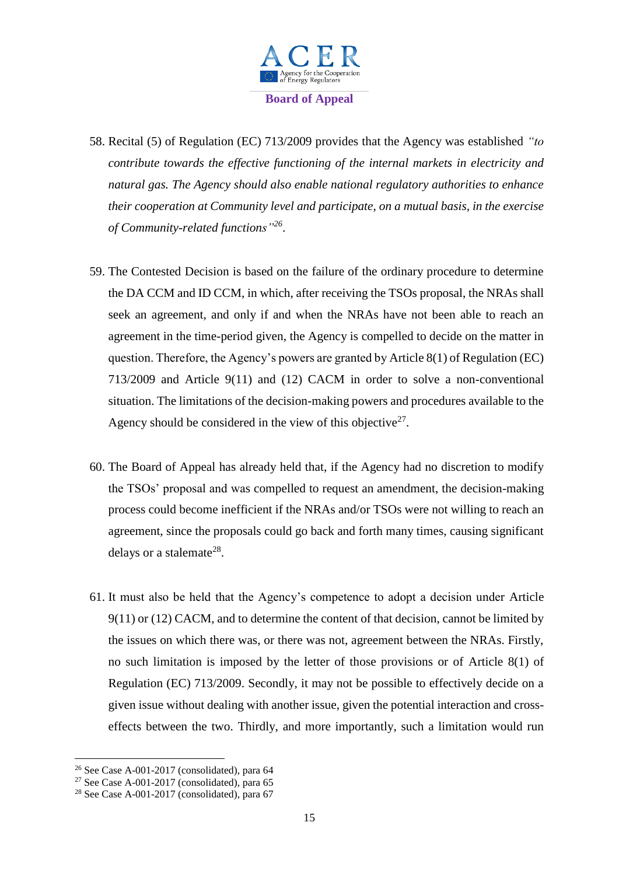

- 58. Recital (5) of Regulation (EC) 713/2009 provides that the Agency was established *"to contribute towards the effective functioning of the internal markets in electricity and natural gas. The Agency should also enable national regulatory authorities to enhance their cooperation at Community level and participate, on a mutual basis, in the exercise of Community-related functions"<sup>26</sup>* .
- 59. The Contested Decision is based on the failure of the ordinary procedure to determine the DA CCM and ID CCM, in which, after receiving the TSOs proposal, the NRAs shall seek an agreement, and only if and when the NRAs have not been able to reach an agreement in the time-period given, the Agency is compelled to decide on the matter in question. Therefore, the Agency's powers are granted by Article 8(1) of Regulation (EC) 713/2009 and Article 9(11) and (12) CACM in order to solve a non-conventional situation. The limitations of the decision-making powers and procedures available to the Agency should be considered in the view of this objective $2^7$ .
- 60. The Board of Appeal has already held that, if the Agency had no discretion to modify the TSOs' proposal and was compelled to request an amendment, the decision-making process could become inefficient if the NRAs and/or TSOs were not willing to reach an agreement, since the proposals could go back and forth many times, causing significant delays or a stalemate<sup>28</sup>.
- 61. It must also be held that the Agency's competence to adopt a decision under Article 9(11) or (12) CACM, and to determine the content of that decision, cannot be limited by the issues on which there was, or there was not, agreement between the NRAs. Firstly, no such limitation is imposed by the letter of those provisions or of Article 8(1) of Regulation (EC) 713/2009. Secondly, it may not be possible to effectively decide on a given issue without dealing with another issue, given the potential interaction and crosseffects between the two. Thirdly, and more importantly, such a limitation would run

 $\overline{\phantom{a}}$ 

<sup>26</sup> See Case A-001-2017 (consolidated), para 64

 $27$  See Case A-001-2017 (consolidated), para 65

<sup>&</sup>lt;sup>28</sup> See Case A-001-2017 (consolidated), para 67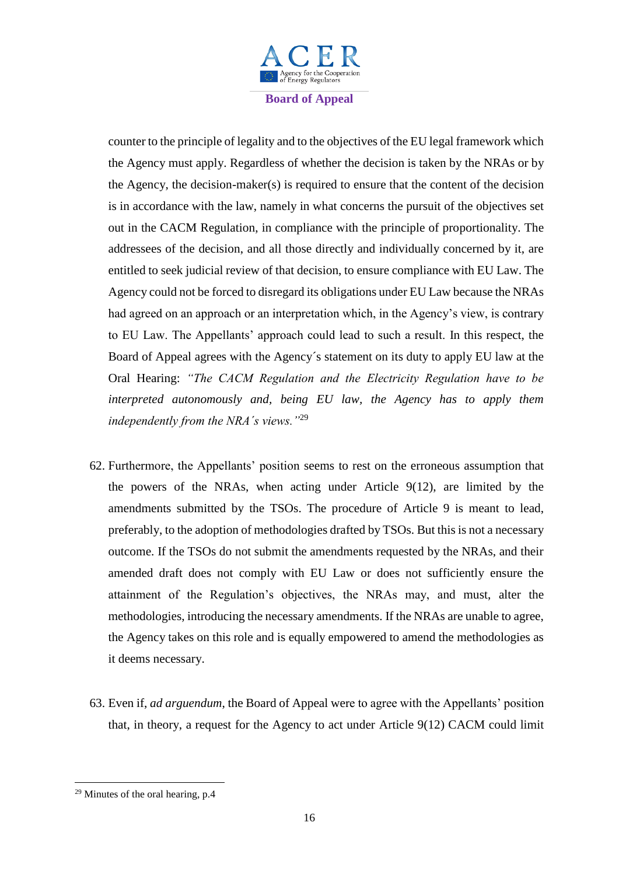

counter to the principle of legality and to the objectives of the EU legal framework which the Agency must apply. Regardless of whether the decision is taken by the NRAs or by the Agency, the decision-maker(s) is required to ensure that the content of the decision is in accordance with the law, namely in what concerns the pursuit of the objectives set out in the CACM Regulation, in compliance with the principle of proportionality. The addressees of the decision, and all those directly and individually concerned by it, are entitled to seek judicial review of that decision, to ensure compliance with EU Law. The Agency could not be forced to disregard its obligations under EU Law because the NRAs had agreed on an approach or an interpretation which, in the Agency's view, is contrary to EU Law. The Appellants' approach could lead to such a result. In this respect, the Board of Appeal agrees with the Agency´s statement on its duty to apply EU law at the Oral Hearing: *"The CACM Regulation and the Electricity Regulation have to be interpreted autonomously and, being EU law, the Agency has to apply them independently from the NRA´s views."*<sup>29</sup>

- 62. Furthermore, the Appellants' position seems to rest on the erroneous assumption that the powers of the NRAs, when acting under Article 9(12), are limited by the amendments submitted by the TSOs. The procedure of Article 9 is meant to lead, preferably, to the adoption of methodologies drafted by TSOs. But this is not a necessary outcome. If the TSOs do not submit the amendments requested by the NRAs, and their amended draft does not comply with EU Law or does not sufficiently ensure the attainment of the Regulation's objectives, the NRAs may, and must, alter the methodologies, introducing the necessary amendments. If the NRAs are unable to agree, the Agency takes on this role and is equally empowered to amend the methodologies as it deems necessary.
- 63. Even if, *ad arguendum*, the Board of Appeal were to agree with the Appellants' position that, in theory, a request for the Agency to act under Article 9(12) CACM could limit

 $29$  Minutes of the oral hearing, p.4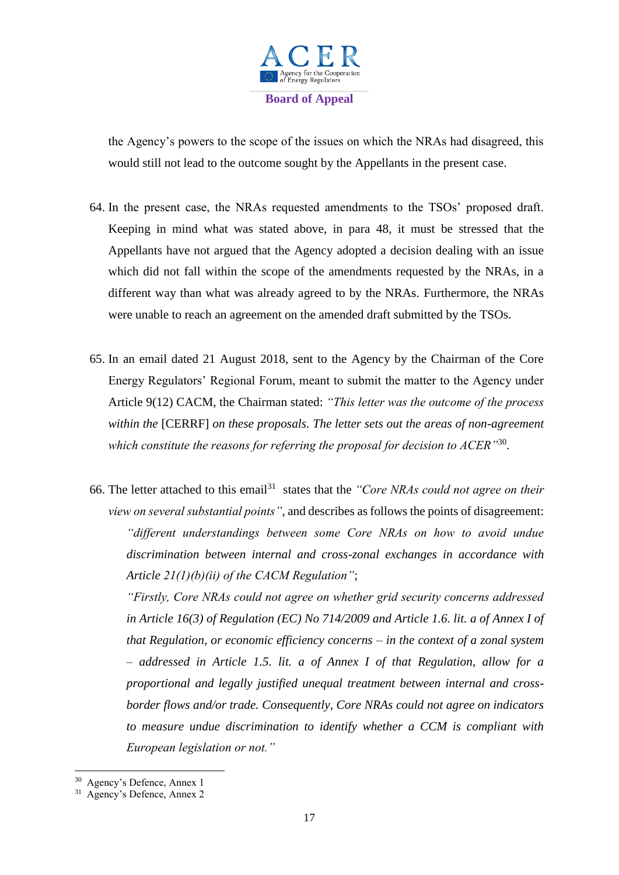

the Agency's powers to the scope of the issues on which the NRAs had disagreed, this would still not lead to the outcome sought by the Appellants in the present case.

- 64. In the present case, the NRAs requested amendments to the TSOs' proposed draft. Keeping in mind what was stated above, in para [48,](#page-11-0) it must be stressed that the Appellants have not argued that the Agency adopted a decision dealing with an issue which did not fall within the scope of the amendments requested by the NRAs, in a different way than what was already agreed to by the NRAs. Furthermore, the NRAs were unable to reach an agreement on the amended draft submitted by the TSOs.
- 65. In an email dated 21 August 2018, sent to the Agency by the Chairman of the Core Energy Regulators' Regional Forum, meant to submit the matter to the Agency under Article 9(12) CACM, the Chairman stated: *"This letter was the outcome of the process within the* [CERRF] *on these proposals. The letter sets out the areas of non-agreement which constitute the reasons for referring the proposal for decision to ACER"*<sup>30</sup> .
- 66. The letter attached to this email<sup>31</sup> states that the *"Core NRAs could not agree on their view on several substantial points"*, and describes as follows the points of disagreement: *"different understandings between some Core NRAs on how to avoid undue discrimination between internal and cross-zonal exchanges in accordance with Article 21(1)(b)(ii) of the CACM Regulation"*;

*"Firstly, Core NRAs could not agree on whether grid security concerns addressed in Article 16(3) of Regulation (EC) No 714/2009 and Article 1.6. lit. a of Annex I of that Regulation, or economic efficiency concerns – in the context of a zonal system – addressed in Article 1.5. lit. a of Annex I of that Regulation, allow for a proportional and legally justified unequal treatment between internal and crossborder flows and/or trade. Consequently, Core NRAs could not agree on indicators to measure undue discrimination to identify whether a CCM is compliant with European legislation or not."*

 30 Agency's Defence, Annex 1 31 Agency's Defence, Annex 2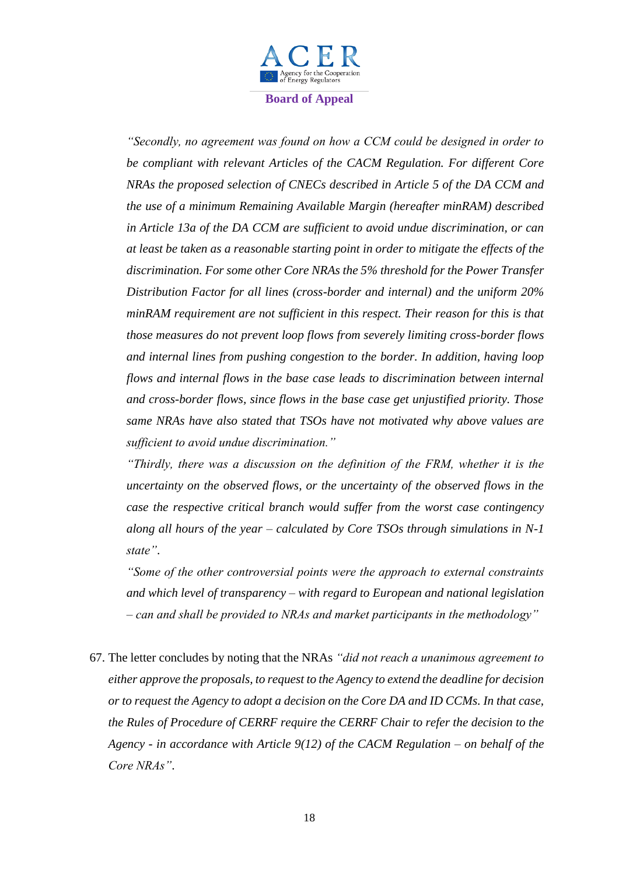

*"Secondly, no agreement was found on how a CCM could be designed in order to be compliant with relevant Articles of the CACM Regulation. For different Core NRAs the proposed selection of CNECs described in Article 5 of the DA CCM and the use of a minimum Remaining Available Margin (hereafter minRAM) described in Article 13a of the DA CCM are sufficient to avoid undue discrimination, or can at least be taken as a reasonable starting point in order to mitigate the effects of the discrimination. For some other Core NRAs the 5% threshold for the Power Transfer Distribution Factor for all lines (cross-border and internal) and the uniform 20% minRAM requirement are not sufficient in this respect. Their reason for this is that those measures do not prevent loop flows from severely limiting cross-border flows and internal lines from pushing congestion to the border. In addition, having loop flows and internal flows in the base case leads to discrimination between internal and cross-border flows, since flows in the base case get unjustified priority. Those same NRAs have also stated that TSOs have not motivated why above values are sufficient to avoid undue discrimination."*

*"Thirdly, there was a discussion on the definition of the FRM, whether it is the uncertainty on the observed flows, or the uncertainty of the observed flows in the case the respective critical branch would suffer from the worst case contingency along all hours of the year – calculated by Core TSOs through simulations in N-1 state"*.

*"Some of the other controversial points were the approach to external constraints and which level of transparency – with regard to European and national legislation – can and shall be provided to NRAs and market participants in the methodology"*

67. The letter concludes by noting that the NRAs *"did not reach a unanimous agreement to either approve the proposals, to request to the Agency to extend the deadline for decision or to request the Agency to adopt a decision on the Core DA and ID CCMs. In that case, the Rules of Procedure of CERRF require the CERRF Chair to refer the decision to the Agency - in accordance with Article 9(12) of the CACM Regulation – on behalf of the Core NRAs"*.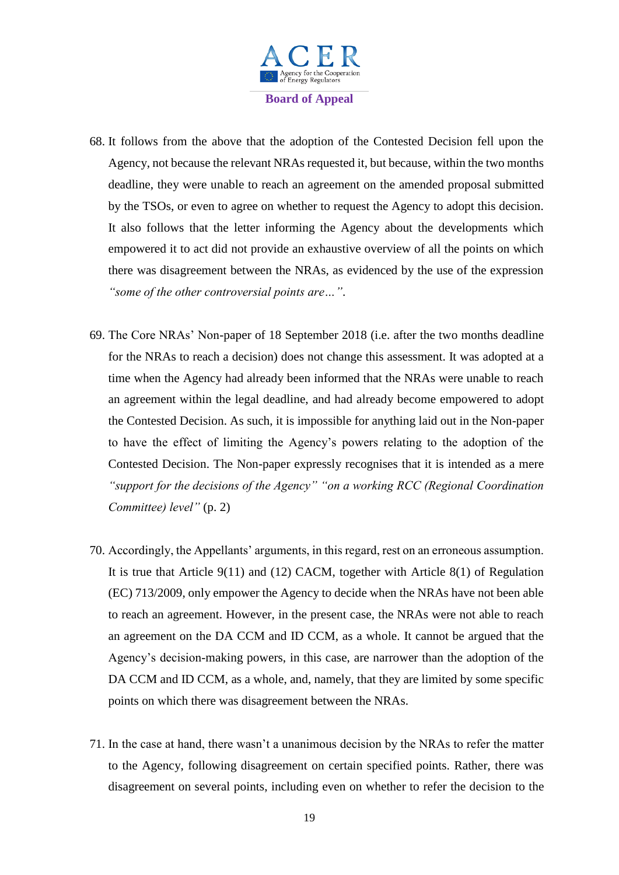

- 68. It follows from the above that the adoption of the Contested Decision fell upon the Agency, not because the relevant NRAs requested it, but because, within the two months deadline, they were unable to reach an agreement on the amended proposal submitted by the TSOs, or even to agree on whether to request the Agency to adopt this decision. It also follows that the letter informing the Agency about the developments which empowered it to act did not provide an exhaustive overview of all the points on which there was disagreement between the NRAs, as evidenced by the use of the expression *"some of the other controversial points are…"*.
- 69. The Core NRAs' Non-paper of 18 September 2018 (i.e. after the two months deadline for the NRAs to reach a decision) does not change this assessment. It was adopted at a time when the Agency had already been informed that the NRAs were unable to reach an agreement within the legal deadline, and had already become empowered to adopt the Contested Decision. As such, it is impossible for anything laid out in the Non-paper to have the effect of limiting the Agency's powers relating to the adoption of the Contested Decision. The Non-paper expressly recognises that it is intended as a mere *"support for the decisions of the Agency" "on a working RCC (Regional Coordination Committee) level"* (p. 2)
- 70. Accordingly, the Appellants' arguments, in this regard, rest on an erroneous assumption. It is true that Article 9(11) and (12) CACM, together with Article 8(1) of Regulation (EC) 713/2009, only empower the Agency to decide when the NRAs have not been able to reach an agreement. However, in the present case, the NRAs were not able to reach an agreement on the DA CCM and ID CCM, as a whole. It cannot be argued that the Agency's decision-making powers, in this case, are narrower than the adoption of the DA CCM and ID CCM, as a whole, and, namely, that they are limited by some specific points on which there was disagreement between the NRAs.
- 71. In the case at hand, there wasn't a unanimous decision by the NRAs to refer the matter to the Agency, following disagreement on certain specified points. Rather, there was disagreement on several points, including even on whether to refer the decision to the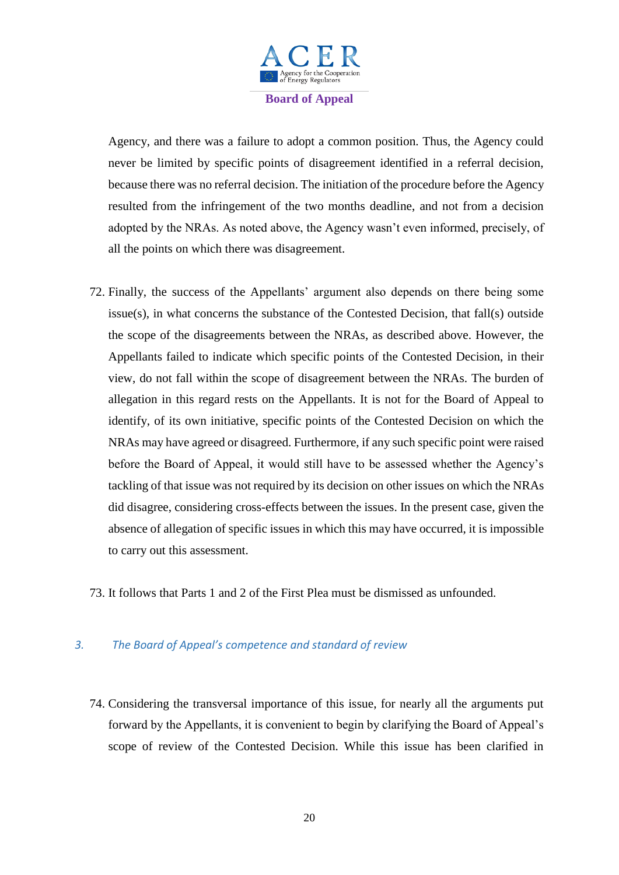

Agency, and there was a failure to adopt a common position. Thus, the Agency could never be limited by specific points of disagreement identified in a referral decision, because there was no referral decision. The initiation of the procedure before the Agency resulted from the infringement of the two months deadline, and not from a decision adopted by the NRAs. As noted above, the Agency wasn't even informed, precisely, of all the points on which there was disagreement.

- 72. Finally, the success of the Appellants' argument also depends on there being some issue(s), in what concerns the substance of the Contested Decision, that fall(s) outside the scope of the disagreements between the NRAs, as described above. However, the Appellants failed to indicate which specific points of the Contested Decision, in their view, do not fall within the scope of disagreement between the NRAs. The burden of allegation in this regard rests on the Appellants. It is not for the Board of Appeal to identify, of its own initiative, specific points of the Contested Decision on which the NRAs may have agreed or disagreed. Furthermore, if any such specific point were raised before the Board of Appeal, it would still have to be assessed whether the Agency's tackling of that issue was not required by its decision on other issues on which the NRAs did disagree, considering cross-effects between the issues. In the present case, given the absence of allegation of specific issues in which this may have occurred, it is impossible to carry out this assessment.
- 73. It follows that Parts 1 and 2 of the First Plea must be dismissed as unfounded.

#### *3. The Board of Appeal's competence and standard of review*

74. Considering the transversal importance of this issue, for nearly all the arguments put forward by the Appellants, it is convenient to begin by clarifying the Board of Appeal's scope of review of the Contested Decision. While this issue has been clarified in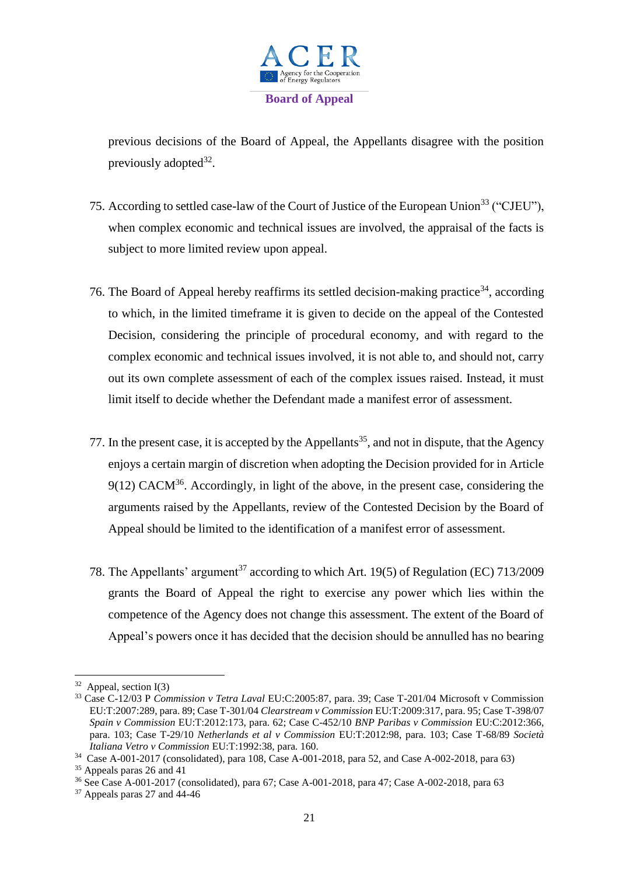

previous decisions of the Board of Appeal, the Appellants disagree with the position previously adopted<sup>32</sup>.

- 75. According to settled case-law of the Court of Justice of the European Union<sup>33</sup> ("CJEU"), when complex economic and technical issues are involved, the appraisal of the facts is subject to more limited review upon appeal.
- 76. The Board of Appeal hereby reaffirms its settled decision-making practice<sup>34</sup>, according to which, in the limited timeframe it is given to decide on the appeal of the Contested Decision, considering the principle of procedural economy, and with regard to the complex economic and technical issues involved, it is not able to, and should not, carry out its own complete assessment of each of the complex issues raised. Instead, it must limit itself to decide whether the Defendant made a manifest error of assessment.
- 77. In the present case, it is accepted by the Appellants<sup>35</sup>, and not in dispute, that the Agency enjoys a certain margin of discretion when adopting the Decision provided for in Article  $9(12)$  CACM<sup>36</sup>. Accordingly, in light of the above, in the present case, considering the arguments raised by the Appellants, review of the Contested Decision by the Board of Appeal should be limited to the identification of a manifest error of assessment.
- 78. The Appellants' argument<sup>37</sup> according to which Art. 19(5) of Regulation (EC) 713/2009 grants the Board of Appeal the right to exercise any power which lies within the competence of the Agency does not change this assessment. The extent of the Board of Appeal's powers once it has decided that the decision should be annulled has no bearing

 $32$  Appeal, section I(3)

<sup>33</sup> Case C-12/03 P *Commission v Tetra Laval* EU:C:2005:87, para. 39; Case T-201/04 Microsoft v Commission EU:T:2007:289, para. 89; Case T-301/04 *Clearstream v Commission* EU:T:2009:317, para. 95; Case T-398/07 *Spain v Commission* EU:T:2012:173, para. 62; Case C-452/10 *BNP Paribas v Commission* EU:C:2012:366, para. 103; Case T-29/10 *Netherlands et al v Commission* EU:T:2012:98, para. 103; Case T-68/89 *Società Italiana Vetro v Commission* EU:T:1992:38, para. 160.

<sup>34</sup> Case A-001-2017 (consolidated), para 108, Case A-001-2018, para 52, and Case A-002-2018, para 63)

<sup>35</sup> Appeals paras 26 and 41

<sup>36</sup> See Case A-001-2017 (consolidated), para 67; Case A-001-2018, para 47; Case A-002-2018, para 63

 $37$  Appeals paras 27 and 44-46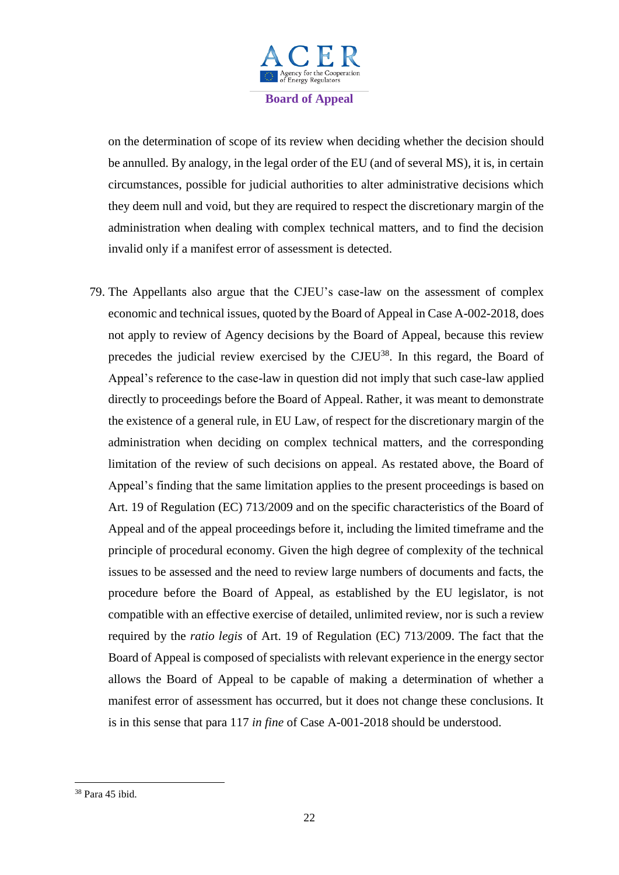

on the determination of scope of its review when deciding whether the decision should be annulled. By analogy, in the legal order of the EU (and of several MS), it is, in certain circumstances, possible for judicial authorities to alter administrative decisions which they deem null and void, but they are required to respect the discretionary margin of the administration when dealing with complex technical matters, and to find the decision invalid only if a manifest error of assessment is detected.

79. The Appellants also argue that the CJEU's case-law on the assessment of complex economic and technical issues, quoted by the Board of Appeal in Case A-002-2018, does not apply to review of Agency decisions by the Board of Appeal, because this review precedes the judicial review exercised by the CJEU<sup>38</sup>. In this regard, the Board of Appeal's reference to the case-law in question did not imply that such case-law applied directly to proceedings before the Board of Appeal. Rather, it was meant to demonstrate the existence of a general rule, in EU Law, of respect for the discretionary margin of the administration when deciding on complex technical matters, and the corresponding limitation of the review of such decisions on appeal. As restated above, the Board of Appeal's finding that the same limitation applies to the present proceedings is based on Art. 19 of Regulation (EC) 713/2009 and on the specific characteristics of the Board of Appeal and of the appeal proceedings before it, including the limited timeframe and the principle of procedural economy. Given the high degree of complexity of the technical issues to be assessed and the need to review large numbers of documents and facts, the procedure before the Board of Appeal, as established by the EU legislator, is not compatible with an effective exercise of detailed, unlimited review, nor is such a review required by the *ratio legis* of Art. 19 of Regulation (EC) 713/2009. The fact that the Board of Appeal is composed of specialists with relevant experience in the energy sector allows the Board of Appeal to be capable of making a determination of whether a manifest error of assessment has occurred, but it does not change these conclusions. It is in this sense that para 117 *in fine* of Case A-001-2018 should be understood.

<sup>38</sup> Para 45 ibid.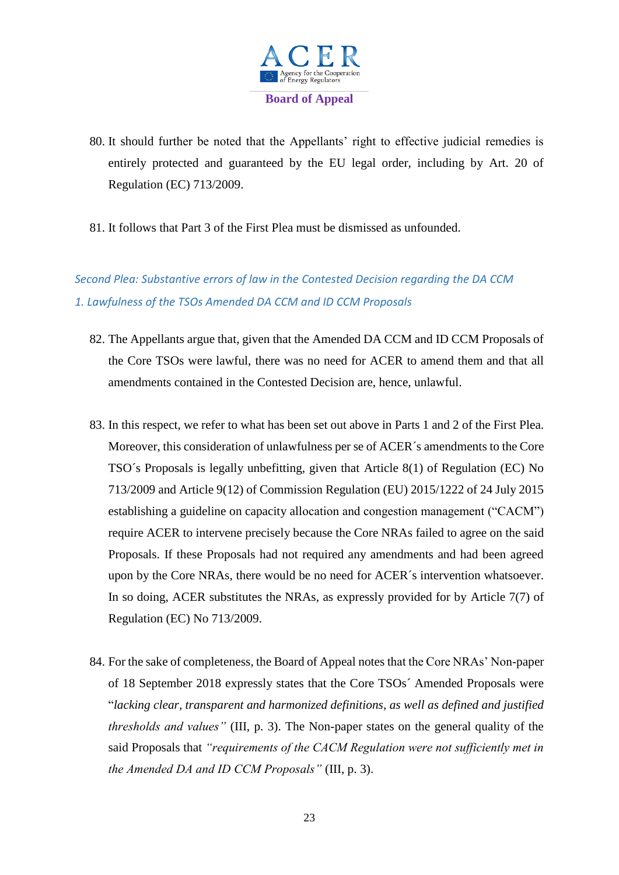

- 80. It should further be noted that the Appellants' right to effective judicial remedies is entirely protected and guaranteed by the EU legal order, including by Art. 20 of Regulation (EC) 713/2009.
- 81. It follows that Part 3 of the First Plea must be dismissed as unfounded.

# *Second Plea: Substantive errors of law in the Contested Decision regarding the DA CCM 1. Lawfulness of the TSOs Amended DA CCM and ID CCM Proposals*

- 82. The Appellants argue that, given that the Amended DA CCM and ID CCM Proposals of the Core TSOs were lawful, there was no need for ACER to amend them and that all amendments contained in the Contested Decision are, hence, unlawful.
- 83. In this respect, we refer to what has been set out above in Parts 1 and 2 of the First Plea. Moreover, this consideration of unlawfulness per se of ACER´s amendments to the Core TSO´s Proposals is legally unbefitting, given that Article 8(1) of Regulation (EC) No 713/2009 and Article 9(12) of Commission Regulation (EU) 2015/1222 of 24 July 2015 establishing a guideline on capacity allocation and congestion management ("CACM") require ACER to intervene precisely because the Core NRAs failed to agree on the said Proposals. If these Proposals had not required any amendments and had been agreed upon by the Core NRAs, there would be no need for ACER´s intervention whatsoever. In so doing, ACER substitutes the NRAs, as expressly provided for by Article 7(7) of Regulation (EC) No 713/2009.
- 84. For the sake of completeness, the Board of Appeal notes that the Core NRAs' Non-paper of 18 September 2018 expressly states that the Core TSOs´ Amended Proposals were "*lacking clear, transparent and harmonized definitions, as well as defined and justified thresholds and values"* (III, p. 3). The Non-paper states on the general quality of the said Proposals that *"requirements of the CACM Regulation were not sufficiently met in the Amended DA and ID CCM Proposals"* (III, p. 3).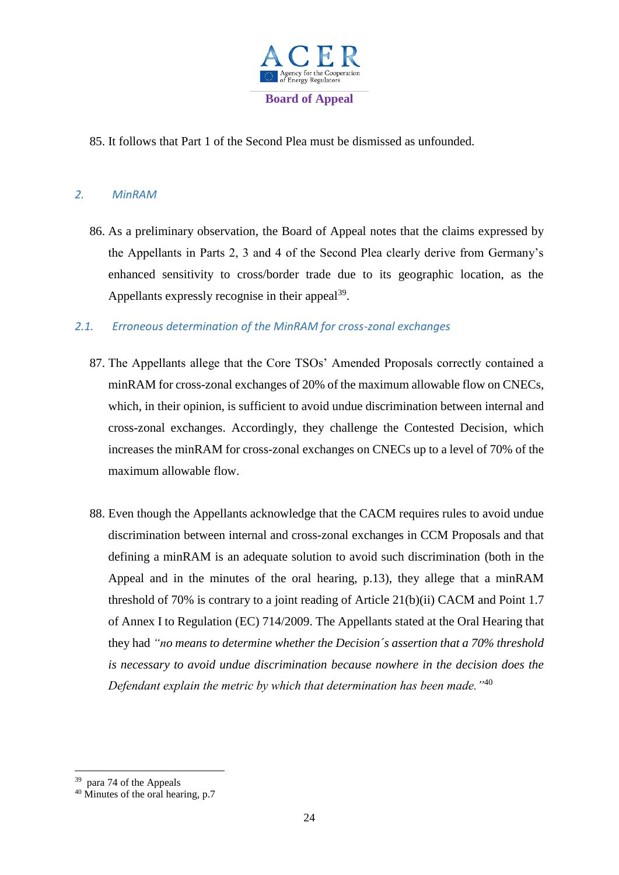

85. It follows that Part 1 of the Second Plea must be dismissed as unfounded.

#### *2. MinRAM*

86. As a preliminary observation, the Board of Appeal notes that the claims expressed by the Appellants in Parts 2, 3 and 4 of the Second Plea clearly derive from Germany's enhanced sensitivity to cross/border trade due to its geographic location, as the Appellants expressly recognise in their appeal $^{39}$ .

#### *2.1. Erroneous determination of the MinRAM for cross-zonal exchanges*

- 87. The Appellants allege that the Core TSOs' Amended Proposals correctly contained a minRAM for cross-zonal exchanges of 20% of the maximum allowable flow on CNECs, which, in their opinion, is sufficient to avoid undue discrimination between internal and cross-zonal exchanges. Accordingly, they challenge the Contested Decision, which increases the minRAM for cross-zonal exchanges on CNECs up to a level of 70% of the maximum allowable flow.
- 88. Even though the Appellants acknowledge that the CACM requires rules to avoid undue discrimination between internal and cross-zonal exchanges in CCM Proposals and that defining a minRAM is an adequate solution to avoid such discrimination (both in the Appeal and in the minutes of the oral hearing, p.13), they allege that a minRAM threshold of 70% is contrary to a joint reading of Article 21(b)(ii) CACM and Point 1.7 of Annex I to Regulation (EC) 714/2009. The Appellants stated at the Oral Hearing that they had *"no means to determine whether the Decision´s assertion that a 70% threshold is necessary to avoid undue discrimination because nowhere in the decision does the Defendant explain the metric by which that determination has been made."*<sup>40</sup>

<sup>&</sup>lt;sup>39</sup> para 74 of the Appeals

 $40$  Minutes of the oral hearing, p.7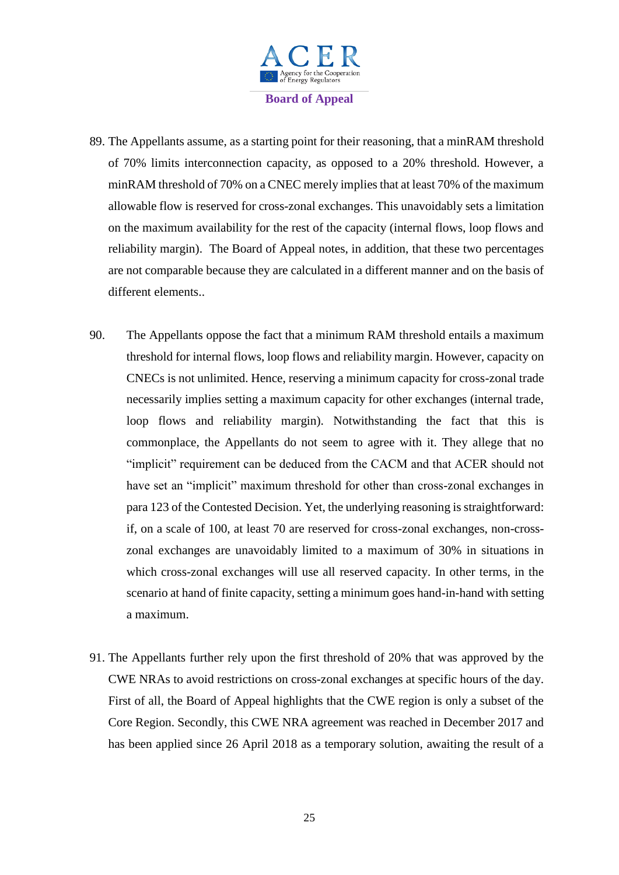

- 89. The Appellants assume, as a starting point for their reasoning, that a minRAM threshold of 70% limits interconnection capacity, as opposed to a 20% threshold. However, a minRAM threshold of 70% on a CNEC merely implies that at least 70% of the maximum allowable flow is reserved for cross-zonal exchanges. This unavoidably sets a limitation on the maximum availability for the rest of the capacity (internal flows, loop flows and reliability margin). The Board of Appeal notes, in addition, that these two percentages are not comparable because they are calculated in a different manner and on the basis of different elements..
- 90. The Appellants oppose the fact that a minimum RAM threshold entails a maximum threshold for internal flows, loop flows and reliability margin. However, capacity on CNECs is not unlimited. Hence, reserving a minimum capacity for cross-zonal trade necessarily implies setting a maximum capacity for other exchanges (internal trade, loop flows and reliability margin). Notwithstanding the fact that this is commonplace, the Appellants do not seem to agree with it. They allege that no "implicit" requirement can be deduced from the CACM and that ACER should not have set an "implicit" maximum threshold for other than cross-zonal exchanges in para 123 of the Contested Decision. Yet, the underlying reasoning is straightforward: if, on a scale of 100, at least 70 are reserved for cross-zonal exchanges, non-crosszonal exchanges are unavoidably limited to a maximum of 30% in situations in which cross-zonal exchanges will use all reserved capacity. In other terms, in the scenario at hand of finite capacity, setting a minimum goes hand-in-hand with setting a maximum.
- 91. The Appellants further rely upon the first threshold of 20% that was approved by the CWE NRAs to avoid restrictions on cross-zonal exchanges at specific hours of the day. First of all, the Board of Appeal highlights that the CWE region is only a subset of the Core Region. Secondly, this CWE NRA agreement was reached in December 2017 and has been applied since 26 April 2018 as a temporary solution, awaiting the result of a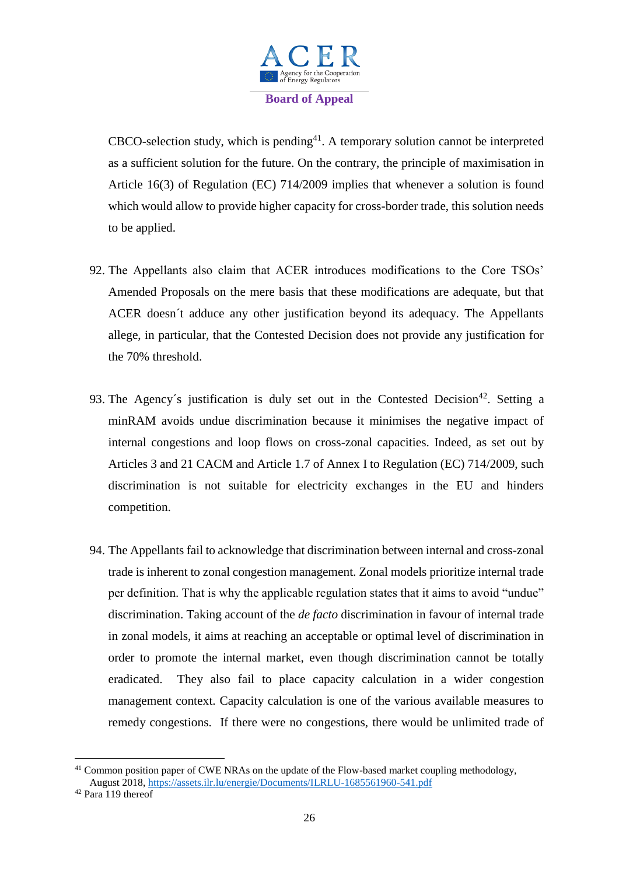

 $CBCO$ -selection study, which is pending<sup>41</sup>. A temporary solution cannot be interpreted as a sufficient solution for the future. On the contrary, the principle of maximisation in Article 16(3) of Regulation (EC) 714/2009 implies that whenever a solution is found which would allow to provide higher capacity for cross-border trade, this solution needs to be applied.

- 92. The Appellants also claim that ACER introduces modifications to the Core TSOs' Amended Proposals on the mere basis that these modifications are adequate, but that ACER doesn´t adduce any other justification beyond its adequacy. The Appellants allege, in particular, that the Contested Decision does not provide any justification for the 70% threshold.
- 93. The Agency's justification is duly set out in the Contested Decision<sup>42</sup>. Setting a minRAM avoids undue discrimination because it minimises the negative impact of internal congestions and loop flows on cross-zonal capacities. Indeed, as set out by Articles 3 and 21 CACM and Article 1.7 of Annex I to Regulation (EC) 714/2009, such discrimination is not suitable for electricity exchanges in the EU and hinders competition.
- 94. The Appellants fail to acknowledge that discrimination between internal and cross-zonal trade is inherent to zonal congestion management. Zonal models prioritize internal trade per definition. That is why the applicable regulation states that it aims to avoid "undue" discrimination. Taking account of the *de facto* discrimination in favour of internal trade in zonal models, it aims at reaching an acceptable or optimal level of discrimination in order to promote the internal market, even though discrimination cannot be totally eradicated. They also fail to place capacity calculation in a wider congestion management context. Capacity calculation is one of the various available measures to remedy congestions. If there were no congestions, there would be unlimited trade of

 $\overline{\phantom{a}}$ 

 $41$  Common position paper of CWE NRAs on the update of the Flow-based market coupling methodology, August 2018[, https://assets.ilr.lu/energie/Documents/ILRLU-1685561960-541.pdf](https://assets.ilr.lu/energie/Documents/ILRLU-1685561960-541.pdf)

 $42$  Para 119 thereof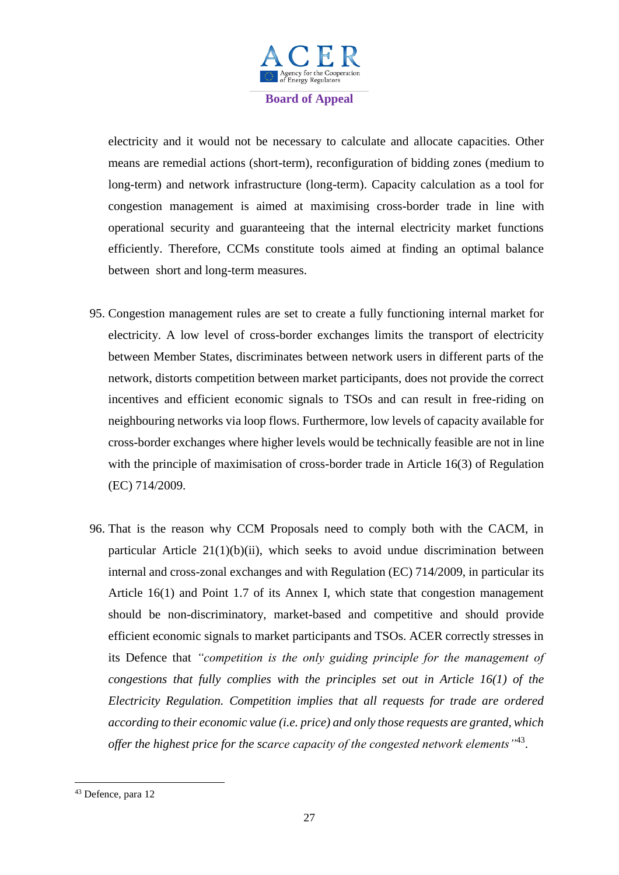

electricity and it would not be necessary to calculate and allocate capacities. Other means are remedial actions (short-term), reconfiguration of bidding zones (medium to long-term) and network infrastructure (long-term). Capacity calculation as a tool for congestion management is aimed at maximising cross-border trade in line with operational security and guaranteeing that the internal electricity market functions efficiently. Therefore, CCMs constitute tools aimed at finding an optimal balance between short and long-term measures.

- 95. Congestion management rules are set to create a fully functioning internal market for electricity. A low level of cross-border exchanges limits the transport of electricity between Member States, discriminates between network users in different parts of the network, distorts competition between market participants, does not provide the correct incentives and efficient economic signals to TSOs and can result in free-riding on neighbouring networks via loop flows. Furthermore, low levels of capacity available for cross-border exchanges where higher levels would be technically feasible are not in line with the principle of maximisation of cross-border trade in Article 16(3) of Regulation (EC) 714/2009.
- 96. That is the reason why CCM Proposals need to comply both with the CACM, in particular Article  $21(1)(b)(ii)$ , which seeks to avoid undue discrimination between internal and cross-zonal exchanges and with Regulation (EC) 714/2009, in particular its Article 16(1) and Point 1.7 of its Annex I, which state that congestion management should be non-discriminatory, market-based and competitive and should provide efficient economic signals to market participants and TSOs. ACER correctly stresses in its Defence that *"competition is the only guiding principle for the management of congestions that fully complies with the principles set out in Article 16(1) of the Electricity Regulation. Competition implies that all requests for trade are ordered according to their economic value (i.e. price) and only those requests are granted, which offer the highest price for the scarce capacity of the congested network elements"*<sup>43</sup> .

<sup>43</sup> Defence, para 12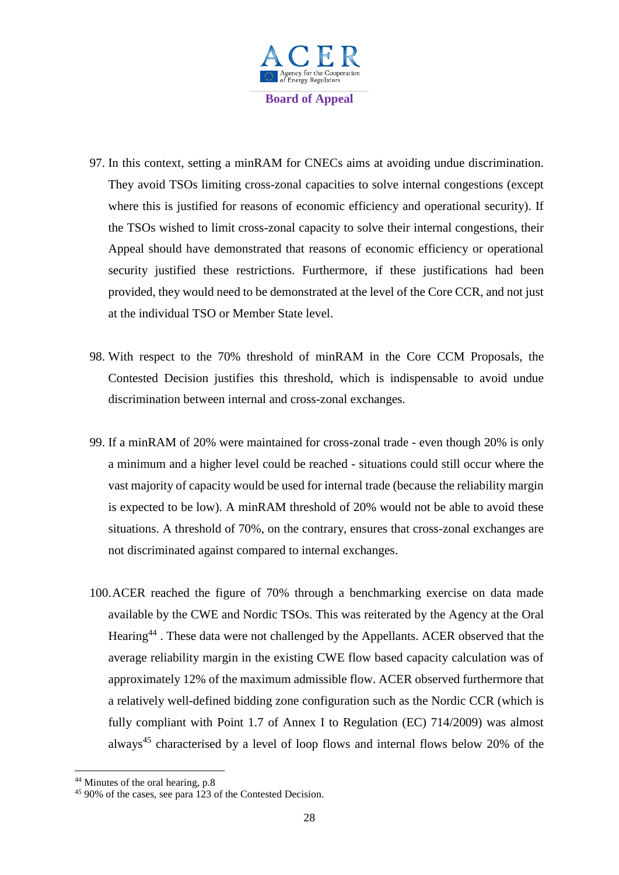

- 97. In this context, setting a minRAM for CNECs aims at avoiding undue discrimination. They avoid TSOs limiting cross-zonal capacities to solve internal congestions (except where this is justified for reasons of economic efficiency and operational security). If the TSOs wished to limit cross-zonal capacity to solve their internal congestions, their Appeal should have demonstrated that reasons of economic efficiency or operational security justified these restrictions. Furthermore, if these justifications had been provided, they would need to be demonstrated at the level of the Core CCR, and not just at the individual TSO or Member State level.
- 98. With respect to the 70% threshold of minRAM in the Core CCM Proposals, the Contested Decision justifies this threshold, which is indispensable to avoid undue discrimination between internal and cross-zonal exchanges.
- 99. If a minRAM of 20% were maintained for cross-zonal trade even though 20% is only a minimum and a higher level could be reached - situations could still occur where the vast majority of capacity would be used for internal trade (because the reliability margin is expected to be low). A minRAM threshold of 20% would not be able to avoid these situations. A threshold of 70%, on the contrary, ensures that cross-zonal exchanges are not discriminated against compared to internal exchanges.
- 100.ACER reached the figure of 70% through a benchmarking exercise on data made available by the CWE and Nordic TSOs. This was reiterated by the Agency at the Oral Hearing<sup>44</sup>. These data were not challenged by the Appellants. ACER observed that the average reliability margin in the existing CWE flow based capacity calculation was of approximately 12% of the maximum admissible flow. ACER observed furthermore that a relatively well-defined bidding zone configuration such as the Nordic CCR (which is fully compliant with Point 1.7 of Annex I to Regulation (EC) 714/2009) was almost always<sup>45</sup> characterised by a level of loop flows and internal flows below 20% of the

<sup>44</sup> Minutes of the oral hearing, p.8

<sup>45</sup> 90% of the cases, see para 123 of the Contested Decision.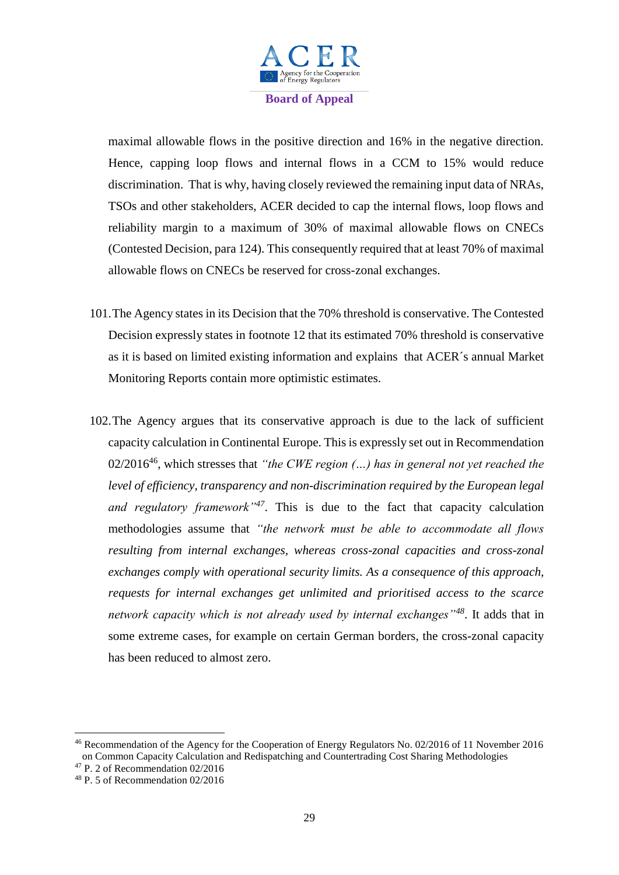

maximal allowable flows in the positive direction and 16% in the negative direction. Hence, capping loop flows and internal flows in a CCM to 15% would reduce discrimination. That is why, having closely reviewed the remaining input data of NRAs, TSOs and other stakeholders, ACER decided to cap the internal flows, loop flows and reliability margin to a maximum of 30% of maximal allowable flows on CNECs (Contested Decision, para 124). This consequently required that at least 70% of maximal allowable flows on CNECs be reserved for cross-zonal exchanges.

- 101.The Agency states in its Decision that the 70% threshold is conservative. The Contested Decision expressly states in footnote 12 that its estimated 70% threshold is conservative as it is based on limited existing information and explains that ACER´s annual Market Monitoring Reports contain more optimistic estimates.
- 102.The Agency argues that its conservative approach is due to the lack of sufficient capacity calculation in Continental Europe. This is expressly set out in Recommendation 02/2016<sup>46</sup>, which stresses that *"the CWE region (…) has in general not yet reached the level of efficiency, transparency and non-discrimination required by the European legal and regulatory framework"<sup>47</sup>*. This is due to the fact that capacity calculation methodologies assume that *"the network must be able to accommodate all flows resulting from internal exchanges, whereas cross-zonal capacities and cross-zonal exchanges comply with operational security limits. As a consequence of this approach, requests for internal exchanges get unlimited and prioritised access to the scarce network capacity which is not already used by internal exchanges"<sup>48</sup>*. It adds that in some extreme cases, for example on certain German borders, the cross-zonal capacity has been reduced to almost zero.

<sup>46</sup> Recommendation of the Agency for the Cooperation of Energy Regulators No. 02/2016 of 11 November 2016 on Common Capacity Calculation and Redispatching and Countertrading Cost Sharing Methodologies

<sup>47</sup> P. 2 of Recommendation 02/2016

<sup>48</sup> P. 5 of Recommendation 02/2016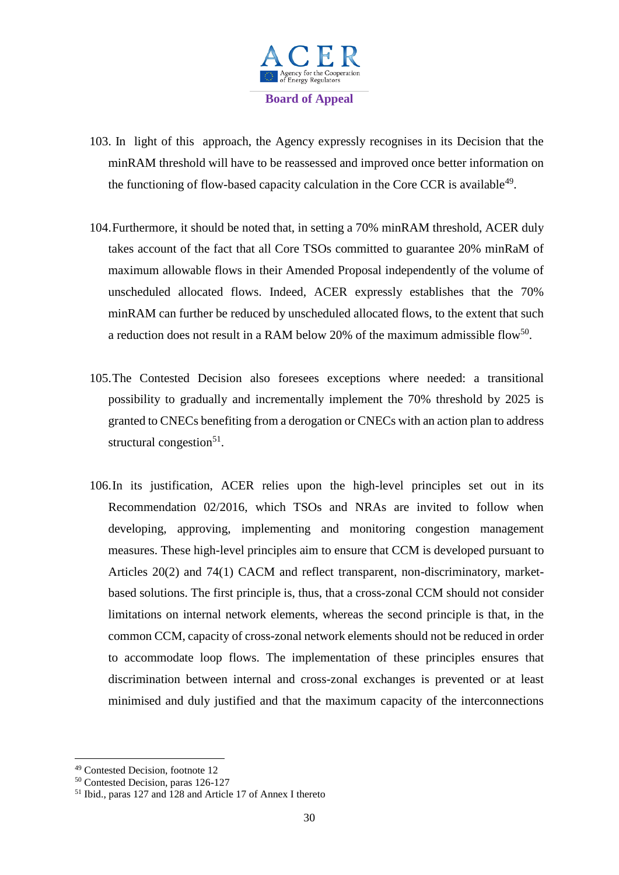

- 103. In light of this approach, the Agency expressly recognises in its Decision that the minRAM threshold will have to be reassessed and improved once better information on the functioning of flow-based capacity calculation in the Core CCR is available<sup>49</sup>.
- 104.Furthermore, it should be noted that, in setting a 70% minRAM threshold, ACER duly takes account of the fact that all Core TSOs committed to guarantee 20% minRaM of maximum allowable flows in their Amended Proposal independently of the volume of unscheduled allocated flows. Indeed, ACER expressly establishes that the 70% minRAM can further be reduced by unscheduled allocated flows, to the extent that such a reduction does not result in a RAM below 20% of the maximum admissible flow<sup>50</sup>.
- 105.The Contested Decision also foresees exceptions where needed: a transitional possibility to gradually and incrementally implement the 70% threshold by 2025 is granted to CNECs benefiting from a derogation or CNECs with an action plan to address structural congestion<sup>51</sup>.
- 106.In its justification, ACER relies upon the high-level principles set out in its Recommendation 02/2016, which TSOs and NRAs are invited to follow when developing, approving, implementing and monitoring congestion management measures. These high-level principles aim to ensure that CCM is developed pursuant to Articles 20(2) and 74(1) CACM and reflect transparent, non-discriminatory, marketbased solutions. The first principle is, thus, that a cross-zonal CCM should not consider limitations on internal network elements, whereas the second principle is that, in the common CCM, capacity of cross-zonal network elements should not be reduced in order to accommodate loop flows. The implementation of these principles ensures that discrimination between internal and cross-zonal exchanges is prevented or at least minimised and duly justified and that the maximum capacity of the interconnections

 $\overline{\phantom{a}}$ <sup>49</sup> Contested Decision, footnote 12

<sup>50</sup> Contested Decision, paras 126-127

<sup>51</sup> Ibid., paras 127 and 128 and Article 17 of Annex I thereto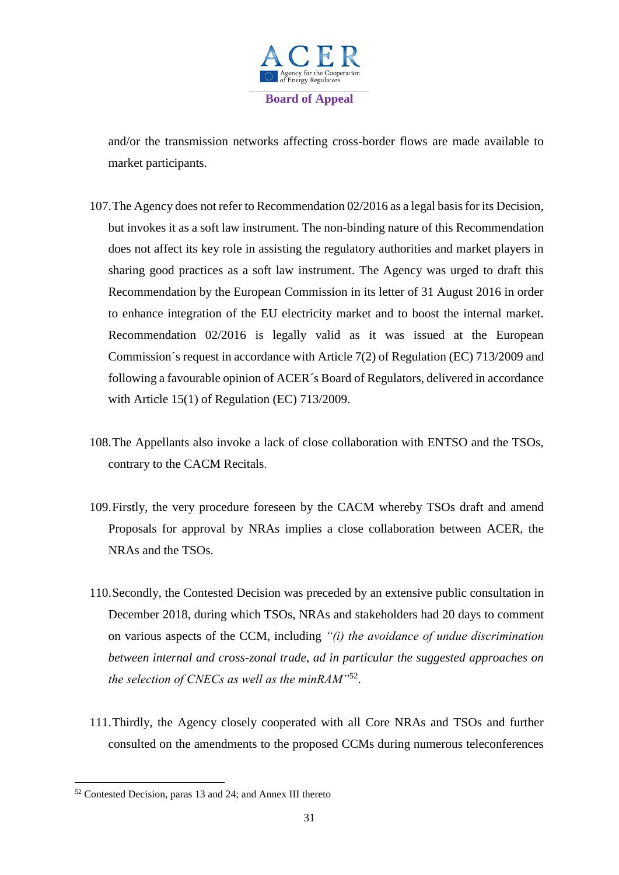

and/or the transmission networks affecting cross-border flows are made available to market participants.

- 107.The Agency does not refer to Recommendation 02/2016 as a legal basis for its Decision, but invokes it as a soft law instrument. The non-binding nature of this Recommendation does not affect its key role in assisting the regulatory authorities and market players in sharing good practices as a soft law instrument. The Agency was urged to draft this Recommendation by the European Commission in its letter of 31 August 2016 in order to enhance integration of the EU electricity market and to boost the internal market. Recommendation 02/2016 is legally valid as it was issued at the European Commission´s request in accordance with Article 7(2) of Regulation (EC) 713/2009 and following a favourable opinion of ACER´s Board of Regulators, delivered in accordance with Article 15(1) of Regulation (EC) 713/2009.
- 108.The Appellants also invoke a lack of close collaboration with ENTSO and the TSOs, contrary to the CACM Recitals.
- 109.Firstly, the very procedure foreseen by the CACM whereby TSOs draft and amend Proposals for approval by NRAs implies a close collaboration between ACER, the NRAs and the TSOs.
- 110.Secondly, the Contested Decision was preceded by an extensive public consultation in December 2018, during which TSOs, NRAs and stakeholders had 20 days to comment on various aspects of the CCM, including *"(i) the avoidance of undue discrimination between internal and cross-zonal trade, ad in particular the suggested approaches on the selection of CNECs as well as the minRAM"*<sup>52</sup> .
- 111.Thirdly, the Agency closely cooperated with all Core NRAs and TSOs and further consulted on the amendments to the proposed CCMs during numerous teleconferences

<sup>52</sup> Contested Decision, paras 13 and 24; and Annex III thereto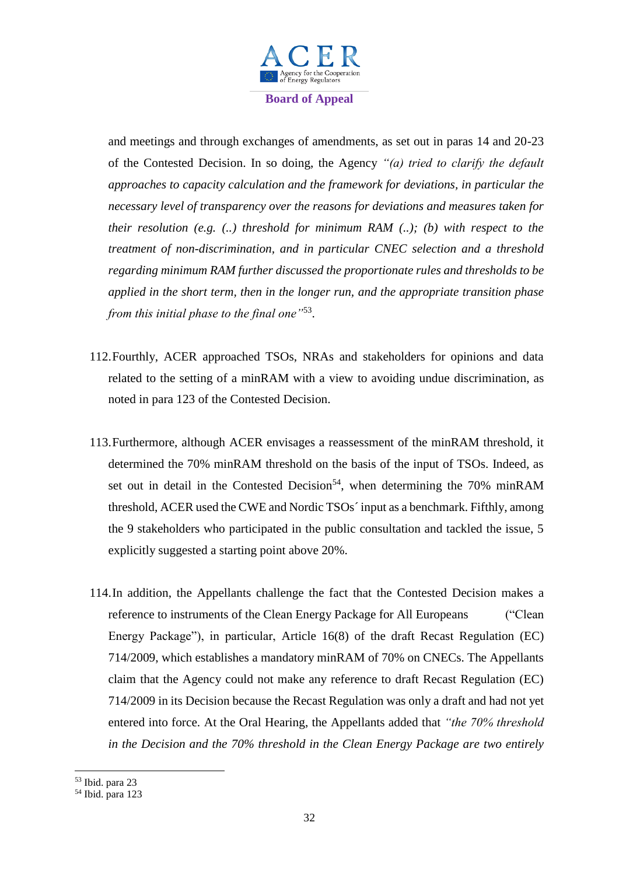

and meetings and through exchanges of amendments, as set out in paras 14 and 20-23 of the Contested Decision. In so doing, the Agency *"(a) tried to clarify the default approaches to capacity calculation and the framework for deviations, in particular the necessary level of transparency over the reasons for deviations and measures taken for their resolution (e.g. (..) threshold for minimum RAM (..); (b) with respect to the treatment of non-discrimination, and in particular CNEC selection and a threshold regarding minimum RAM further discussed the proportionate rules and thresholds to be applied in the short term, then in the longer run, and the appropriate transition phase from this initial phase to the final one"*<sup>53</sup> .

- 112.Fourthly, ACER approached TSOs, NRAs and stakeholders for opinions and data related to the setting of a minRAM with a view to avoiding undue discrimination, as noted in para 123 of the Contested Decision.
- 113.Furthermore, although ACER envisages a reassessment of the minRAM threshold, it determined the 70% minRAM threshold on the basis of the input of TSOs. Indeed, as set out in detail in the Contested Decision<sup>54</sup>, when determining the 70% minRAM threshold, ACER used the CWE and Nordic TSOs´ input as a benchmark. Fifthly, among the 9 stakeholders who participated in the public consultation and tackled the issue, 5 explicitly suggested a starting point above 20%.
- 114.In addition, the Appellants challenge the fact that the Contested Decision makes a reference to instruments of the Clean Energy Package for All Europeans ("Clean Energy Package"), in particular, Article 16(8) of the draft Recast Regulation (EC) 714/2009, which establishes a mandatory minRAM of 70% on CNECs. The Appellants claim that the Agency could not make any reference to draft Recast Regulation (EC) 714/2009 in its Decision because the Recast Regulation was only a draft and had not yet entered into force. At the Oral Hearing, the Appellants added that *"the 70% threshold in the Decision and the 70% threshold in the Clean Energy Package are two entirely*

<sup>53</sup> Ibid. para 23

 $54$  Ibid. para 123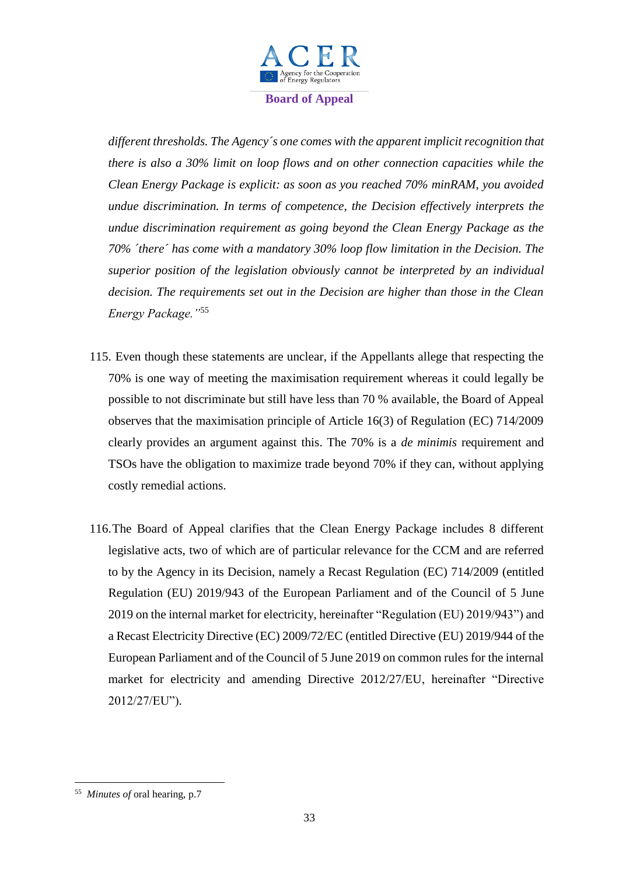

*different thresholds. The Agency´s one comes with the apparent implicit recognition that there is also a 30% limit on loop flows and on other connection capacities while the Clean Energy Package is explicit: as soon as you reached 70% minRAM, you avoided undue discrimination. In terms of competence, the Decision effectively interprets the undue discrimination requirement as going beyond the Clean Energy Package as the 70% ´there´ has come with a mandatory 30% loop flow limitation in the Decision. The superior position of the legislation obviously cannot be interpreted by an individual decision. The requirements set out in the Decision are higher than those in the Clean Energy Package."*<sup>55</sup>

- 115. Even though these statements are unclear, if the Appellants allege that respecting the 70% is one way of meeting the maximisation requirement whereas it could legally be possible to not discriminate but still have less than 70 % available, the Board of Appeal observes that the maximisation principle of Article 16(3) of Regulation (EC) 714/2009 clearly provides an argument against this. The 70% is a *de minimis* requirement and TSOs have the obligation to maximize trade beyond 70% if they can, without applying costly remedial actions.
- 116.The Board of Appeal clarifies that the Clean Energy Package includes 8 different legislative acts, two of which are of particular relevance for the CCM and are referred to by the Agency in its Decision, namely a Recast Regulation (EC) 714/2009 (entitled Regulation (EU) 2019/943 of the European Parliament and of the Council of 5 June 2019 on the internal market for electricity, hereinafter "Regulation (EU) 2019/943") and a Recast Electricity Directive (EC) 2009/72/EC (entitled Directive (EU) 2019/944 of the European Parliament and of the Council of 5 June 2019 on common rules for the internal market for electricity and amending Directive 2012/27/EU, hereinafter "Directive 2012/27/EU").

**<sup>.</sup>** <sup>55</sup> *Minutes of* oral hearing, p.7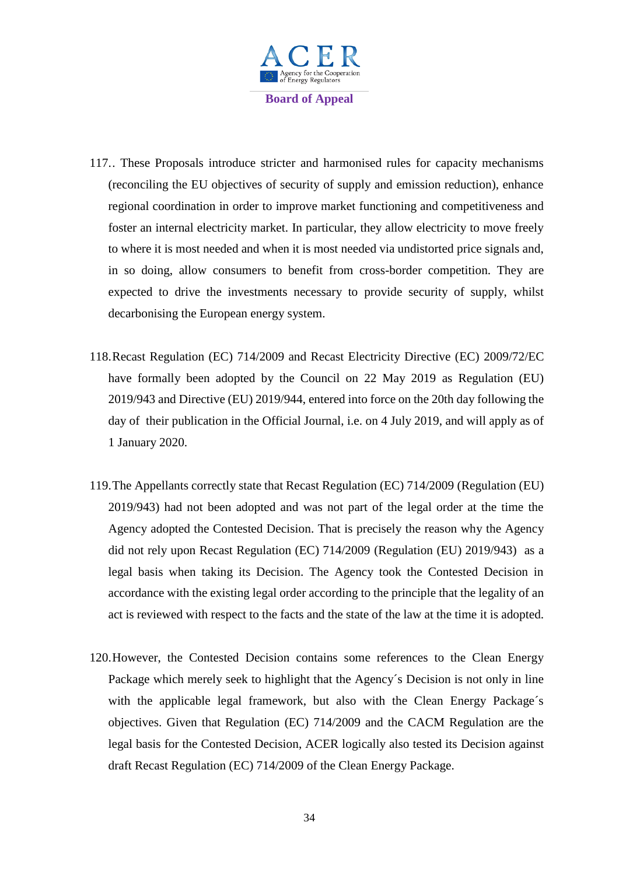

- 117.. These Proposals introduce stricter and harmonised rules for capacity mechanisms (reconciling the EU objectives of security of supply and emission reduction), enhance regional coordination in order to improve market functioning and competitiveness and foster an internal electricity market. In particular, they allow electricity to move freely to where it is most needed and when it is most needed via undistorted price signals and, in so doing, allow consumers to benefit from cross-border competition. They are expected to drive the investments necessary to provide security of supply, whilst decarbonising the European energy system.
- 118.Recast Regulation (EC) 714/2009 and Recast Electricity Directive (EC) 2009/72/EC have formally been adopted by the Council on 22 May 2019 as Regulation (EU) 2019/943 and Directive (EU) 2019/944, entered into force on the 20th day following the day of their publication in the Official Journal, i.e. on 4 July 2019, and will apply as of 1 January 2020.
- 119.The Appellants correctly state that Recast Regulation (EC) 714/2009 (Regulation (EU) 2019/943) had not been adopted and was not part of the legal order at the time the Agency adopted the Contested Decision. That is precisely the reason why the Agency did not rely upon Recast Regulation (EC) 714/2009 (Regulation (EU) 2019/943) as a legal basis when taking its Decision. The Agency took the Contested Decision in accordance with the existing legal order according to the principle that the legality of an act is reviewed with respect to the facts and the state of the law at the time it is adopted.
- 120.However, the Contested Decision contains some references to the Clean Energy Package which merely seek to highlight that the Agency´s Decision is not only in line with the applicable legal framework, but also with the Clean Energy Package's objectives. Given that Regulation (EC) 714/2009 and the CACM Regulation are the legal basis for the Contested Decision, ACER logically also tested its Decision against draft Recast Regulation (EC) 714/2009 of the Clean Energy Package.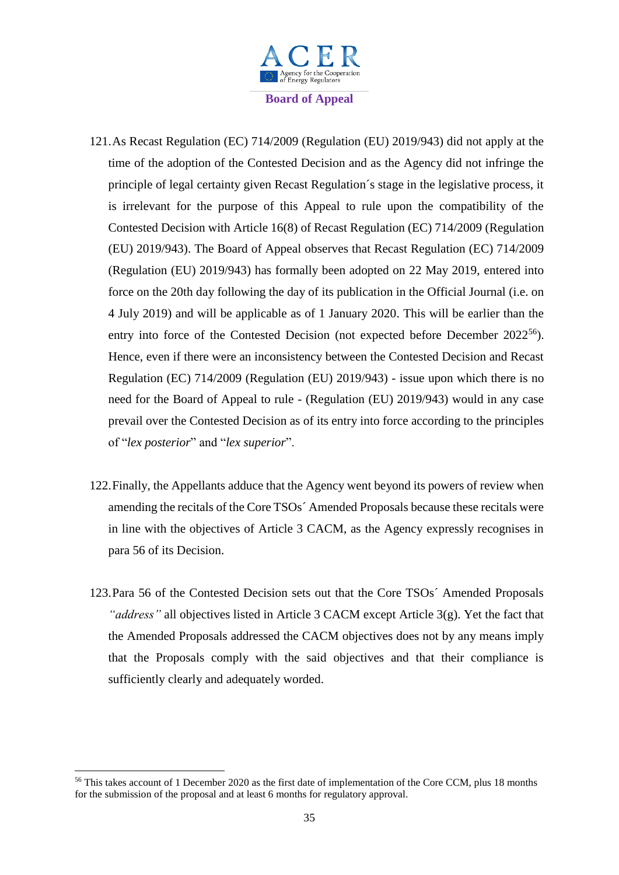

- 121.As Recast Regulation (EC) 714/2009 (Regulation (EU) 2019/943) did not apply at the time of the adoption of the Contested Decision and as the Agency did not infringe the principle of legal certainty given Recast Regulation´s stage in the legislative process, it is irrelevant for the purpose of this Appeal to rule upon the compatibility of the Contested Decision with Article 16(8) of Recast Regulation (EC) 714/2009 (Regulation (EU) 2019/943). The Board of Appeal observes that Recast Regulation (EC) 714/2009 (Regulation (EU) 2019/943) has formally been adopted on 22 May 2019, entered into force on the 20th day following the day of its publication in the Official Journal (i.e. on 4 July 2019) and will be applicable as of 1 January 2020. This will be earlier than the entry into force of the Contested Decision (not expected before December  $2022^{56}$ ). Hence, even if there were an inconsistency between the Contested Decision and Recast Regulation (EC) 714/2009 (Regulation (EU) 2019/943) - issue upon which there is no need for the Board of Appeal to rule - (Regulation (EU) 2019/943) would in any case prevail over the Contested Decision as of its entry into force according to the principles of "*lex posterior*" and "*lex superior*".
- 122.Finally, the Appellants adduce that the Agency went beyond its powers of review when amending the recitals of the Core TSOs´ Amended Proposals because these recitals were in line with the objectives of Article 3 CACM, as the Agency expressly recognises in para 56 of its Decision.
- 123.Para 56 of the Contested Decision sets out that the Core TSOs´ Amended Proposals *"address"* all objectives listed in Article 3 CACM except Article 3(g). Yet the fact that the Amended Proposals addressed the CACM objectives does not by any means imply that the Proposals comply with the said objectives and that their compliance is sufficiently clearly and adequately worded.

<sup>&</sup>lt;sup>56</sup> This takes account of 1 December 2020 as the first date of implementation of the Core CCM, plus 18 months for the submission of the proposal and at least 6 months for regulatory approval.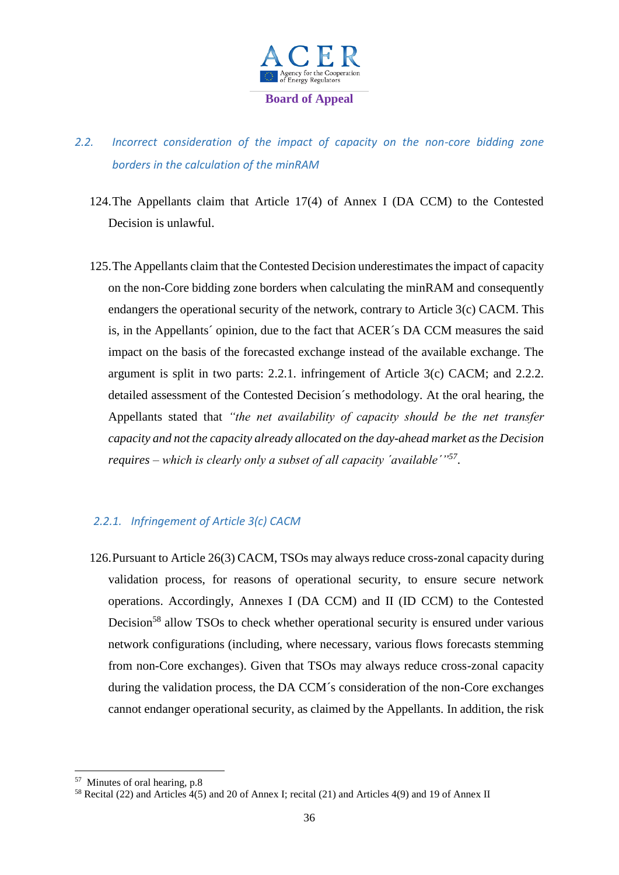

# *2.2. Incorrect consideration of the impact of capacity on the non-core bidding zone borders in the calculation of the minRAM*

- 124.The Appellants claim that Article 17(4) of Annex I (DA CCM) to the Contested Decision is unlawful.
- 125.The Appellants claim that the Contested Decision underestimates the impact of capacity on the non-Core bidding zone borders when calculating the minRAM and consequently endangers the operational security of the network, contrary to Article 3(c) CACM. This is, in the Appellants´ opinion, due to the fact that ACER´s DA CCM measures the said impact on the basis of the forecasted exchange instead of the available exchange. The argument is split in two parts: 2.2.1. infringement of Article 3(c) CACM; and 2.2.2. detailed assessment of the Contested Decision´s methodology. At the oral hearing, the Appellants stated that *"the net availability of capacity should be the net transfer capacity and not the capacity already allocated on the day-ahead market as the Decision requires – which is clearly only a subset of all capacity ´available´"<sup>57</sup>* .

#### *2.2.1. Infringement of Article 3(c) CACM*

126.Pursuant to Article 26(3) CACM, TSOs may always reduce cross-zonal capacity during validation process, for reasons of operational security, to ensure secure network operations. Accordingly, Annexes I (DA CCM) and II (ID CCM) to the Contested Decision<sup>58</sup> allow TSOs to check whether operational security is ensured under various network configurations (including, where necessary, various flows forecasts stemming from non-Core exchanges). Given that TSOs may always reduce cross-zonal capacity during the validation process, the DA CCM´s consideration of the non-Core exchanges cannot endanger operational security, as claimed by the Appellants. In addition, the risk

<sup>57</sup> Minutes of oral hearing, p.8

<sup>58</sup> Recital (22) and Articles 4(5) and 20 of Annex I; recital (21) and Articles 4(9) and 19 of Annex II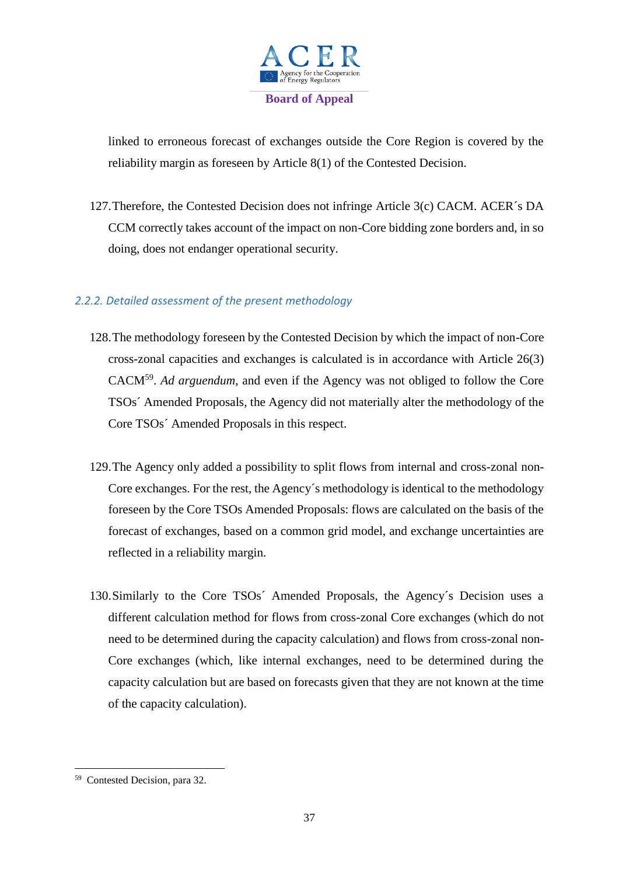

linked to erroneous forecast of exchanges outside the Core Region is covered by the reliability margin as foreseen by Article 8(1) of the Contested Decision.

127.Therefore, the Contested Decision does not infringe Article 3(c) CACM. ACER´s DA CCM correctly takes account of the impact on non-Core bidding zone borders and, in so doing, does not endanger operational security.

## *2.2.2. Detailed assessment of the present methodology*

- 128.The methodology foreseen by the Contested Decision by which the impact of non-Core cross-zonal capacities and exchanges is calculated is in accordance with Article 26(3) CACM<sup>59</sup> . *Ad arguendum*, and even if the Agency was not obliged to follow the Core TSOs´ Amended Proposals, the Agency did not materially alter the methodology of the Core TSOs´ Amended Proposals in this respect.
- 129.The Agency only added a possibility to split flows from internal and cross-zonal non-Core exchanges. For the rest, the Agency´s methodology is identical to the methodology foreseen by the Core TSOs Amended Proposals: flows are calculated on the basis of the forecast of exchanges, based on a common grid model, and exchange uncertainties are reflected in a reliability margin.
- 130.Similarly to the Core TSOs´ Amended Proposals, the Agency´s Decision uses a different calculation method for flows from cross-zonal Core exchanges (which do not need to be determined during the capacity calculation) and flows from cross-zonal non-Core exchanges (which, like internal exchanges, need to be determined during the capacity calculation but are based on forecasts given that they are not known at the time of the capacity calculation).

 59 Contested Decision, para 32.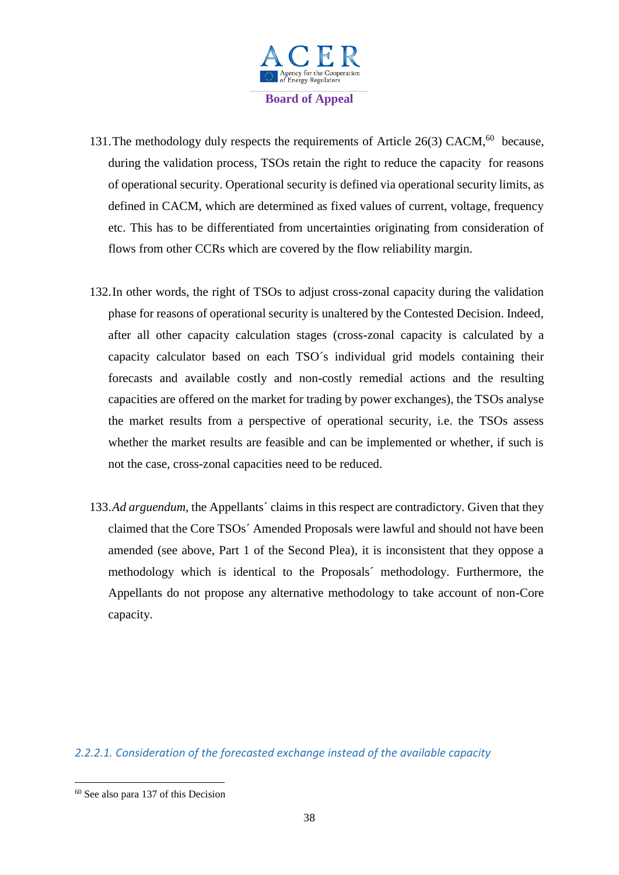

- 131. The methodology duly respects the requirements of Article 26(3) CACM,<sup>60</sup> because, during the validation process, TSOs retain the right to reduce the capacity for reasons of operational security. Operational security is defined via operational security limits, as defined in CACM, which are determined as fixed values of current, voltage, frequency etc. This has to be differentiated from uncertainties originating from consideration of flows from other CCRs which are covered by the flow reliability margin.
- 132.In other words, the right of TSOs to adjust cross-zonal capacity during the validation phase for reasons of operational security is unaltered by the Contested Decision. Indeed, after all other capacity calculation stages (cross-zonal capacity is calculated by a capacity calculator based on each TSO´s individual grid models containing their forecasts and available costly and non-costly remedial actions and the resulting capacities are offered on the market for trading by power exchanges), the TSOs analyse the market results from a perspective of operational security, i.e. the TSOs assess whether the market results are feasible and can be implemented or whether, if such is not the case, cross-zonal capacities need to be reduced.
- 133.*Ad arguendum*, the Appellants´ claims in this respect are contradictory. Given that they claimed that the Core TSOs´ Amended Proposals were lawful and should not have been amended (see above, Part 1 of the Second Plea), it is inconsistent that they oppose a methodology which is identical to the Proposals´ methodology. Furthermore, the Appellants do not propose any alternative methodology to take account of non-Core capacity.

*2.2.2.1. Consideration of the forecasted exchange instead of the available capacity*

 $60$  See also para 137 of this Decision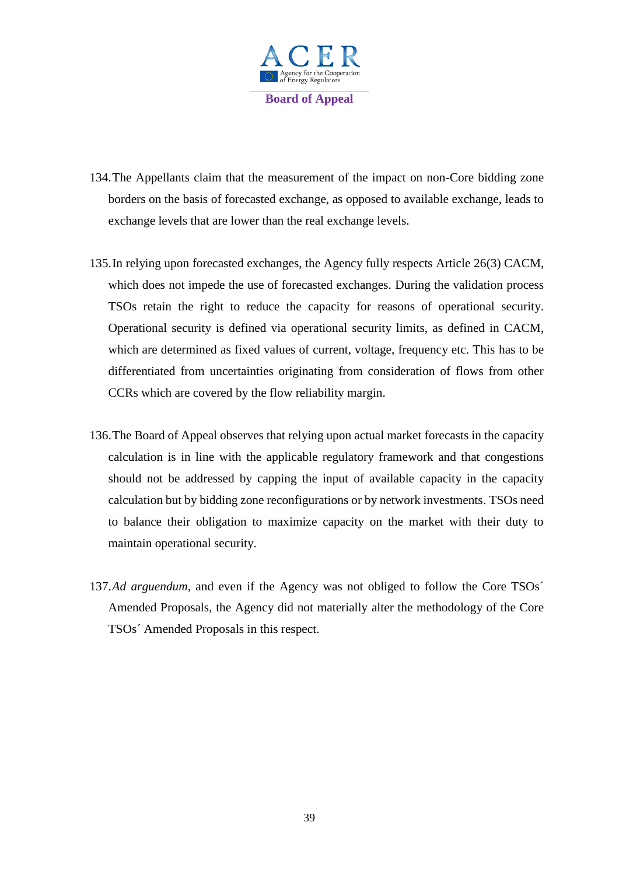

- 134.The Appellants claim that the measurement of the impact on non-Core bidding zone borders on the basis of forecasted exchange, as opposed to available exchange, leads to exchange levels that are lower than the real exchange levels.
- 135.In relying upon forecasted exchanges, the Agency fully respects Article 26(3) CACM, which does not impede the use of forecasted exchanges. During the validation process TSOs retain the right to reduce the capacity for reasons of operational security. Operational security is defined via operational security limits, as defined in CACM, which are determined as fixed values of current, voltage, frequency etc. This has to be differentiated from uncertainties originating from consideration of flows from other CCRs which are covered by the flow reliability margin.
- 136.The Board of Appeal observes that relying upon actual market forecasts in the capacity calculation is in line with the applicable regulatory framework and that congestions should not be addressed by capping the input of available capacity in the capacity calculation but by bidding zone reconfigurations or by network investments. TSOs need to balance their obligation to maximize capacity on the market with their duty to maintain operational security.
- 137.*Ad arguendum*, and even if the Agency was not obliged to follow the Core TSOs´ Amended Proposals, the Agency did not materially alter the methodology of the Core TSOs´ Amended Proposals in this respect.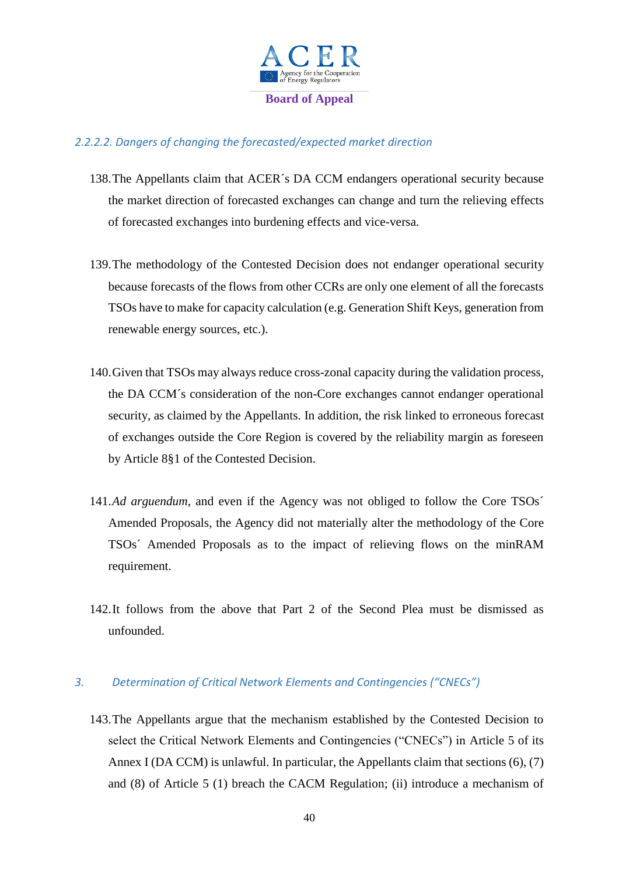

# *2.2.2.2. Dangers of changing the forecasted/expected market direction*

- 138.The Appellants claim that ACER´s DA CCM endangers operational security because the market direction of forecasted exchanges can change and turn the relieving effects of forecasted exchanges into burdening effects and vice-versa.
- 139.The methodology of the Contested Decision does not endanger operational security because forecasts of the flows from other CCRs are only one element of all the forecasts TSOs have to make for capacity calculation (e.g. Generation Shift Keys, generation from renewable energy sources, etc.).
- 140.Given that TSOs may always reduce cross-zonal capacity during the validation process, the DA CCM´s consideration of the non-Core exchanges cannot endanger operational security, as claimed by the Appellants. In addition, the risk linked to erroneous forecast of exchanges outside the Core Region is covered by the reliability margin as foreseen by Article 8§1 of the Contested Decision.
- 141.*Ad arguendum*, and even if the Agency was not obliged to follow the Core TSOs´ Amended Proposals, the Agency did not materially alter the methodology of the Core TSOs´ Amended Proposals as to the impact of relieving flows on the minRAM requirement.
- 142.It follows from the above that Part 2 of the Second Plea must be dismissed as unfounded.

## *3. Determination of Critical Network Elements and Contingencies ("CNECs")*

143.The Appellants argue that the mechanism established by the Contested Decision to select the Critical Network Elements and Contingencies ("CNECs") in Article 5 of its Annex I (DA CCM) is unlawful. In particular, the Appellants claim that sections (6), (7) and (8) of Article 5 (1) breach the CACM Regulation; (ii) introduce a mechanism of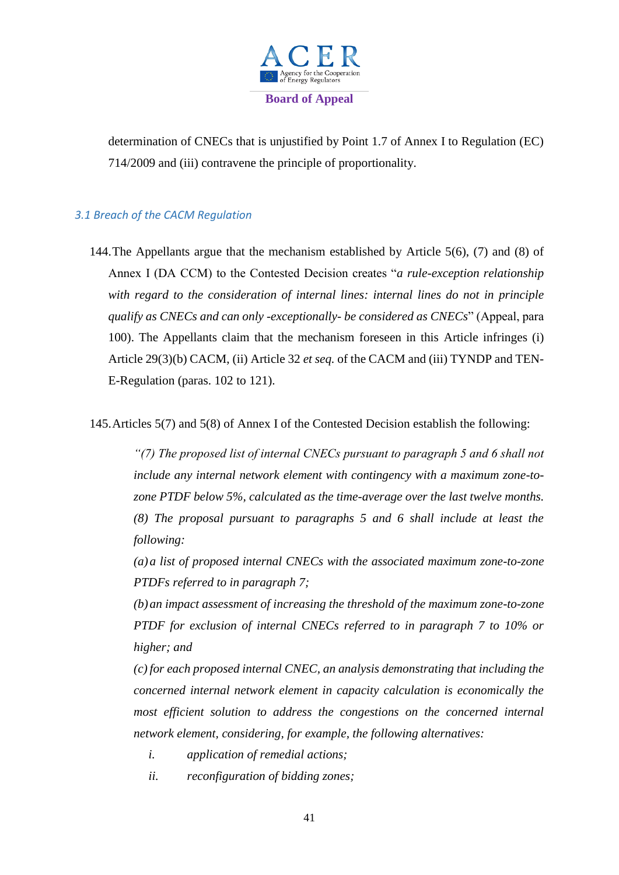

determination of CNECs that is unjustified by Point 1.7 of Annex I to Regulation (EC) 714/2009 and (iii) contravene the principle of proportionality.

# *3.1 Breach of the CACM Regulation*

144.The Appellants argue that the mechanism established by Article 5(6), (7) and (8) of Annex I (DA CCM) to the Contested Decision creates "*a rule-exception relationship with regard to the consideration of internal lines: internal lines do not in principle qualify as CNECs and can only -exceptionally- be considered as CNECs*" (Appeal, para 100). The Appellants claim that the mechanism foreseen in this Article infringes (i) Article 29(3)(b) CACM, (ii) Article 32 *et seq.* of the CACM and (iii) TYNDP and TEN-E-Regulation (paras. 102 to 121).

145.Articles 5(7) and 5(8) of Annex I of the Contested Decision establish the following:

*"(7) The proposed list of internal CNECs pursuant to paragraph 5 and 6 shall not include any internal network element with contingency with a maximum zone-tozone PTDF below 5%, calculated as the time-average over the last twelve months. (8) The proposal pursuant to paragraphs 5 and 6 shall include at least the following:*

*(a)a list of proposed internal CNECs with the associated maximum zone-to-zone PTDFs referred to in paragraph 7;*

*(b)an impact assessment of increasing the threshold of the maximum zone-to-zone PTDF for exclusion of internal CNECs referred to in paragraph 7 to 10% or higher; and*

*(c) for each proposed internal CNEC, an analysis demonstrating that including the concerned internal network element in capacity calculation is economically the most efficient solution to address the congestions on the concerned internal network element, considering, for example, the following alternatives:*

- *i. application of remedial actions;*
- *ii. reconfiguration of bidding zones;*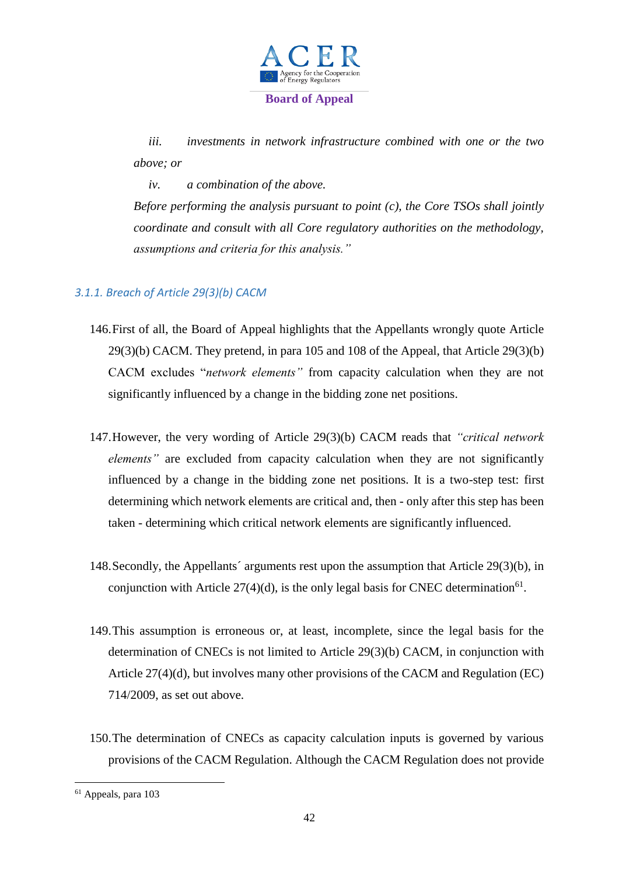

*iii. investments in network infrastructure combined with one or the two above; or*

*iv. a combination of the above.*

*Before performing the analysis pursuant to point (c), the Core TSOs shall jointly coordinate and consult with all Core regulatory authorities on the methodology, assumptions and criteria for this analysis."*

# *3.1.1. Breach of Article 29(3)(b) CACM*

- 146.First of all, the Board of Appeal highlights that the Appellants wrongly quote Article 29(3)(b) CACM. They pretend, in para 105 and 108 of the Appeal, that Article 29(3)(b) CACM excludes "*network elements"* from capacity calculation when they are not significantly influenced by a change in the bidding zone net positions.
- 147.However, the very wording of Article 29(3)(b) CACM reads that *"critical network elements"* are excluded from capacity calculation when they are not significantly influenced by a change in the bidding zone net positions. It is a two-step test: first determining which network elements are critical and, then - only after this step has been taken - determining which critical network elements are significantly influenced.
- 148.Secondly, the Appellants´ arguments rest upon the assumption that Article 29(3)(b), in conjunction with Article  $27(4)(d)$ , is the only legal basis for CNEC determination<sup>61</sup>.
- 149.This assumption is erroneous or, at least, incomplete, since the legal basis for the determination of CNECs is not limited to Article 29(3)(b) CACM, in conjunction with Article 27(4)(d), but involves many other provisions of the CACM and Regulation (EC) 714/2009, as set out above.
- 150.The determination of CNECs as capacity calculation inputs is governed by various provisions of the CACM Regulation. Although the CACM Regulation does not provide

<sup>61</sup> Appeals, para 103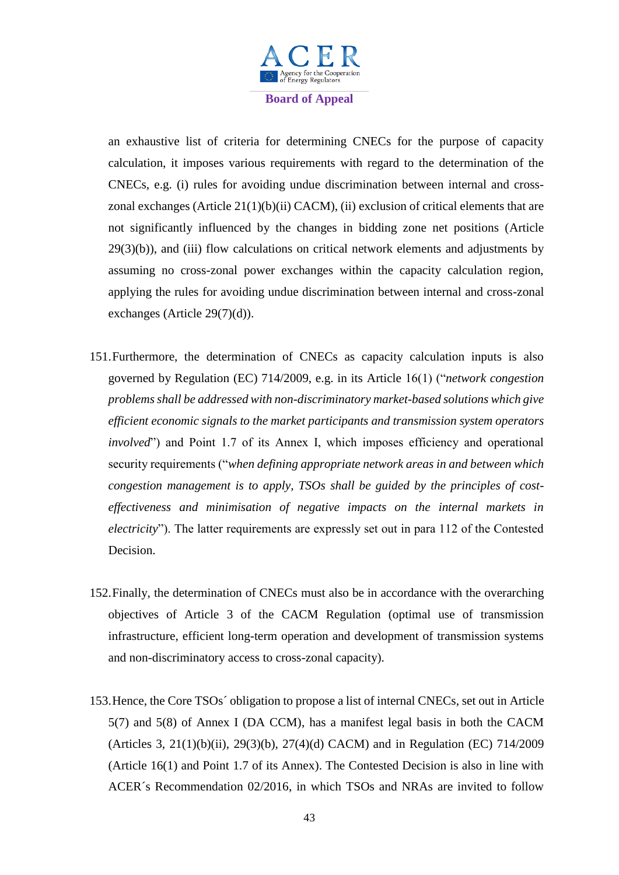

an exhaustive list of criteria for determining CNECs for the purpose of capacity calculation, it imposes various requirements with regard to the determination of the CNECs, e.g. (i) rules for avoiding undue discrimination between internal and crosszonal exchanges (Article 21(1)(b)(ii) CACM), (ii) exclusion of critical elements that are not significantly influenced by the changes in bidding zone net positions (Article  $29(3)(b)$ , and (iii) flow calculations on critical network elements and adjustments by assuming no cross-zonal power exchanges within the capacity calculation region, applying the rules for avoiding undue discrimination between internal and cross-zonal exchanges (Article 29(7)(d)).

- 151.Furthermore, the determination of CNECs as capacity calculation inputs is also governed by Regulation (EC) 714/2009, e.g. in its Article 16(1) ("*network congestion problems shall be addressed with non-discriminatory market-based solutions which give efficient economic signals to the market participants and transmission system operators involved*") and Point 1.7 of its Annex I, which imposes efficiency and operational security requirements ("*when defining appropriate network areas in and between which congestion management is to apply, TSOs shall be guided by the principles of costeffectiveness and minimisation of negative impacts on the internal markets in electricity*"). The latter requirements are expressly set out in para 112 of the Contested Decision.
- 152.Finally, the determination of CNECs must also be in accordance with the overarching objectives of Article 3 of the CACM Regulation (optimal use of transmission infrastructure, efficient long-term operation and development of transmission systems and non-discriminatory access to cross-zonal capacity).
- 153.Hence, the Core TSOs´ obligation to propose a list of internal CNECs, set out in Article 5(7) and 5(8) of Annex I (DA CCM), has a manifest legal basis in both the CACM (Articles 3, 21(1)(b)(ii), 29(3)(b), 27(4)(d) CACM) and in Regulation (EC) 714/2009 (Article 16(1) and Point 1.7 of its Annex). The Contested Decision is also in line with ACER´s Recommendation 02/2016, in which TSOs and NRAs are invited to follow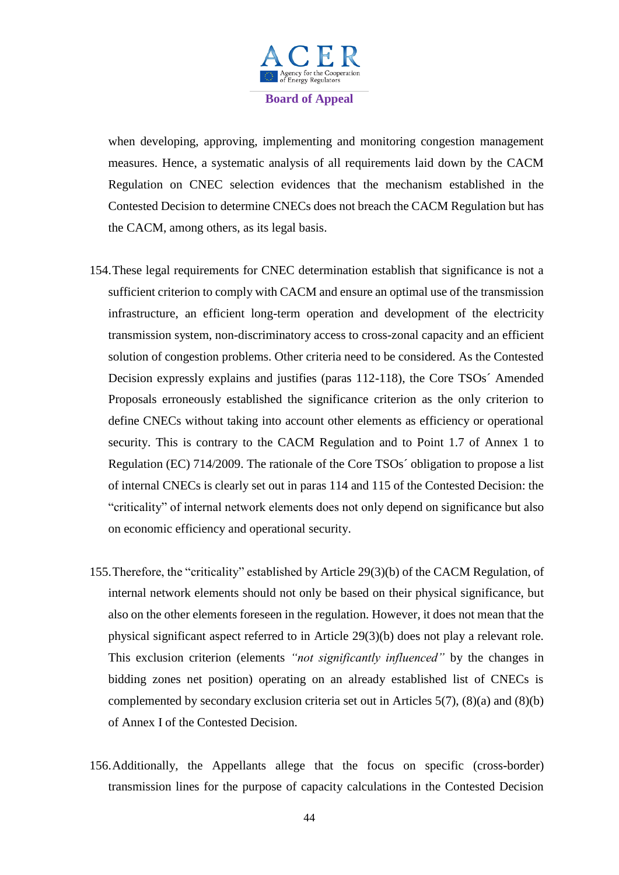

when developing, approving, implementing and monitoring congestion management measures. Hence, a systematic analysis of all requirements laid down by the CACM Regulation on CNEC selection evidences that the mechanism established in the Contested Decision to determine CNECs does not breach the CACM Regulation but has the CACM, among others, as its legal basis.

- 154.These legal requirements for CNEC determination establish that significance is not a sufficient criterion to comply with CACM and ensure an optimal use of the transmission infrastructure, an efficient long-term operation and development of the electricity transmission system, non-discriminatory access to cross-zonal capacity and an efficient solution of congestion problems. Other criteria need to be considered. As the Contested Decision expressly explains and justifies (paras 112-118), the Core TSOs´ Amended Proposals erroneously established the significance criterion as the only criterion to define CNECs without taking into account other elements as efficiency or operational security. This is contrary to the CACM Regulation and to Point 1.7 of Annex 1 to Regulation (EC) 714/2009. The rationale of the Core TSOs´ obligation to propose a list of internal CNECs is clearly set out in paras 114 and 115 of the Contested Decision: the "criticality" of internal network elements does not only depend on significance but also on economic efficiency and operational security.
- 155.Therefore, the "criticality" established by Article 29(3)(b) of the CACM Regulation, of internal network elements should not only be based on their physical significance, but also on the other elements foreseen in the regulation. However, it does not mean that the physical significant aspect referred to in Article 29(3)(b) does not play a relevant role. This exclusion criterion (elements *"not significantly influenced"* by the changes in bidding zones net position) operating on an already established list of CNECs is complemented by secondary exclusion criteria set out in Articles 5(7), (8)(a) and (8)(b) of Annex I of the Contested Decision.
- 156.Additionally, the Appellants allege that the focus on specific (cross-border) transmission lines for the purpose of capacity calculations in the Contested Decision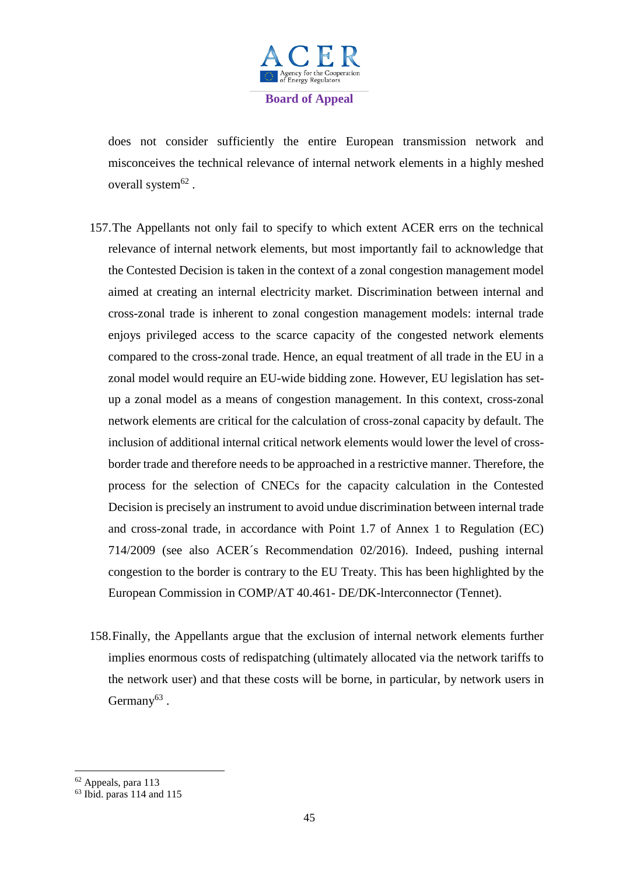

does not consider sufficiently the entire European transmission network and misconceives the technical relevance of internal network elements in a highly meshed overall system $^{62}$ .

- 157.The Appellants not only fail to specify to which extent ACER errs on the technical relevance of internal network elements, but most importantly fail to acknowledge that the Contested Decision is taken in the context of a zonal congestion management model aimed at creating an internal electricity market. Discrimination between internal and cross-zonal trade is inherent to zonal congestion management models: internal trade enjoys privileged access to the scarce capacity of the congested network elements compared to the cross-zonal trade. Hence, an equal treatment of all trade in the EU in a zonal model would require an EU-wide bidding zone. However, EU legislation has setup a zonal model as a means of congestion management. In this context, cross-zonal network elements are critical for the calculation of cross-zonal capacity by default. The inclusion of additional internal critical network elements would lower the level of crossborder trade and therefore needs to be approached in a restrictive manner. Therefore, the process for the selection of CNECs for the capacity calculation in the Contested Decision is precisely an instrument to avoid undue discrimination between internal trade and cross-zonal trade, in accordance with Point 1.7 of Annex 1 to Regulation (EC) 714/2009 (see also ACER´s Recommendation 02/2016). Indeed, pushing internal congestion to the border is contrary to the EU Treaty. This has been highlighted by the European Commission in COMP/AT 40.461- DE/DK-lnterconnector (Tennet).
- 158.Finally, the Appellants argue that the exclusion of internal network elements further implies enormous costs of redispatching (ultimately allocated via the network tariffs to the network user) and that these costs will be borne, in particular, by network users in Germany $63$ .

1

<sup>62</sup> Appeals, para 113

 $63$  Ibid. paras 114 and 115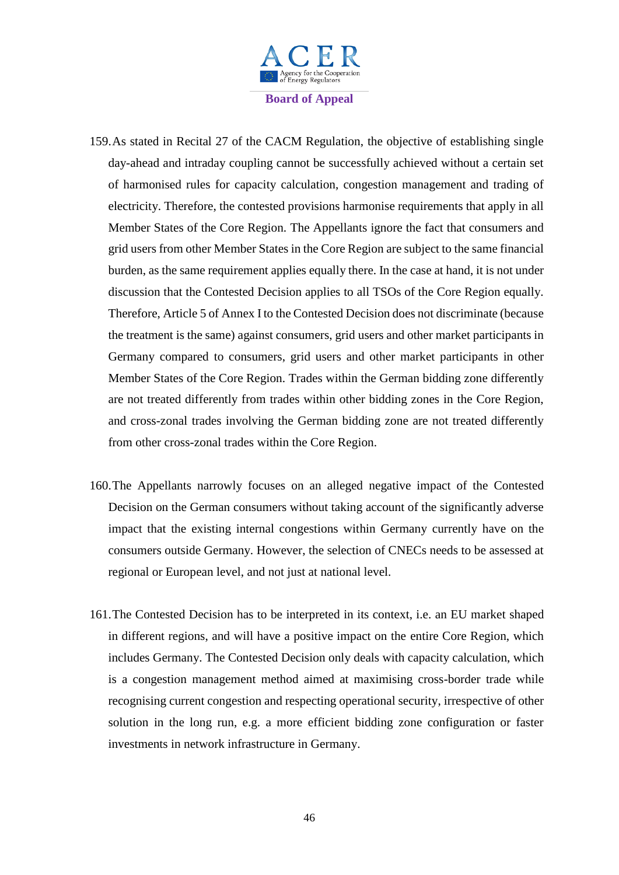

- 159.As stated in Recital 27 of the CACM Regulation, the objective of establishing single day-ahead and intraday coupling cannot be successfully achieved without a certain set of harmonised rules for capacity calculation, congestion management and trading of electricity. Therefore, the contested provisions harmonise requirements that apply in all Member States of the Core Region. The Appellants ignore the fact that consumers and grid users from other Member States in the Core Region are subject to the same financial burden, as the same requirement applies equally there. In the case at hand, it is not under discussion that the Contested Decision applies to all TSOs of the Core Region equally. Therefore, Article 5 of Annex I to the Contested Decision does not discriminate (because the treatment is the same) against consumers, grid users and other market participants in Germany compared to consumers, grid users and other market participants in other Member States of the Core Region. Trades within the German bidding zone differently are not treated differently from trades within other bidding zones in the Core Region, and cross-zonal trades involving the German bidding zone are not treated differently from other cross-zonal trades within the Core Region.
- 160.The Appellants narrowly focuses on an alleged negative impact of the Contested Decision on the German consumers without taking account of the significantly adverse impact that the existing internal congestions within Germany currently have on the consumers outside Germany. However, the selection of CNECs needs to be assessed at regional or European level, and not just at national level.
- 161.The Contested Decision has to be interpreted in its context, i.e. an EU market shaped in different regions, and will have a positive impact on the entire Core Region, which includes Germany. The Contested Decision only deals with capacity calculation, which is a congestion management method aimed at maximising cross-border trade while recognising current congestion and respecting operational security, irrespective of other solution in the long run, e.g. a more efficient bidding zone configuration or faster investments in network infrastructure in Germany.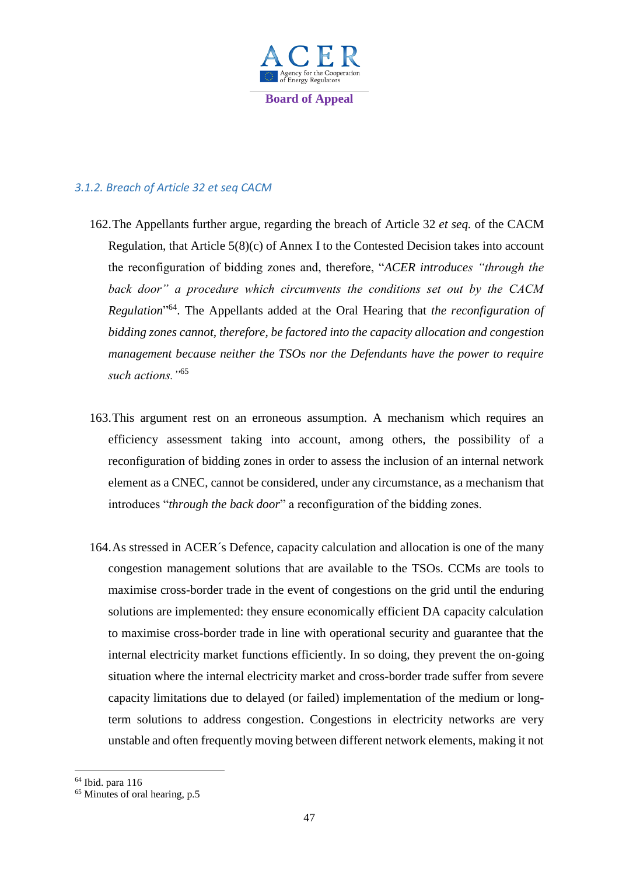

# *3.1.2. Breach of Article 32 et seq CACM*

- 162.The Appellants further argue, regarding the breach of Article 32 *et seq.* of the CACM Regulation, that Article 5(8)(c) of Annex I to the Contested Decision takes into account the reconfiguration of bidding zones and, therefore, "*ACER introduces "through the back door" a procedure which circumvents the conditions set out by the CACM Regulation*" 64 . The Appellants added at the Oral Hearing that *the reconfiguration of bidding zones cannot, therefore, be factored into the capacity allocation and congestion management because neither the TSOs nor the Defendants have the power to require such actions."*<sup>65</sup>
- 163.This argument rest on an erroneous assumption. A mechanism which requires an efficiency assessment taking into account, among others, the possibility of a reconfiguration of bidding zones in order to assess the inclusion of an internal network element as a CNEC, cannot be considered, under any circumstance, as a mechanism that introduces "*through the back door*" a reconfiguration of the bidding zones.
- 164.As stressed in ACER´s Defence, capacity calculation and allocation is one of the many congestion management solutions that are available to the TSOs. CCMs are tools to maximise cross-border trade in the event of congestions on the grid until the enduring solutions are implemented: they ensure economically efficient DA capacity calculation to maximise cross-border trade in line with operational security and guarantee that the internal electricity market functions efficiently. In so doing, they prevent the on-going situation where the internal electricity market and cross-border trade suffer from severe capacity limitations due to delayed (or failed) implementation of the medium or longterm solutions to address congestion. Congestions in electricity networks are very unstable and often frequently moving between different network elements, making it not

1

<sup>64</sup> Ibid. para 116

 $65$  Minutes of oral hearing, p.5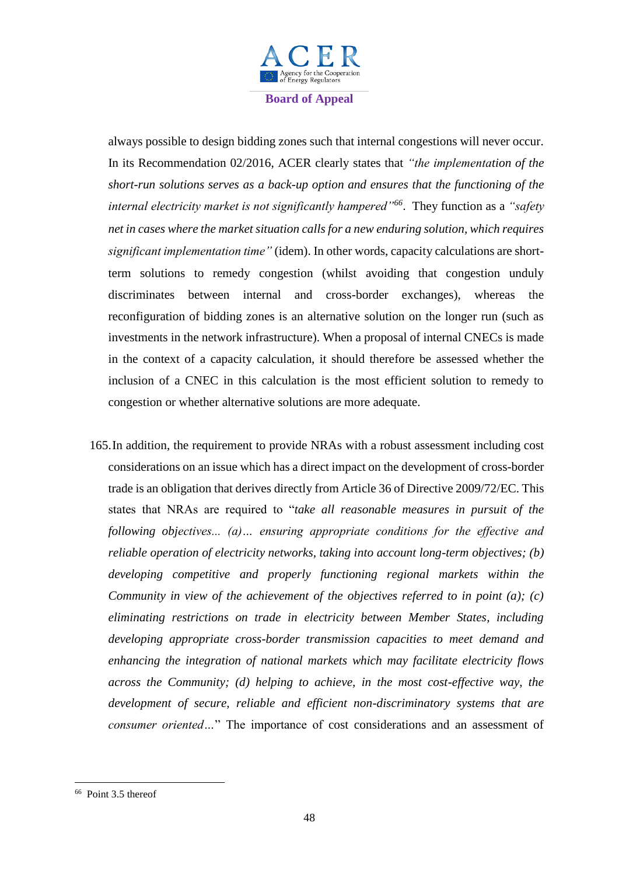

always possible to design bidding zones such that internal congestions will never occur. In its Recommendation 02/2016, ACER clearly states that *"the implementation of the short-run solutions serves as a back-up option and ensures that the functioning of the internal electricity market is not significantly hampered"<sup>66</sup>* . They function as a *"safety net in cases where the market situation calls for a new enduring solution, which requires significant implementation time"* (idem). In other words, capacity calculations are shortterm solutions to remedy congestion (whilst avoiding that congestion unduly discriminates between internal and cross-border exchanges), whereas the reconfiguration of bidding zones is an alternative solution on the longer run (such as investments in the network infrastructure). When a proposal of internal CNECs is made in the context of a capacity calculation, it should therefore be assessed whether the inclusion of a CNEC in this calculation is the most efficient solution to remedy to congestion or whether alternative solutions are more adequate.

165.In addition, the requirement to provide NRAs with a robust assessment including cost considerations on an issue which has a direct impact on the development of cross-border trade is an obligation that derives directly from Article 36 of Directive 2009/72/EC. This states that NRAs are required to "*take all reasonable measures in pursuit of the following objectives... (a)… ensuring appropriate conditions for the effective and reliable operation of electricity networks, taking into account long-term objectives; (b) developing competitive and properly functioning regional markets within the Community in view of the achievement of the objectives referred to in point (a); (c) eliminating restrictions on trade in electricity between Member States, including developing appropriate cross-border transmission capacities to meet demand and enhancing the integration of national markets which may facilitate electricity flows across the Community; (d) helping to achieve, in the most cost-effective way, the development of secure, reliable and efficient non-discriminatory systems that are consumer oriented…*" The importance of cost considerations and an assessment of

<sup>&</sup>lt;sup>66</sup> Point 3.5 thereof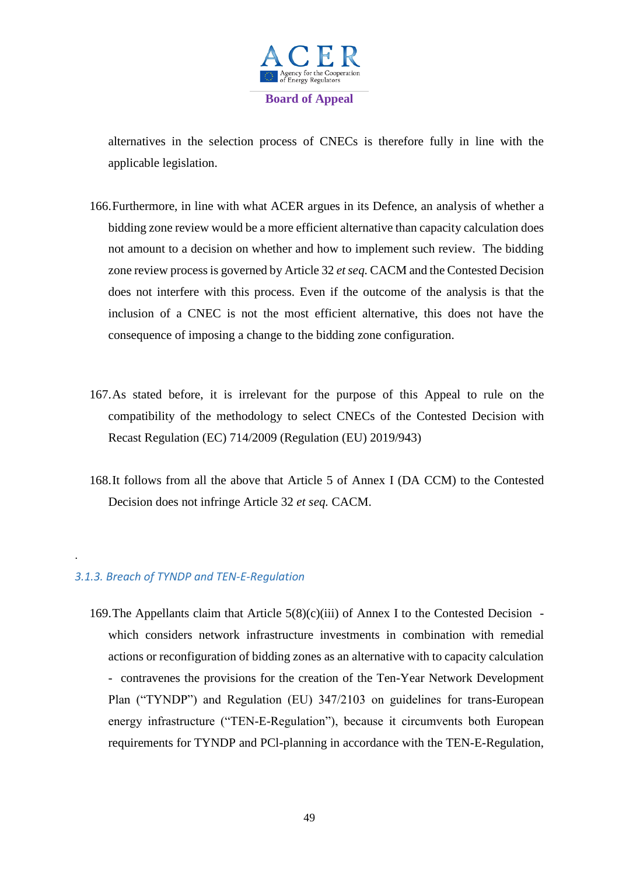

alternatives in the selection process of CNECs is therefore fully in line with the applicable legislation.

- 166.Furthermore, in line with what ACER argues in its Defence, an analysis of whether a bidding zone review would be a more efficient alternative than capacity calculation does not amount to a decision on whether and how to implement such review. The bidding zone review process is governed by Article 32 *et seq.* CACM and the Contested Decision does not interfere with this process. Even if the outcome of the analysis is that the inclusion of a CNEC is not the most efficient alternative, this does not have the consequence of imposing a change to the bidding zone configuration.
- 167.As stated before, it is irrelevant for the purpose of this Appeal to rule on the compatibility of the methodology to select CNECs of the Contested Decision with Recast Regulation (EC) 714/2009 (Regulation (EU) 2019/943)
- 168.It follows from all the above that Article 5 of Annex I (DA CCM) to the Contested Decision does not infringe Article 32 *et seq.* CACM.

## *3.1.3. Breach of TYNDP and TEN-E-Regulation*

.

169. The Appellants claim that Article  $5(8)(c)(iii)$  of Annex I to the Contested Decision which considers network infrastructure investments in combination with remedial actions or reconfiguration of bidding zones as an alternative with to capacity calculation - contravenes the provisions for the creation of the Ten-Year Network Development Plan ("TYNDP") and Regulation (EU) 347/2103 on guidelines for trans-European energy infrastructure ("TEN-E-Regulation"), because it circumvents both European requirements for TYNDP and PCl-planning in accordance with the TEN-E-Regulation,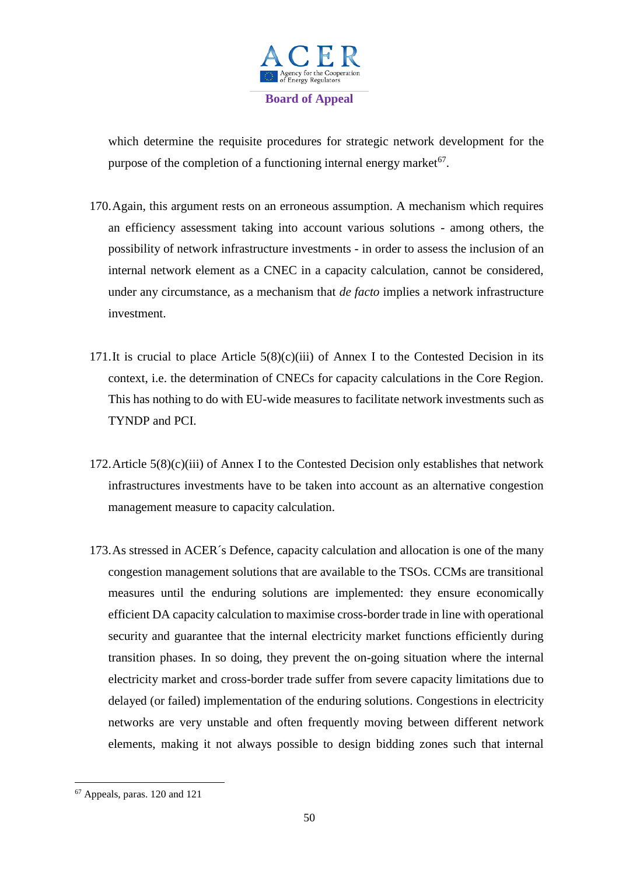

which determine the requisite procedures for strategic network development for the purpose of the completion of a functioning internal energy market<sup>67</sup>.

- 170.Again, this argument rests on an erroneous assumption. A mechanism which requires an efficiency assessment taking into account various solutions - among others, the possibility of network infrastructure investments - in order to assess the inclusion of an internal network element as a CNEC in a capacity calculation, cannot be considered, under any circumstance, as a mechanism that *de facto* implies a network infrastructure investment.
- 171.It is crucial to place Article  $5(8)(c)(iii)$  of Annex I to the Contested Decision in its context, i.e. the determination of CNECs for capacity calculations in the Core Region. This has nothing to do with EU-wide measures to facilitate network investments such as TYNDP and PCI.
- 172. Article  $5(8)(c)(iii)$  of Annex I to the Contested Decision only establishes that network infrastructures investments have to be taken into account as an alternative congestion management measure to capacity calculation.
- 173.As stressed in ACER´s Defence, capacity calculation and allocation is one of the many congestion management solutions that are available to the TSOs. CCMs are transitional measures until the enduring solutions are implemented: they ensure economically efficient DA capacity calculation to maximise cross-border trade in line with operational security and guarantee that the internal electricity market functions efficiently during transition phases. In so doing, they prevent the on-going situation where the internal electricity market and cross-border trade suffer from severe capacity limitations due to delayed (or failed) implementation of the enduring solutions. Congestions in electricity networks are very unstable and often frequently moving between different network elements, making it not always possible to design bidding zones such that internal

**<sup>.</sup>** <sup>67</sup> Appeals, paras. 120 and 121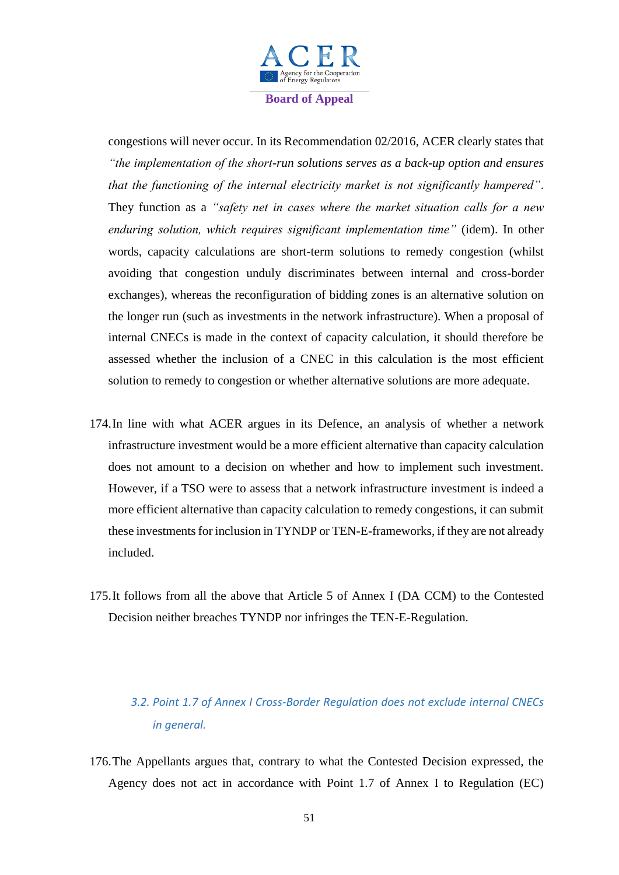

congestions will never occur. In its Recommendation 02/2016, ACER clearly states that *"the implementation of the short-run solutions serves as a back-up option and ensures that the functioning of the internal electricity market is not significantly hampered"*. They function as a *"safety net in cases where the market situation calls for a new enduring solution, which requires significant implementation time"* (idem). In other words, capacity calculations are short-term solutions to remedy congestion (whilst avoiding that congestion unduly discriminates between internal and cross-border exchanges), whereas the reconfiguration of bidding zones is an alternative solution on the longer run (such as investments in the network infrastructure). When a proposal of internal CNECs is made in the context of capacity calculation, it should therefore be assessed whether the inclusion of a CNEC in this calculation is the most efficient solution to remedy to congestion or whether alternative solutions are more adequate.

- 174.In line with what ACER argues in its Defence, an analysis of whether a network infrastructure investment would be a more efficient alternative than capacity calculation does not amount to a decision on whether and how to implement such investment. However, if a TSO were to assess that a network infrastructure investment is indeed a more efficient alternative than capacity calculation to remedy congestions, it can submit these investments for inclusion in TYNDP or TEN-E-frameworks, if they are not already included.
- 175.It follows from all the above that Article 5 of Annex I (DA CCM) to the Contested Decision neither breaches TYNDP nor infringes the TEN-E-Regulation.

# *3.2. Point 1.7 of Annex I Cross-Border Regulation does not exclude internal CNECs in general.*

176.The Appellants argues that, contrary to what the Contested Decision expressed, the Agency does not act in accordance with Point 1.7 of Annex I to Regulation (EC)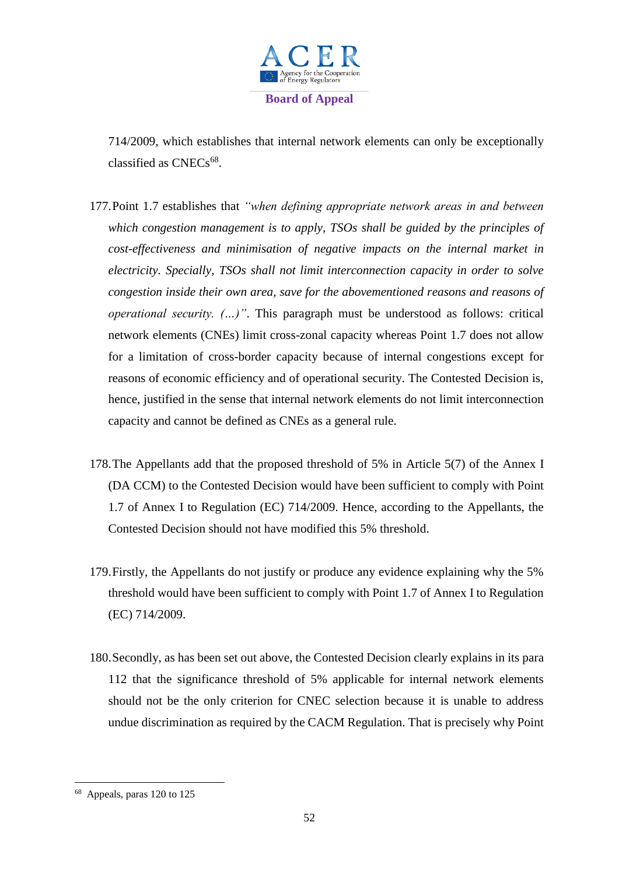

714/2009, which establishes that internal network elements can only be exceptionally classified as CNECs<sup>68</sup>.

- 177.Point 1.7 establishes that *"when defining appropriate network areas in and between which congestion management is to apply, TSOs shall be guided by the principles of cost-effectiveness and minimisation of negative impacts on the internal market in electricity. Specially, TSOs shall not limit interconnection capacity in order to solve congestion inside their own area, save for the abovementioned reasons and reasons of operational security. (…)"*. This paragraph must be understood as follows: critical network elements (CNEs) limit cross-zonal capacity whereas Point 1.7 does not allow for a limitation of cross-border capacity because of internal congestions except for reasons of economic efficiency and of operational security. The Contested Decision is, hence, justified in the sense that internal network elements do not limit interconnection capacity and cannot be defined as CNEs as a general rule.
- 178.The Appellants add that the proposed threshold of 5% in Article 5(7) of the Annex I (DA CCM) to the Contested Decision would have been sufficient to comply with Point 1.7 of Annex I to Regulation (EC) 714/2009. Hence, according to the Appellants, the Contested Decision should not have modified this 5% threshold.
- 179.Firstly, the Appellants do not justify or produce any evidence explaining why the 5% threshold would have been sufficient to comply with Point 1.7 of Annex I to Regulation (EC) 714/2009.
- 180.Secondly, as has been set out above, the Contested Decision clearly explains in its para 112 that the significance threshold of 5% applicable for internal network elements should not be the only criterion for CNEC selection because it is unable to address undue discrimination as required by the CACM Regulation. That is precisely why Point

<sup>&</sup>lt;sup>68</sup> Appeals, paras 120 to 125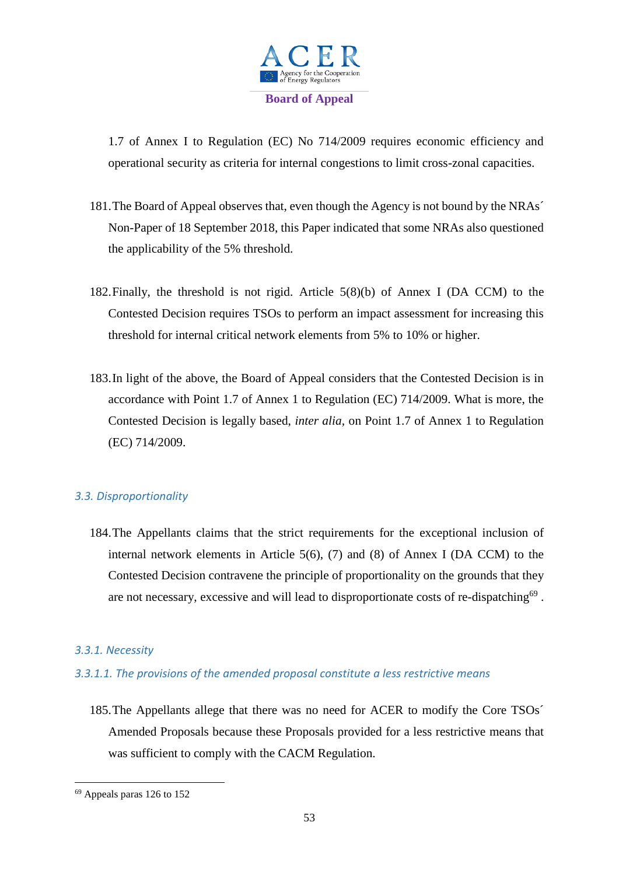

1.7 of Annex I to Regulation (EC) No 714/2009 requires economic efficiency and operational security as criteria for internal congestions to limit cross-zonal capacities.

- 181.The Board of Appeal observes that, even though the Agency is not bound by the NRAs´ Non-Paper of 18 September 2018, this Paper indicated that some NRAs also questioned the applicability of the 5% threshold.
- 182.Finally, the threshold is not rigid. Article 5(8)(b) of Annex I (DA CCM) to the Contested Decision requires TSOs to perform an impact assessment for increasing this threshold for internal critical network elements from 5% to 10% or higher.
- 183.In light of the above, the Board of Appeal considers that the Contested Decision is in accordance with Point 1.7 of Annex 1 to Regulation (EC) 714/2009. What is more, the Contested Decision is legally based, *inter alia,* on Point 1.7 of Annex 1 to Regulation (EC) 714/2009.

# *3.3. Disproportionality*

184.The Appellants claims that the strict requirements for the exceptional inclusion of internal network elements in Article  $5(6)$ , (7) and (8) of Annex I (DA CCM) to the Contested Decision contravene the principle of proportionality on the grounds that they are not necessary, excessive and will lead to disproportionate costs of re-dispatching<sup>69</sup>.

## *3.3.1. Necessity*

# *3.3.1.1. The provisions of the amended proposal constitute a less restrictive means*

185.The Appellants allege that there was no need for ACER to modify the Core TSOs´ Amended Proposals because these Proposals provided for a less restrictive means that was sufficient to comply with the CACM Regulation.

**<sup>.</sup>** <sup>69</sup> Appeals paras 126 to 152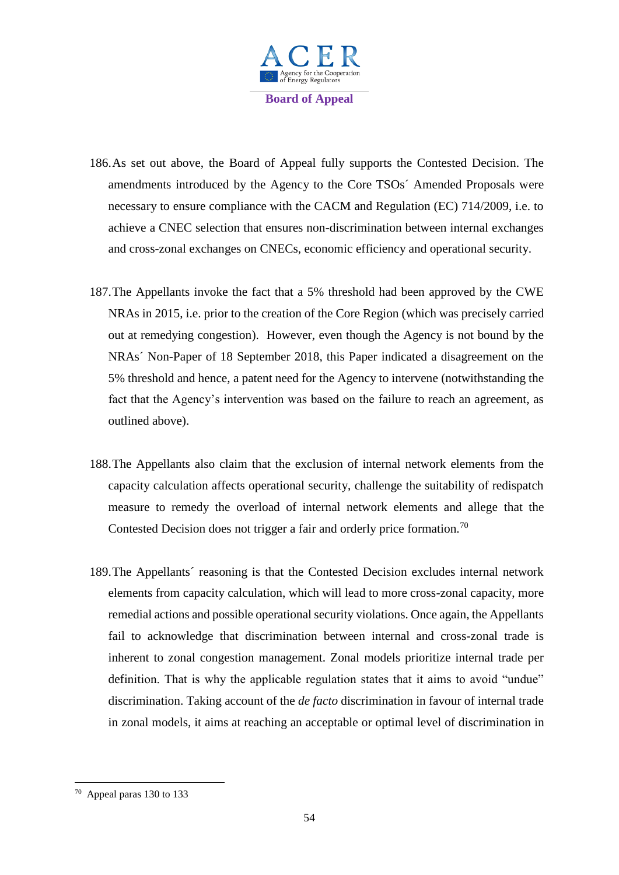

- 186.As set out above, the Board of Appeal fully supports the Contested Decision. The amendments introduced by the Agency to the Core TSOs´ Amended Proposals were necessary to ensure compliance with the CACM and Regulation (EC) 714/2009, i.e. to achieve a CNEC selection that ensures non-discrimination between internal exchanges and cross-zonal exchanges on CNECs, economic efficiency and operational security.
- 187.The Appellants invoke the fact that a 5% threshold had been approved by the CWE NRAs in 2015, i.e. prior to the creation of the Core Region (which was precisely carried out at remedying congestion). However, even though the Agency is not bound by the NRAs´ Non-Paper of 18 September 2018, this Paper indicated a disagreement on the 5% threshold and hence, a patent need for the Agency to intervene (notwithstanding the fact that the Agency's intervention was based on the failure to reach an agreement, as outlined above).
- 188.The Appellants also claim that the exclusion of internal network elements from the capacity calculation affects operational security, challenge the suitability of redispatch measure to remedy the overload of internal network elements and allege that the Contested Decision does not trigger a fair and orderly price formation.<sup>70</sup>
- 189.The Appellants´ reasoning is that the Contested Decision excludes internal network elements from capacity calculation, which will lead to more cross-zonal capacity, more remedial actions and possible operational security violations. Once again, the Appellants fail to acknowledge that discrimination between internal and cross-zonal trade is inherent to zonal congestion management. Zonal models prioritize internal trade per definition. That is why the applicable regulation states that it aims to avoid "undue" discrimination. Taking account of the *de facto* discrimination in favour of internal trade in zonal models, it aims at reaching an acceptable or optimal level of discrimination in

<sup>70</sup> Appeal paras 130 to 133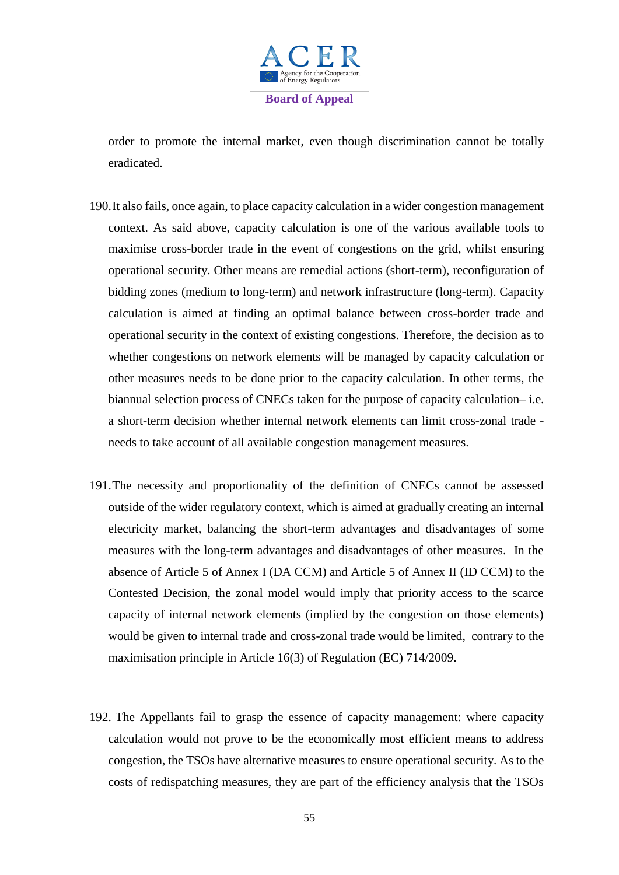

order to promote the internal market, even though discrimination cannot be totally eradicated.

- 190.It also fails, once again, to place capacity calculation in a wider congestion management context. As said above, capacity calculation is one of the various available tools to maximise cross-border trade in the event of congestions on the grid, whilst ensuring operational security. Other means are remedial actions (short-term), reconfiguration of bidding zones (medium to long-term) and network infrastructure (long-term). Capacity calculation is aimed at finding an optimal balance between cross-border trade and operational security in the context of existing congestions. Therefore, the decision as to whether congestions on network elements will be managed by capacity calculation or other measures needs to be done prior to the capacity calculation. In other terms, the biannual selection process of CNECs taken for the purpose of capacity calculation– i.e. a short-term decision whether internal network elements can limit cross-zonal trade needs to take account of all available congestion management measures.
- 191.The necessity and proportionality of the definition of CNECs cannot be assessed outside of the wider regulatory context, which is aimed at gradually creating an internal electricity market, balancing the short-term advantages and disadvantages of some measures with the long-term advantages and disadvantages of other measures. In the absence of Article 5 of Annex I (DA CCM) and Article 5 of Annex II (ID CCM) to the Contested Decision, the zonal model would imply that priority access to the scarce capacity of internal network elements (implied by the congestion on those elements) would be given to internal trade and cross-zonal trade would be limited, contrary to the maximisation principle in Article 16(3) of Regulation (EC) 714/2009.
- 192. The Appellants fail to grasp the essence of capacity management: where capacity calculation would not prove to be the economically most efficient means to address congestion, the TSOs have alternative measures to ensure operational security. As to the costs of redispatching measures, they are part of the efficiency analysis that the TSOs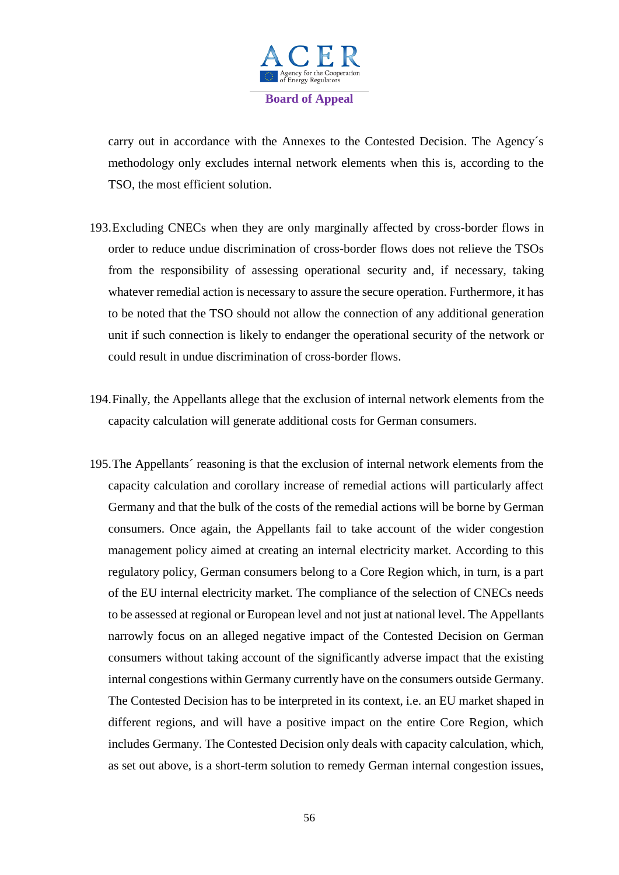

carry out in accordance with the Annexes to the Contested Decision. The Agency´s methodology only excludes internal network elements when this is, according to the TSO, the most efficient solution.

- 193.Excluding CNECs when they are only marginally affected by cross-border flows in order to reduce undue discrimination of cross-border flows does not relieve the TSOs from the responsibility of assessing operational security and, if necessary, taking whatever remedial action is necessary to assure the secure operation. Furthermore, it has to be noted that the TSO should not allow the connection of any additional generation unit if such connection is likely to endanger the operational security of the network or could result in undue discrimination of cross-border flows.
- 194.Finally, the Appellants allege that the exclusion of internal network elements from the capacity calculation will generate additional costs for German consumers.
- 195.The Appellants´ reasoning is that the exclusion of internal network elements from the capacity calculation and corollary increase of remedial actions will particularly affect Germany and that the bulk of the costs of the remedial actions will be borne by German consumers. Once again, the Appellants fail to take account of the wider congestion management policy aimed at creating an internal electricity market. According to this regulatory policy, German consumers belong to a Core Region which, in turn, is a part of the EU internal electricity market. The compliance of the selection of CNECs needs to be assessed at regional or European level and not just at national level. The Appellants narrowly focus on an alleged negative impact of the Contested Decision on German consumers without taking account of the significantly adverse impact that the existing internal congestions within Germany currently have on the consumers outside Germany. The Contested Decision has to be interpreted in its context, i.e. an EU market shaped in different regions, and will have a positive impact on the entire Core Region, which includes Germany. The Contested Decision only deals with capacity calculation, which, as set out above, is a short-term solution to remedy German internal congestion issues,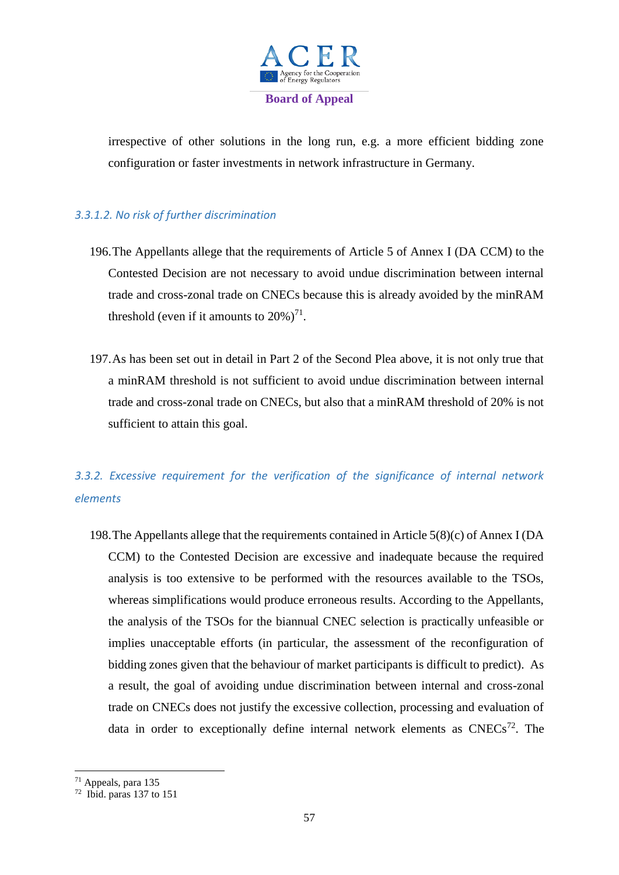

irrespective of other solutions in the long run, e.g. a more efficient bidding zone configuration or faster investments in network infrastructure in Germany.

# *3.3.1.2. No risk of further discrimination*

- 196.The Appellants allege that the requirements of Article 5 of Annex I (DA CCM) to the Contested Decision are not necessary to avoid undue discrimination between internal trade and cross-zonal trade on CNECs because this is already avoided by the minRAM threshold (even if it amounts to  $20\%$ )<sup>71</sup>.
- 197.As has been set out in detail in Part 2 of the Second Plea above, it is not only true that a minRAM threshold is not sufficient to avoid undue discrimination between internal trade and cross-zonal trade on CNECs, but also that a minRAM threshold of 20% is not sufficient to attain this goal.

# *3.3.2. Excessive requirement for the verification of the significance of internal network elements*

198.The Appellants allege that the requirements contained in Article 5(8)(c) of Annex I (DA CCM) to the Contested Decision are excessive and inadequate because the required analysis is too extensive to be performed with the resources available to the TSOs, whereas simplifications would produce erroneous results. According to the Appellants, the analysis of the TSOs for the biannual CNEC selection is practically unfeasible or implies unacceptable efforts (in particular, the assessment of the reconfiguration of bidding zones given that the behaviour of market participants is difficult to predict). As a result, the goal of avoiding undue discrimination between internal and cross-zonal trade on CNECs does not justify the excessive collection, processing and evaluation of data in order to exceptionally define internal network elements as  $CNECs^{72}$ . The

1

 $71$  Appeals, para 135<br> $72$  Ibid. paras 137 to 151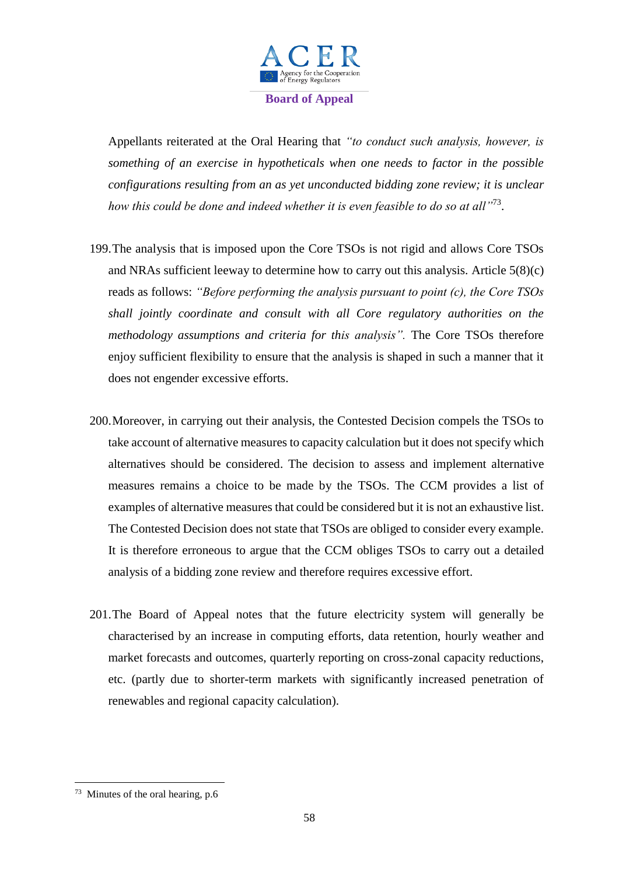

Appellants reiterated at the Oral Hearing that *"to conduct such analysis, however, is something of an exercise in hypotheticals when one needs to factor in the possible configurations resulting from an as yet unconducted bidding zone review; it is unclear*  how this could be done and indeed whether it is even feasible to do so at all<sup>173</sup>.

- 199.The analysis that is imposed upon the Core TSOs is not rigid and allows Core TSOs and NRAs sufficient leeway to determine how to carry out this analysis. Article 5(8)(c) reads as follows: *"Before performing the analysis pursuant to point (c), the Core TSOs shall jointly coordinate and consult with all Core regulatory authorities on the methodology assumptions and criteria for this analysis".* The Core TSOs therefore enjoy sufficient flexibility to ensure that the analysis is shaped in such a manner that it does not engender excessive efforts.
- 200.Moreover, in carrying out their analysis, the Contested Decision compels the TSOs to take account of alternative measures to capacity calculation but it does not specify which alternatives should be considered. The decision to assess and implement alternative measures remains a choice to be made by the TSOs. The CCM provides a list of examples of alternative measures that could be considered but it is not an exhaustive list. The Contested Decision does not state that TSOs are obliged to consider every example. It is therefore erroneous to argue that the CCM obliges TSOs to carry out a detailed analysis of a bidding zone review and therefore requires excessive effort.
- 201.The Board of Appeal notes that the future electricity system will generally be characterised by an increase in computing efforts, data retention, hourly weather and market forecasts and outcomes, quarterly reporting on cross-zonal capacity reductions, etc. (partly due to shorter-term markets with significantly increased penetration of renewables and regional capacity calculation).

 $73$  Minutes of the oral hearing, p.6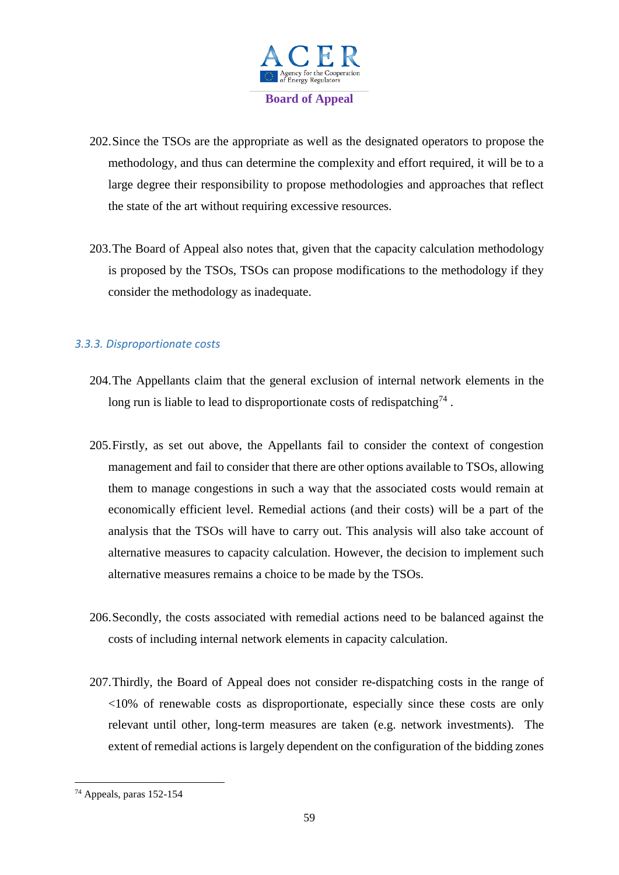

- 202.Since the TSOs are the appropriate as well as the designated operators to propose the methodology, and thus can determine the complexity and effort required, it will be to a large degree their responsibility to propose methodologies and approaches that reflect the state of the art without requiring excessive resources.
- 203.The Board of Appeal also notes that, given that the capacity calculation methodology is proposed by the TSOs, TSOs can propose modifications to the methodology if they consider the methodology as inadequate.

## *3.3.3. Disproportionate costs*

- 204.The Appellants claim that the general exclusion of internal network elements in the long run is liable to lead to disproportionate costs of redispatching<sup>74</sup>.
- 205.Firstly, as set out above, the Appellants fail to consider the context of congestion management and fail to consider that there are other options available to TSOs, allowing them to manage congestions in such a way that the associated costs would remain at economically efficient level. Remedial actions (and their costs) will be a part of the analysis that the TSOs will have to carry out. This analysis will also take account of alternative measures to capacity calculation. However, the decision to implement such alternative measures remains a choice to be made by the TSOs.
- 206.Secondly, the costs associated with remedial actions need to be balanced against the costs of including internal network elements in capacity calculation.
- 207.Thirdly, the Board of Appeal does not consider re-dispatching costs in the range of <10% of renewable costs as disproportionate, especially since these costs are only relevant until other, long-term measures are taken (e.g. network investments). The extent of remedial actions is largely dependent on the configuration of the bidding zones

<sup>74</sup> Appeals, paras 152-154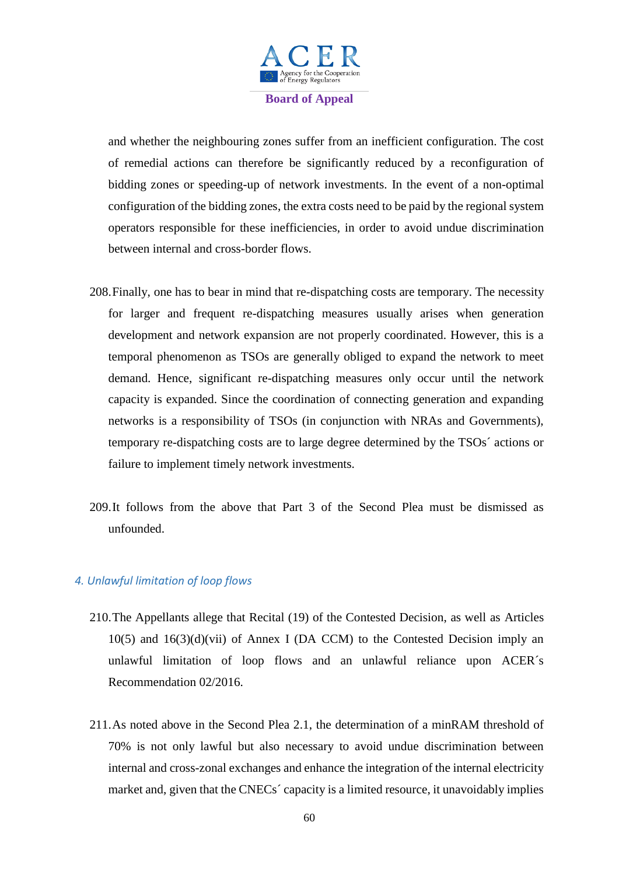

and whether the neighbouring zones suffer from an inefficient configuration. The cost of remedial actions can therefore be significantly reduced by a reconfiguration of bidding zones or speeding-up of network investments. In the event of a non-optimal configuration of the bidding zones, the extra costs need to be paid by the regional system operators responsible for these inefficiencies, in order to avoid undue discrimination between internal and cross-border flows.

- 208.Finally, one has to bear in mind that re-dispatching costs are temporary. The necessity for larger and frequent re-dispatching measures usually arises when generation development and network expansion are not properly coordinated. However, this is a temporal phenomenon as TSOs are generally obliged to expand the network to meet demand. Hence, significant re-dispatching measures only occur until the network capacity is expanded. Since the coordination of connecting generation and expanding networks is a responsibility of TSOs (in conjunction with NRAs and Governments), temporary re-dispatching costs are to large degree determined by the TSOs´ actions or failure to implement timely network investments.
- 209.It follows from the above that Part 3 of the Second Plea must be dismissed as unfounded.

#### *4. Unlawful limitation of loop flows*

- 210.The Appellants allege that Recital (19) of the Contested Decision, as well as Articles  $10(5)$  and  $16(3)(d)(vii)$  of Annex I (DA CCM) to the Contested Decision imply an unlawful limitation of loop flows and an unlawful reliance upon ACER´s Recommendation 02/2016.
- 211.As noted above in the Second Plea 2.1, the determination of a minRAM threshold of 70% is not only lawful but also necessary to avoid undue discrimination between internal and cross-zonal exchanges and enhance the integration of the internal electricity market and, given that the CNECs´ capacity is a limited resource, it unavoidably implies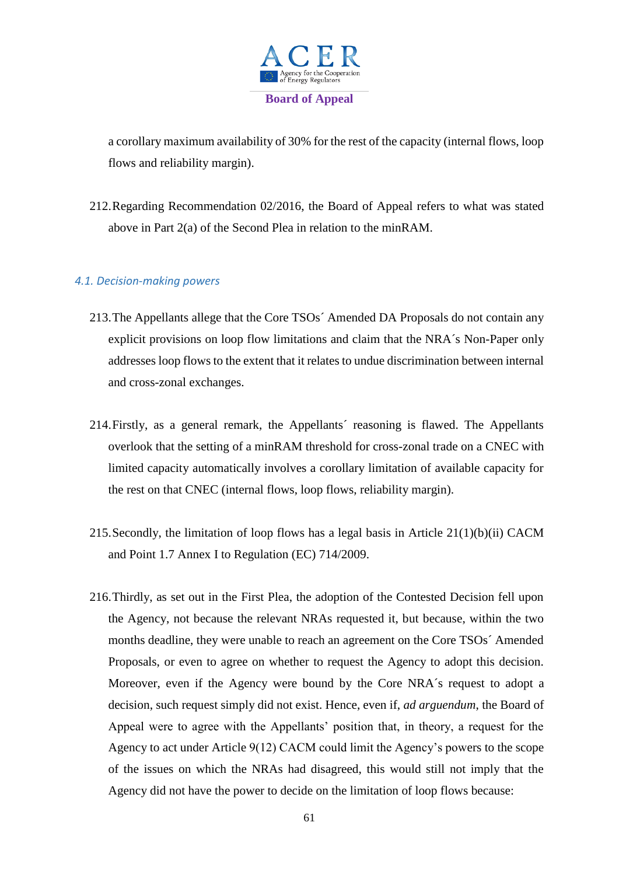

a corollary maximum availability of 30% for the rest of the capacity (internal flows, loop flows and reliability margin).

212.Regarding Recommendation 02/2016, the Board of Appeal refers to what was stated above in Part 2(a) of the Second Plea in relation to the minRAM.

## *4.1. Decision-making powers*

- 213.The Appellants allege that the Core TSOs´ Amended DA Proposals do not contain any explicit provisions on loop flow limitations and claim that the NRA´s Non-Paper only addresses loop flows to the extent that it relates to undue discrimination between internal and cross-zonal exchanges.
- 214.Firstly, as a general remark, the Appellants´ reasoning is flawed. The Appellants overlook that the setting of a minRAM threshold for cross-zonal trade on a CNEC with limited capacity automatically involves a corollary limitation of available capacity for the rest on that CNEC (internal flows, loop flows, reliability margin).
- 215.Secondly, the limitation of loop flows has a legal basis in Article 21(1)(b)(ii) CACM and Point 1.7 Annex I to Regulation (EC) 714/2009.
- 216.Thirdly, as set out in the First Plea, the adoption of the Contested Decision fell upon the Agency, not because the relevant NRAs requested it, but because, within the two months deadline, they were unable to reach an agreement on the Core TSOs´ Amended Proposals, or even to agree on whether to request the Agency to adopt this decision. Moreover, even if the Agency were bound by the Core NRA´s request to adopt a decision, such request simply did not exist. Hence, even if, *ad arguendum*, the Board of Appeal were to agree with the Appellants' position that, in theory, a request for the Agency to act under Article 9(12) CACM could limit the Agency's powers to the scope of the issues on which the NRAs had disagreed, this would still not imply that the Agency did not have the power to decide on the limitation of loop flows because: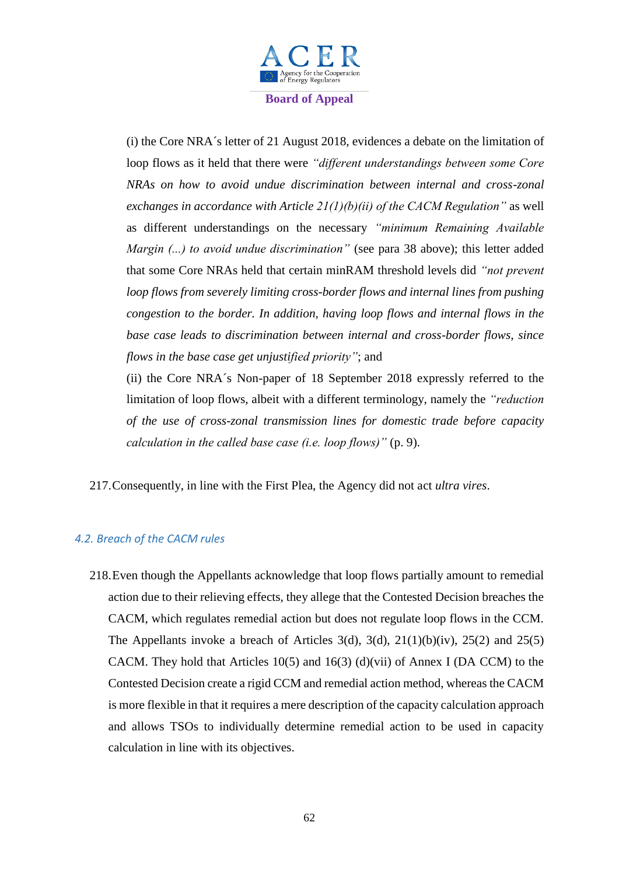

(i) the Core NRA´s letter of 21 August 2018, evidences a debate on the limitation of loop flows as it held that there were *"different understandings between some Core NRAs on how to avoid undue discrimination between internal and cross-zonal exchanges in accordance with Article 21(1)(b)(ii) of the CACM Regulation"* as well as different understandings on the necessary *"minimum Remaining Available Margin (...) to avoid undue discrimination"* (see para 38 above); this letter added that some Core NRAs held that certain minRAM threshold levels did *"not prevent loop flows from severely limiting cross-border flows and internal lines from pushing congestion to the border. In addition, having loop flows and internal flows in the base case leads to discrimination between internal and cross-border flows, since flows in the base case get unjustified priority"*; and

(ii) the Core NRA´s Non-paper of 18 September 2018 expressly referred to the limitation of loop flows, albeit with a different terminology, namely the *"reduction of the use of cross-zonal transmission lines for domestic trade before capacity calculation in the called base case (i.e. loop flows)"* (p. 9).

217.Consequently, in line with the First Plea, the Agency did not act *ultra vires*.

# *4.2. Breach of the CACM rules*

218.Even though the Appellants acknowledge that loop flows partially amount to remedial action due to their relieving effects, they allege that the Contested Decision breaches the CACM, which regulates remedial action but does not regulate loop flows in the CCM. The Appellants invoke a breach of Articles 3(d), 3(d),  $21(1)(b)(iv)$ ,  $25(2)$  and  $25(5)$ CACM. They hold that Articles 10(5) and 16(3) (d)(vii) of Annex I (DA CCM) to the Contested Decision create a rigid CCM and remedial action method, whereas the CACM is more flexible in that it requires a mere description of the capacity calculation approach and allows TSOs to individually determine remedial action to be used in capacity calculation in line with its objectives.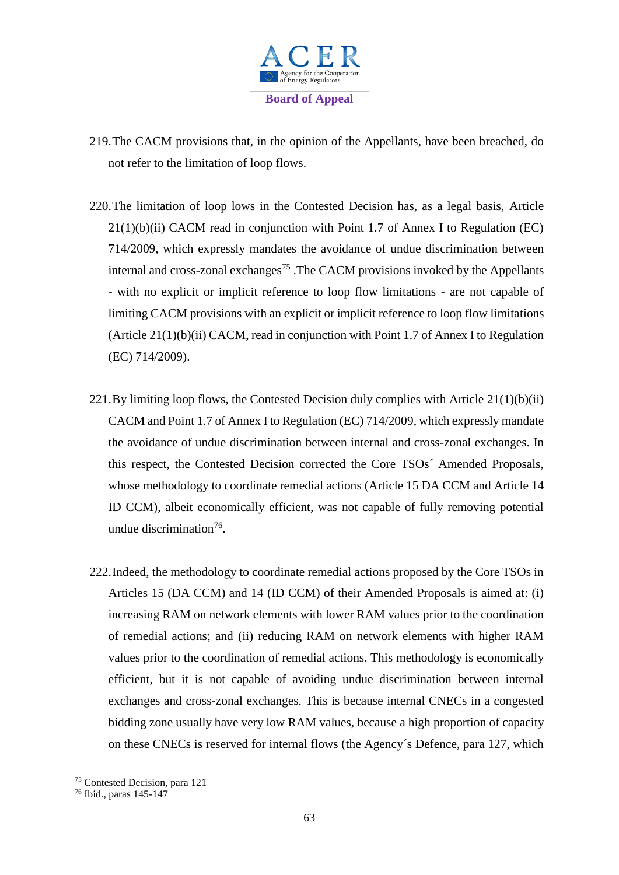

- 219.The CACM provisions that, in the opinion of the Appellants, have been breached, do not refer to the limitation of loop flows.
- 220.The limitation of loop lows in the Contested Decision has, as a legal basis, Article  $21(1)(b)(ii)$  CACM read in conjunction with Point 1.7 of Annex I to Regulation (EC) 714/2009, which expressly mandates the avoidance of undue discrimination between internal and cross-zonal exchanges<sup>75</sup>. The CACM provisions invoked by the Appellants - with no explicit or implicit reference to loop flow limitations - are not capable of limiting CACM provisions with an explicit or implicit reference to loop flow limitations (Article  $21(1)(b)(ii)$  CACM, read in conjunction with Point 1.7 of Annex I to Regulation (EC) 714/2009).
- 221.By limiting loop flows, the Contested Decision duly complies with Article 21(1)(b)(ii) CACM and Point 1.7 of Annex I to Regulation (EC) 714/2009, which expressly mandate the avoidance of undue discrimination between internal and cross-zonal exchanges. In this respect, the Contested Decision corrected the Core TSOs´ Amended Proposals, whose methodology to coordinate remedial actions (Article 15 DA CCM and Article 14 ID CCM), albeit economically efficient, was not capable of fully removing potential undue discrimination<sup>76</sup>.
- 222.Indeed, the methodology to coordinate remedial actions proposed by the Core TSOs in Articles 15 (DA CCM) and 14 (ID CCM) of their Amended Proposals is aimed at: (i) increasing RAM on network elements with lower RAM values prior to the coordination of remedial actions; and (ii) reducing RAM on network elements with higher RAM values prior to the coordination of remedial actions. This methodology is economically efficient, but it is not capable of avoiding undue discrimination between internal exchanges and cross-zonal exchanges. This is because internal CNECs in a congested bidding zone usually have very low RAM values, because a high proportion of capacity on these CNECs is reserved for internal flows (the Agency´s Defence, para 127, which

1

<sup>75</sup> Contested Decision, para 121

<sup>76</sup> Ibid., paras 145-147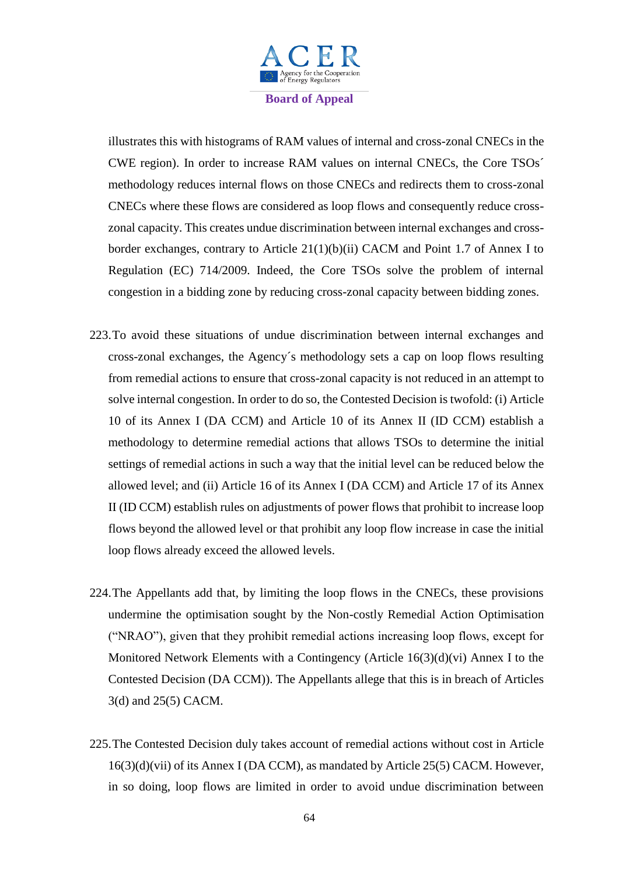

illustrates this with histograms of RAM values of internal and cross-zonal CNECs in the CWE region). In order to increase RAM values on internal CNECs, the Core TSOs´ methodology reduces internal flows on those CNECs and redirects them to cross-zonal CNECs where these flows are considered as loop flows and consequently reduce crosszonal capacity. This creates undue discrimination between internal exchanges and crossborder exchanges, contrary to Article 21(1)(b)(ii) CACM and Point 1.7 of Annex I to Regulation (EC) 714/2009. Indeed, the Core TSOs solve the problem of internal congestion in a bidding zone by reducing cross-zonal capacity between bidding zones.

- 223.To avoid these situations of undue discrimination between internal exchanges and cross-zonal exchanges, the Agency´s methodology sets a cap on loop flows resulting from remedial actions to ensure that cross-zonal capacity is not reduced in an attempt to solve internal congestion. In order to do so, the Contested Decision is twofold: (i) Article 10 of its Annex I (DA CCM) and Article 10 of its Annex II (ID CCM) establish a methodology to determine remedial actions that allows TSOs to determine the initial settings of remedial actions in such a way that the initial level can be reduced below the allowed level; and (ii) Article 16 of its Annex I (DA CCM) and Article 17 of its Annex II (ID CCM) establish rules on adjustments of power flows that prohibit to increase loop flows beyond the allowed level or that prohibit any loop flow increase in case the initial loop flows already exceed the allowed levels.
- 224.The Appellants add that, by limiting the loop flows in the CNECs, these provisions undermine the optimisation sought by the Non-costly Remedial Action Optimisation ("NRAO"), given that they prohibit remedial actions increasing loop flows, except for Monitored Network Elements with a Contingency (Article 16(3)(d)(vi) Annex I to the Contested Decision (DA CCM)). The Appellants allege that this is in breach of Articles 3(d) and 25(5) CACM.
- 225.The Contested Decision duly takes account of remedial actions without cost in Article 16(3)(d)(vii) of its Annex I (DA CCM), as mandated by Article 25(5) CACM. However, in so doing, loop flows are limited in order to avoid undue discrimination between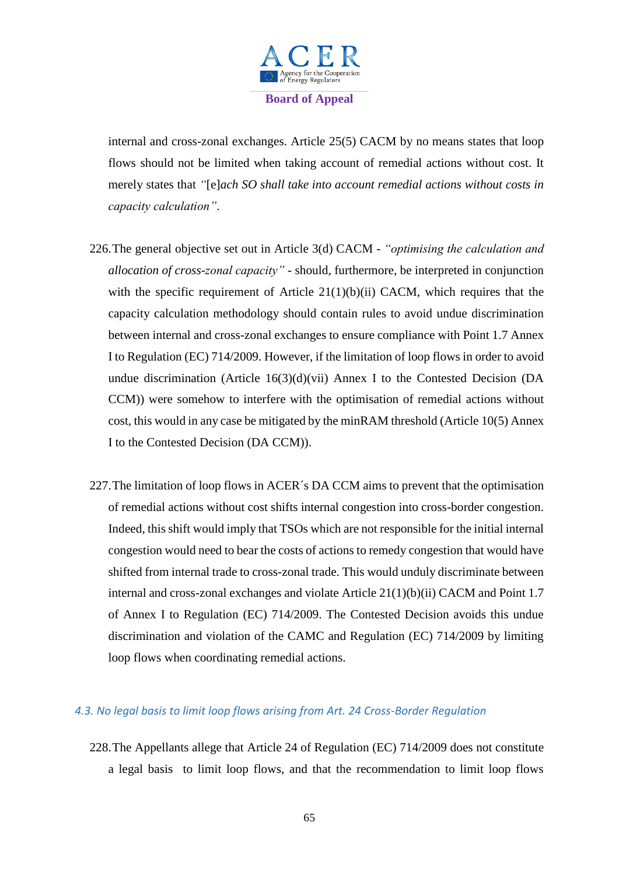

internal and cross-zonal exchanges. Article 25(5) CACM by no means states that loop flows should not be limited when taking account of remedial actions without cost. It merely states that *"*[e]*ach SO shall take into account remedial actions without costs in capacity calculation"*.

- 226.The general objective set out in Article 3(d) CACM *"optimising the calculation and allocation of cross-zonal capacity"* - should, furthermore, be interpreted in conjunction with the specific requirement of Article  $21(1)(b)(ii)$  CACM, which requires that the capacity calculation methodology should contain rules to avoid undue discrimination between internal and cross-zonal exchanges to ensure compliance with Point 1.7 Annex I to Regulation (EC) 714/2009. However, if the limitation of loop flows in order to avoid undue discrimination (Article 16(3)(d)(vii) Annex I to the Contested Decision (DA CCM)) were somehow to interfere with the optimisation of remedial actions without cost, this would in any case be mitigated by the minRAM threshold (Article 10(5) Annex I to the Contested Decision (DA CCM)).
- 227.The limitation of loop flows in ACER´s DA CCM aims to prevent that the optimisation of remedial actions without cost shifts internal congestion into cross-border congestion. Indeed, this shift would imply that TSOs which are not responsible for the initial internal congestion would need to bear the costs of actions to remedy congestion that would have shifted from internal trade to cross-zonal trade. This would unduly discriminate between internal and cross-zonal exchanges and violate Article 21(1)(b)(ii) CACM and Point 1.7 of Annex I to Regulation (EC) 714/2009. The Contested Decision avoids this undue discrimination and violation of the CAMC and Regulation (EC) 714/2009 by limiting loop flows when coordinating remedial actions.

## *4.3. No legal basis to limit loop flows arising from Art. 24 Cross-Border Regulation*

228.The Appellants allege that Article 24 of Regulation (EC) 714/2009 does not constitute a legal basis to limit loop flows, and that the recommendation to limit loop flows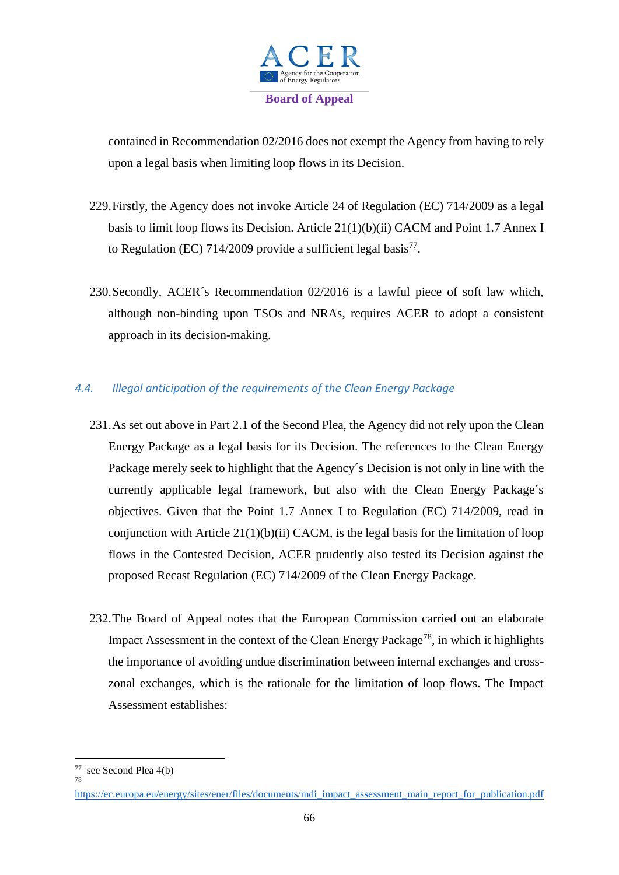

contained in Recommendation 02/2016 does not exempt the Agency from having to rely upon a legal basis when limiting loop flows in its Decision.

- 229.Firstly, the Agency does not invoke Article 24 of Regulation (EC) 714/2009 as a legal basis to limit loop flows its Decision. Article 21(1)(b)(ii) CACM and Point 1.7 Annex I to Regulation (EC) 714/2009 provide a sufficient legal basis<sup>77</sup>.
- 230.Secondly, ACER´s Recommendation 02/2016 is a lawful piece of soft law which, although non-binding upon TSOs and NRAs, requires ACER to adopt a consistent approach in its decision-making.

# *4.4. Illegal anticipation of the requirements of the Clean Energy Package*

- 231.As set out above in Part 2.1 of the Second Plea, the Agency did not rely upon the Clean Energy Package as a legal basis for its Decision. The references to the Clean Energy Package merely seek to highlight that the Agency´s Decision is not only in line with the currently applicable legal framework, but also with the Clean Energy Package´s objectives. Given that the Point 1.7 Annex I to Regulation (EC) 714/2009, read in conjunction with Article 21(1)(b)(ii) CACM, is the legal basis for the limitation of loop flows in the Contested Decision, ACER prudently also tested its Decision against the proposed Recast Regulation (EC) 714/2009 of the Clean Energy Package.
- 232.The Board of Appeal notes that the European Commission carried out an elaborate Impact Assessment in the context of the Clean Energy Package<sup>78</sup>, in which it highlights the importance of avoiding undue discrimination between internal exchanges and crosszonal exchanges, which is the rationale for the limitation of loop flows. The Impact Assessment establishes:

 $\overline{\phantom{a}}$ 

<sup>77</sup> see Second Plea 4(b)

<sup>78</sup>

[https://ec.europa.eu/energy/sites/ener/files/documents/mdi\\_impact\\_assessment\\_main\\_report\\_for\\_publication.pdf](https://ec.europa.eu/energy/sites/ener/files/documents/mdi_impact_assessment_main_report_for_publication.pdf)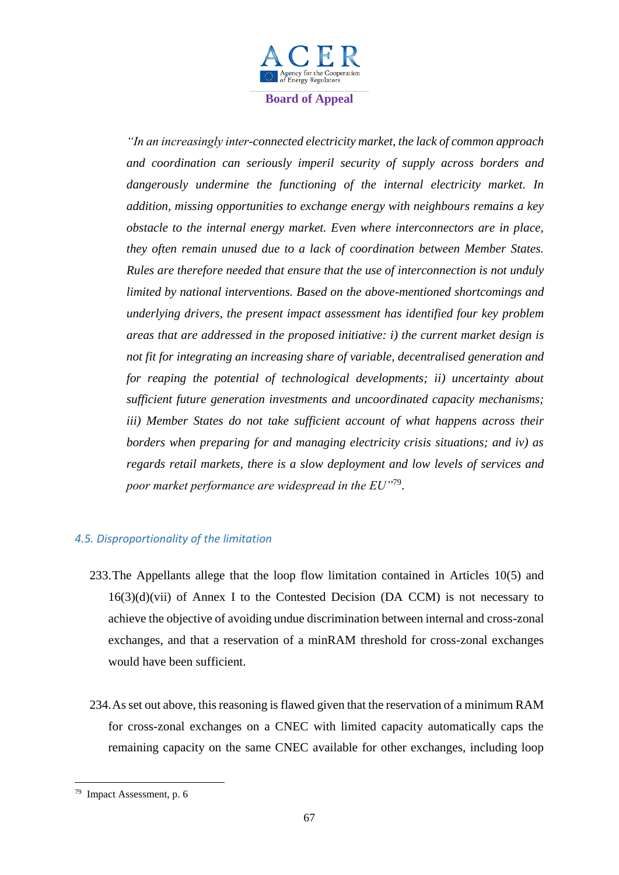

*"In an increasingly inter-connected electricity market, the lack of common approach and coordination can seriously imperil security of supply across borders and dangerously undermine the functioning of the internal electricity market. In addition, missing opportunities to exchange energy with neighbours remains a key obstacle to the internal energy market. Even where interconnectors are in place, they often remain unused due to a lack of coordination between Member States. Rules are therefore needed that ensure that the use of interconnection is not unduly limited by national interventions. Based on the above-mentioned shortcomings and underlying drivers, the present impact assessment has identified four key problem areas that are addressed in the proposed initiative: i) the current market design is not fit for integrating an increasing share of variable, decentralised generation and for reaping the potential of technological developments; ii) uncertainty about sufficient future generation investments and uncoordinated capacity mechanisms; iii) Member States do not take sufficient account of what happens across their borders when preparing for and managing electricity crisis situations; and iv) as regards retail markets, there is a slow deployment and low levels of services and poor market performance are widespread in the EU"*<sup>79</sup> .

## *4.5. Disproportionality of the limitation*

- 233.The Appellants allege that the loop flow limitation contained in Articles 10(5) and  $16(3)(d)(vii)$  of Annex I to the Contested Decision (DA CCM) is not necessary to achieve the objective of avoiding undue discrimination between internal and cross-zonal exchanges, and that a reservation of a minRAM threshold for cross-zonal exchanges would have been sufficient.
- 234.As set out above, this reasoning is flawed given that the reservation of a minimum RAM for cross-zonal exchanges on a CNEC with limited capacity automatically caps the remaining capacity on the same CNEC available for other exchanges, including loop

<sup>79</sup> Impact Assessment, p. 6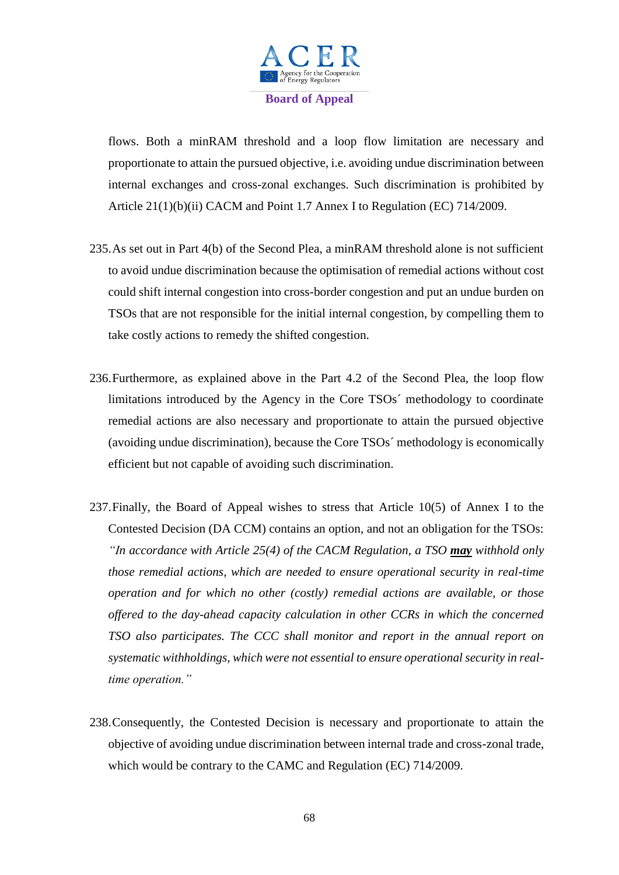

flows. Both a minRAM threshold and a loop flow limitation are necessary and proportionate to attain the pursued objective, i.e. avoiding undue discrimination between internal exchanges and cross-zonal exchanges. Such discrimination is prohibited by Article 21(1)(b)(ii) CACM and Point 1.7 Annex I to Regulation (EC) 714/2009.

- 235.As set out in Part 4(b) of the Second Plea, a minRAM threshold alone is not sufficient to avoid undue discrimination because the optimisation of remedial actions without cost could shift internal congestion into cross-border congestion and put an undue burden on TSOs that are not responsible for the initial internal congestion, by compelling them to take costly actions to remedy the shifted congestion.
- 236.Furthermore, as explained above in the Part 4.2 of the Second Plea, the loop flow limitations introduced by the Agency in the Core TSOs´ methodology to coordinate remedial actions are also necessary and proportionate to attain the pursued objective (avoiding undue discrimination), because the Core TSOs´ methodology is economically efficient but not capable of avoiding such discrimination.
- 237.Finally, the Board of Appeal wishes to stress that Article 10(5) of Annex I to the Contested Decision (DA CCM) contains an option, and not an obligation for the TSOs: *"In accordance with Article 25(4) of the CACM Regulation, a TSO may withhold only those remedial actions, which are needed to ensure operational security in real-time operation and for which no other (costly) remedial actions are available, or those offered to the day-ahead capacity calculation in other CCRs in which the concerned TSO also participates. The CCC shall monitor and report in the annual report on systematic withholdings, which were not essential to ensure operational security in realtime operation."*
- 238.Consequently, the Contested Decision is necessary and proportionate to attain the objective of avoiding undue discrimination between internal trade and cross-zonal trade, which would be contrary to the CAMC and Regulation (EC) 714/2009.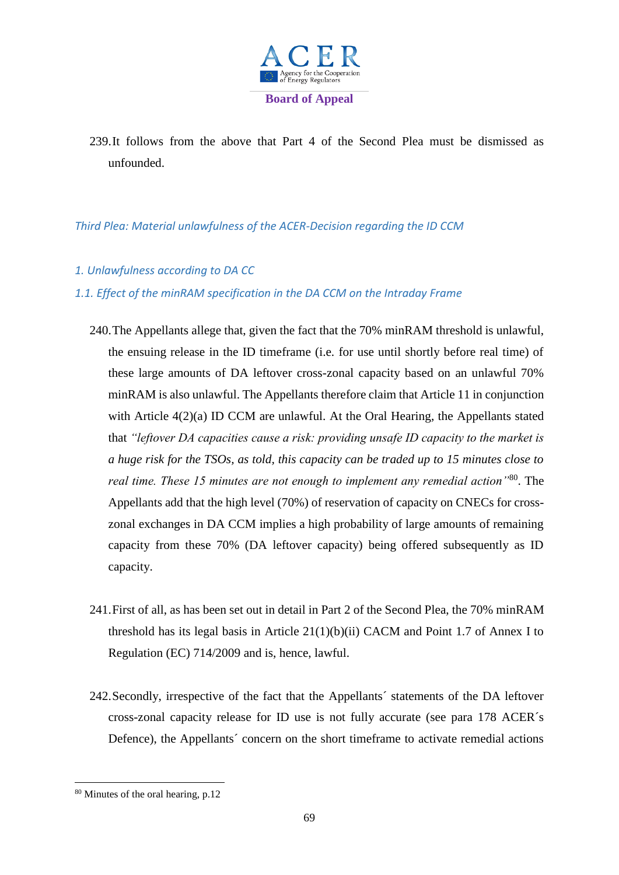

239.It follows from the above that Part 4 of the Second Plea must be dismissed as unfounded.

## *Third Plea: Material unlawfulness of the ACER-Decision regarding the ID CCM*

## *1. Unlawfulness according to DA CC*

## *1.1. Effect of the minRAM specification in the DA CCM on the Intraday Frame*

- 240.The Appellants allege that, given the fact that the 70% minRAM threshold is unlawful, the ensuing release in the ID timeframe (i.e. for use until shortly before real time) of these large amounts of DA leftover cross-zonal capacity based on an unlawful 70% minRAM is also unlawful. The Appellants therefore claim that Article 11 in conjunction with Article 4(2)(a) ID CCM are unlawful. At the Oral Hearing, the Appellants stated that *"leftover DA capacities cause a risk: providing unsafe ID capacity to the market is a huge risk for the TSOs, as told, this capacity can be traded up to 15 minutes close to real time. These 15 minutes are not enough to implement any remedial action"*<sup>80</sup> . The Appellants add that the high level (70%) of reservation of capacity on CNECs for crosszonal exchanges in DA CCM implies a high probability of large amounts of remaining capacity from these 70% (DA leftover capacity) being offered subsequently as ID capacity.
- 241.First of all, as has been set out in detail in Part 2 of the Second Plea, the 70% minRAM threshold has its legal basis in Article  $21(1)(b)(ii)$  CACM and Point 1.7 of Annex I to Regulation (EC) 714/2009 and is, hence, lawful.
- 242.Secondly, irrespective of the fact that the Appellants´ statements of the DA leftover cross-zonal capacity release for ID use is not fully accurate (see para 178 ACER´s Defence), the Appellants' concern on the short timeframe to activate remedial actions

<sup>80</sup> Minutes of the oral hearing, p.12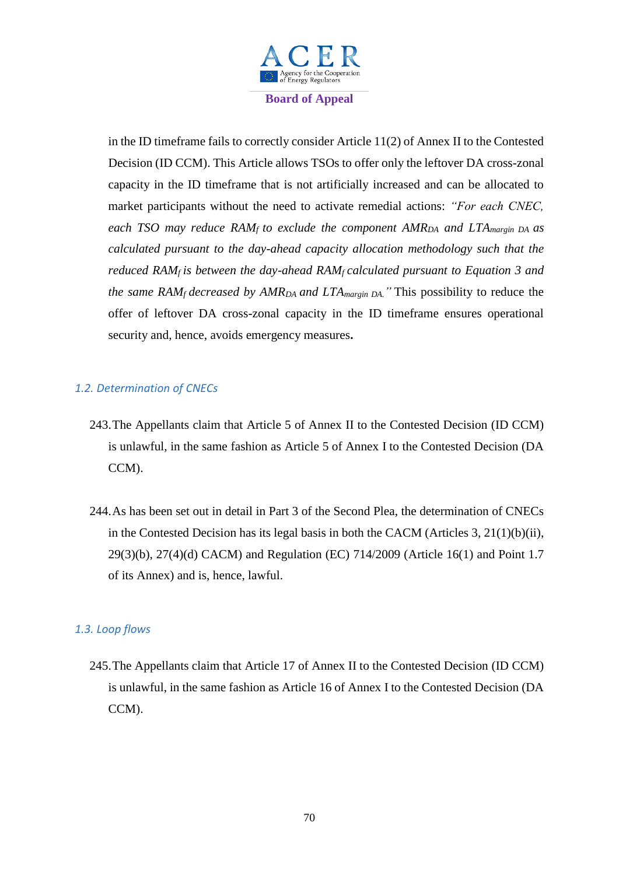

in the ID timeframe fails to correctly consider Article 11(2) of Annex II to the Contested Decision (ID CCM). This Article allows TSOs to offer only the leftover DA cross-zonal capacity in the ID timeframe that is not artificially increased and can be allocated to market participants without the need to activate remedial actions: *"For each CNEC, each TSO may reduce RAM<sup>f</sup> to exclude the component AMRDA and LTAmargin DA as calculated pursuant to the day-ahead capacity allocation methodology such that the reduced RAMf is between the day-ahead RAMf calculated pursuant to Equation 3 and the same RAM<sub>f</sub> decreased by*  $AMR<sub>DA</sub>$  *and*  $LTA<sub>margin DA</sub>$ *.* This possibility to reduce the offer of leftover DA cross-zonal capacity in the ID timeframe ensures operational security and, hence, avoids emergency measures**.**

## *1.2. Determination of CNECs*

- 243.The Appellants claim that Article 5 of Annex II to the Contested Decision (ID CCM) is unlawful, in the same fashion as Article 5 of Annex I to the Contested Decision (DA CCM).
- 244.As has been set out in detail in Part 3 of the Second Plea, the determination of CNECs in the Contested Decision has its legal basis in both the CACM (Articles 3, 21(1)(b)(ii), 29(3)(b), 27(4)(d) CACM) and Regulation (EC) 714/2009 (Article 16(1) and Point 1.7 of its Annex) and is, hence, lawful.

## *1.3. Loop flows*

245.The Appellants claim that Article 17 of Annex II to the Contested Decision (ID CCM) is unlawful, in the same fashion as Article 16 of Annex I to the Contested Decision (DA CCM).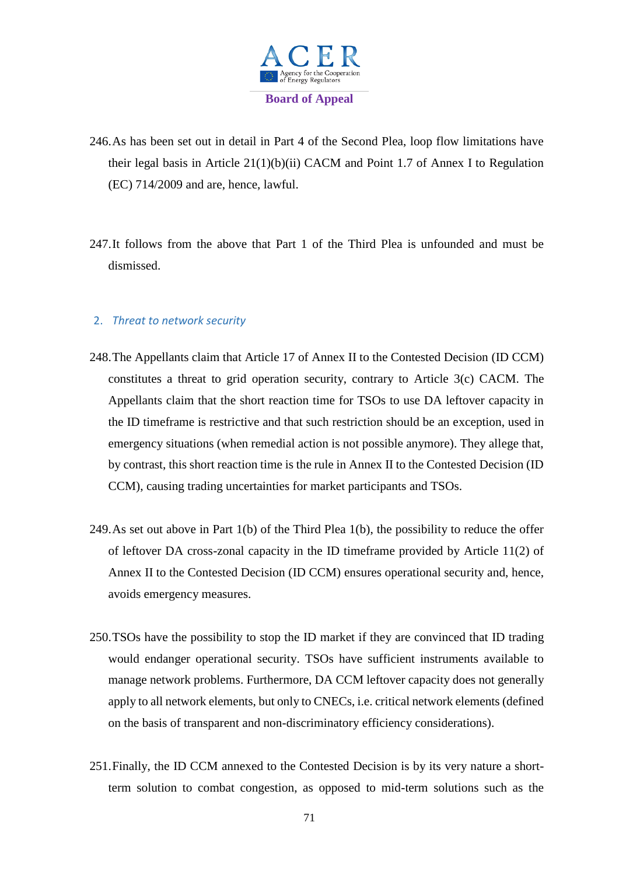

- 246.As has been set out in detail in Part 4 of the Second Plea, loop flow limitations have their legal basis in Article 21(1)(b)(ii) CACM and Point 1.7 of Annex I to Regulation (EC) 714/2009 and are, hence, lawful.
- 247.It follows from the above that Part 1 of the Third Plea is unfounded and must be dismissed.

## 2. *Threat to network security*

- 248.The Appellants claim that Article 17 of Annex II to the Contested Decision (ID CCM) constitutes a threat to grid operation security, contrary to Article 3(c) CACM. The Appellants claim that the short reaction time for TSOs to use DA leftover capacity in the ID timeframe is restrictive and that such restriction should be an exception, used in emergency situations (when remedial action is not possible anymore). They allege that, by contrast, this short reaction time is the rule in Annex II to the Contested Decision (ID CCM), causing trading uncertainties for market participants and TSOs.
- 249.As set out above in Part 1(b) of the Third Plea 1(b), the possibility to reduce the offer of leftover DA cross-zonal capacity in the ID timeframe provided by Article 11(2) of Annex II to the Contested Decision (ID CCM) ensures operational security and, hence, avoids emergency measures.
- 250.TSOs have the possibility to stop the ID market if they are convinced that ID trading would endanger operational security. TSOs have sufficient instruments available to manage network problems. Furthermore, DA CCM leftover capacity does not generally apply to all network elements, but only to CNECs, i.e. critical network elements (defined on the basis of transparent and non-discriminatory efficiency considerations).
- 251.Finally, the ID CCM annexed to the Contested Decision is by its very nature a shortterm solution to combat congestion, as opposed to mid-term solutions such as the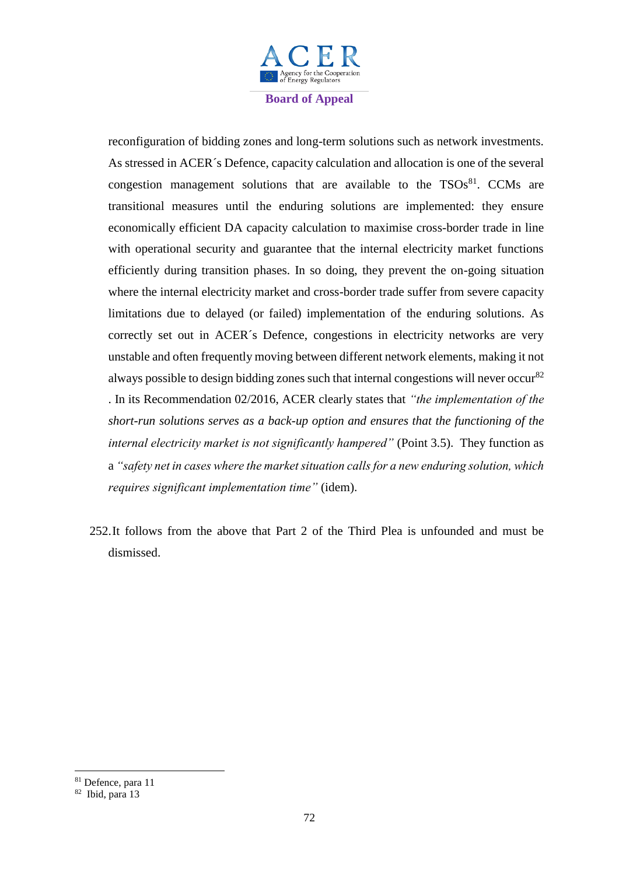

reconfiguration of bidding zones and long-term solutions such as network investments. As stressed in ACER´s Defence, capacity calculation and allocation is one of the several congestion management solutions that are available to the  $TSOs<sup>81</sup>$ . CCMs are transitional measures until the enduring solutions are implemented: they ensure economically efficient DA capacity calculation to maximise cross-border trade in line with operational security and guarantee that the internal electricity market functions efficiently during transition phases. In so doing, they prevent the on-going situation where the internal electricity market and cross-border trade suffer from severe capacity limitations due to delayed (or failed) implementation of the enduring solutions. As correctly set out in ACER´s Defence, congestions in electricity networks are very unstable and often frequently moving between different network elements, making it not always possible to design bidding zones such that internal congestions will never occur<sup>82</sup> . In its Recommendation 02/2016, ACER clearly states that *"the implementation of the short-run solutions serves as a back-up option and ensures that the functioning of the internal electricity market is not significantly hampered"* (Point 3.5). They function as a *"safety net in cases where the market situation calls for a new enduring solution, which requires significant implementation time"* (idem).

252.It follows from the above that Part 2 of the Third Plea is unfounded and must be dismissed.

1

<sup>81</sup> Defence, para 11

<sup>82</sup> Ibid, para 13